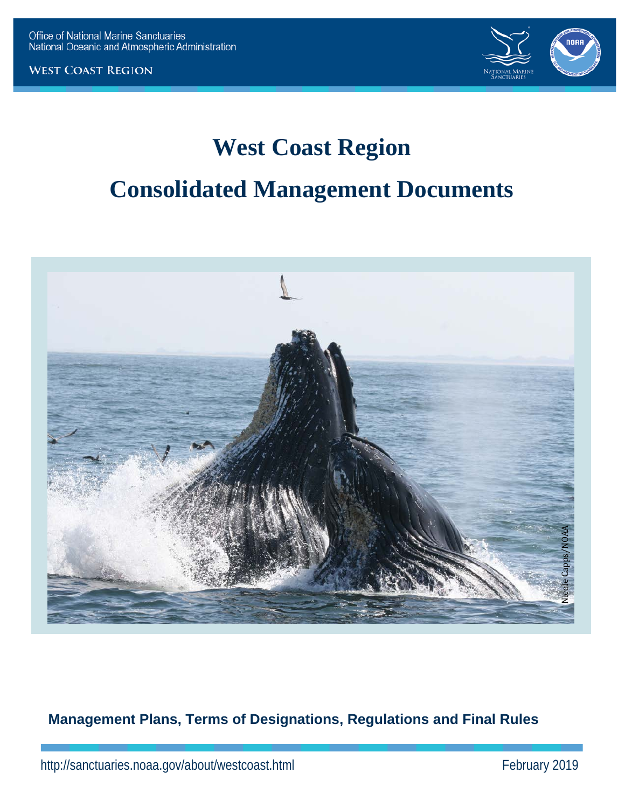**WEST COAST REGION** 



# **West Coast Region**

## **Consolidated Management Documents**



**Management Plans, Terms of Designations, Regulations and Final Rules**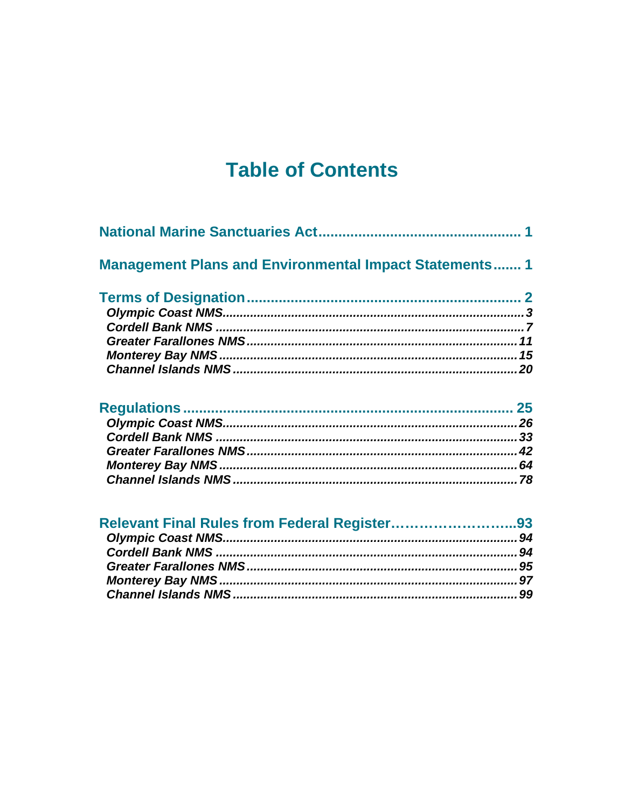## **Table of Contents**

| <b>Management Plans and Environmental Impact Statements 1</b> |    |
|---------------------------------------------------------------|----|
|                                                               |    |
|                                                               |    |
|                                                               |    |
|                                                               |    |
|                                                               | 15 |
|                                                               | 20 |
| <b>Dogulations</b>                                            | っに |

| Relevant Final Rules from Federal Register93 |  |
|----------------------------------------------|--|
|                                              |  |
|                                              |  |
|                                              |  |
|                                              |  |
|                                              |  |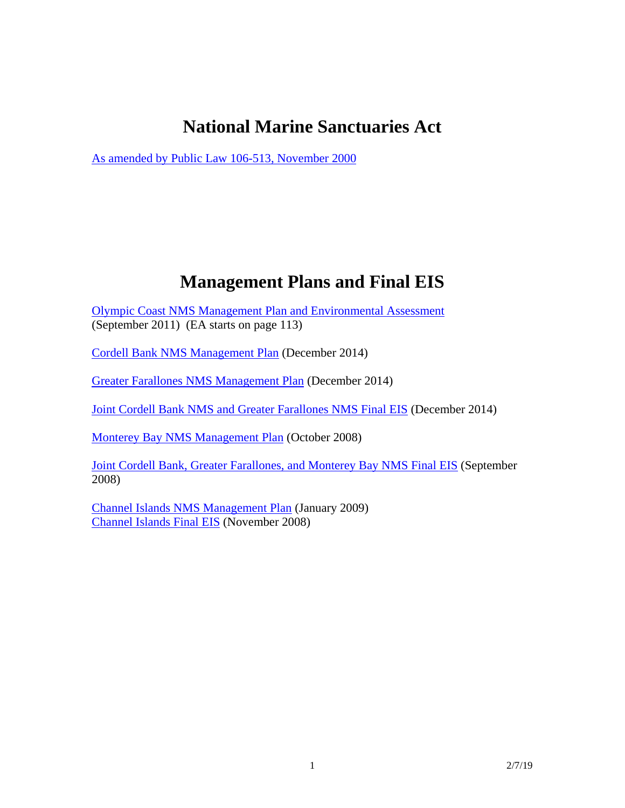## **National Marine Sanctuaries Act**

As amended by Public Law 106-513, November 2000

## **Management Plans and Final EIS**

- Olympic Coast NMS Management Plan and Environmental Assessment (September 2011) (EA starts on page 113)
- Cordell Bank NMS Management Plan (December 2014)
- Greater Farallones NMS Management Plan (December 2014)

Joint Cordell Bank NMS and Greater Farallones NMS Final EIS (December 2014)

Monterey Bay NMS Management Plan (October 2008)

Joint Cordell Bank, Greater Farallones, and Monterey Bay NMS Final EIS (September 2008)

Channel Islands NMS Management Plan (January 2009) Channel Islands Final EIS (November 2008)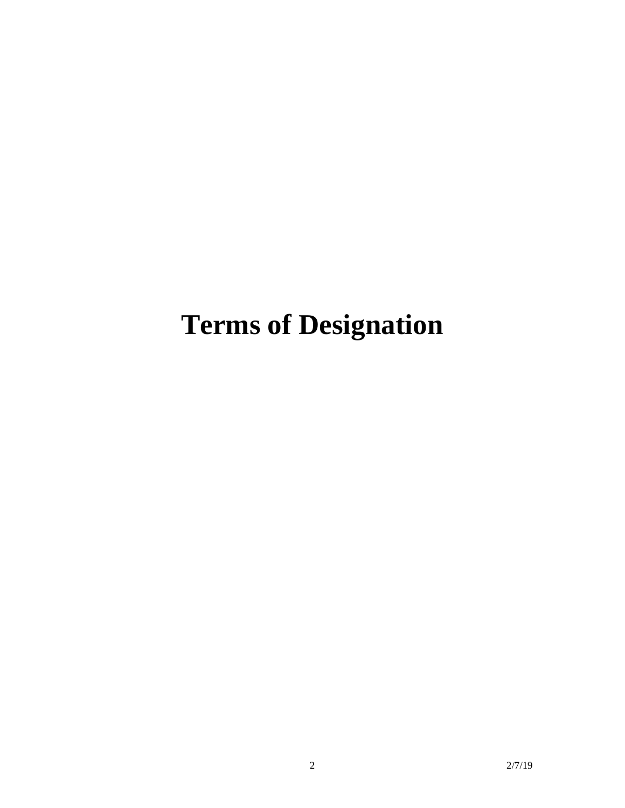# **Terms of Designation**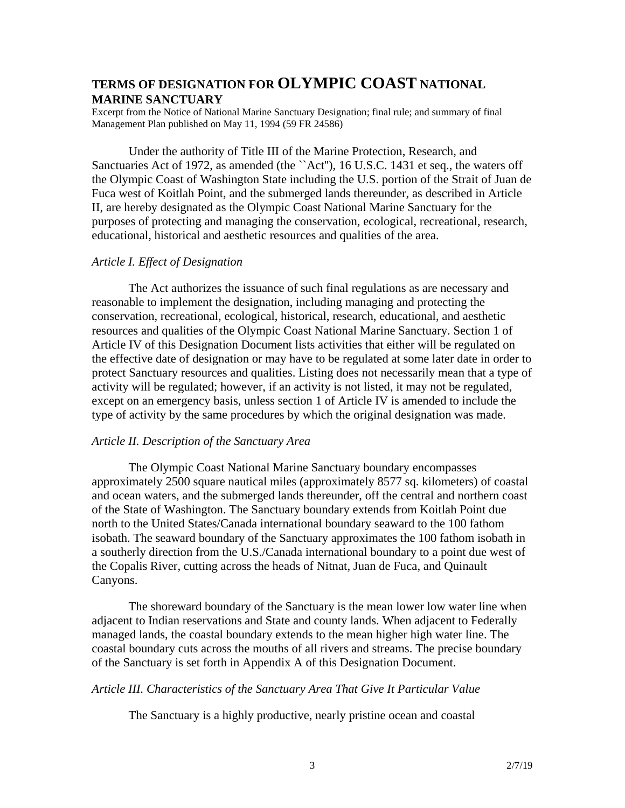## **TERMS OF DESIGNATION FOR OLYMPIC COAST NATIONAL MARINE SANCTUARY**

Excerpt from the Notice of National Marine Sanctuary Designation; final rule; and summary of final Management Plan published on May 11, 1994 (59 FR 24586)

Under the authority of Title III of the Marine Protection, Research, and Sanctuaries Act of 1972, as amended (the `Act''), 16 U.S.C. 1431 et seq., the waters off the Olympic Coast of Washington State including the U.S. portion of the Strait of Juan de Fuca west of Koitlah Point, and the submerged lands thereunder, as described in Article II, are hereby designated as the Olympic Coast National Marine Sanctuary for the purposes of protecting and managing the conservation, ecological, recreational, research, educational, historical and aesthetic resources and qualities of the area.

## *Article I. Effect of Designation*

The Act authorizes the issuance of such final regulations as are necessary and reasonable to implement the designation, including managing and protecting the conservation, recreational, ecological, historical, research, educational, and aesthetic resources and qualities of the Olympic Coast National Marine Sanctuary. Section 1 of Article IV of this Designation Document lists activities that either will be regulated on the effective date of designation or may have to be regulated at some later date in order to protect Sanctuary resources and qualities. Listing does not necessarily mean that a type of activity will be regulated; however, if an activity is not listed, it may not be regulated, except on an emergency basis, unless section 1 of Article IV is amended to include the type of activity by the same procedures by which the original designation was made.

## *Article II. Description of the Sanctuary Area*

The Olympic Coast National Marine Sanctuary boundary encompasses approximately 2500 square nautical miles (approximately 8577 sq. kilometers) of coastal and ocean waters, and the submerged lands thereunder, off the central and northern coast of the State of Washington. The Sanctuary boundary extends from Koitlah Point due north to the United States/Canada international boundary seaward to the 100 fathom isobath. The seaward boundary of the Sanctuary approximates the 100 fathom isobath in a southerly direction from the U.S./Canada international boundary to a point due west of the Copalis River, cutting across the heads of Nitnat, Juan de Fuca, and Quinault Canyons.

The shoreward boundary of the Sanctuary is the mean lower low water line when adjacent to Indian reservations and State and county lands. When adjacent to Federally managed lands, the coastal boundary extends to the mean higher high water line. The coastal boundary cuts across the mouths of all rivers and streams. The precise boundary of the Sanctuary is set forth in Appendix A of this Designation Document.

## *Article III. Characteristics of the Sanctuary Area That Give It Particular Value*

The Sanctuary is a highly productive, nearly pristine ocean and coastal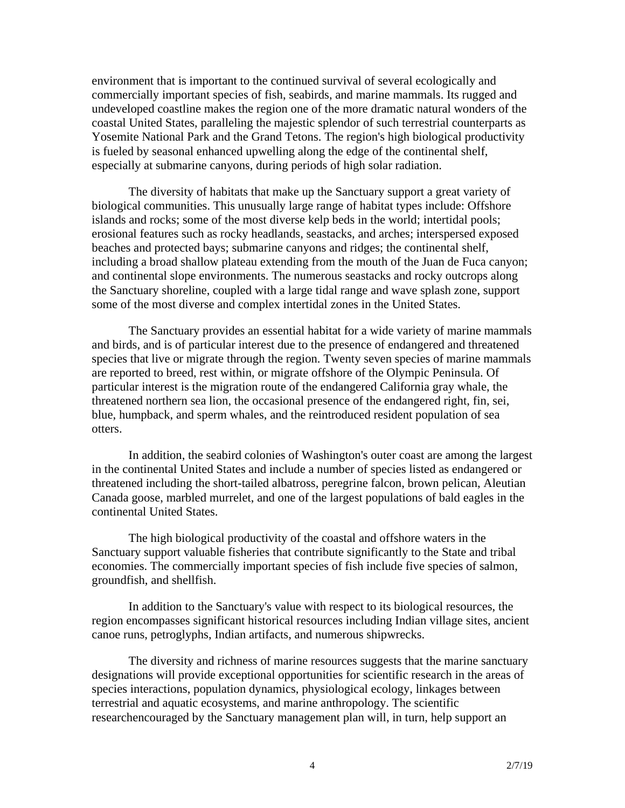environment that is important to the continued survival of several ecologically and commercially important species of fish, seabirds, and marine mammals. Its rugged and undeveloped coastline makes the region one of the more dramatic natural wonders of the coastal United States, paralleling the majestic splendor of such terrestrial counterparts as Yosemite National Park and the Grand Tetons. The region's high biological productivity is fueled by seasonal enhanced upwelling along the edge of the continental shelf, especially at submarine canyons, during periods of high solar radiation.

The diversity of habitats that make up the Sanctuary support a great variety of biological communities. This unusually large range of habitat types include: Offshore islands and rocks; some of the most diverse kelp beds in the world; intertidal pools; erosional features such as rocky headlands, seastacks, and arches; interspersed exposed beaches and protected bays; submarine canyons and ridges; the continental shelf, including a broad shallow plateau extending from the mouth of the Juan de Fuca canyon; and continental slope environments. The numerous seastacks and rocky outcrops along the Sanctuary shoreline, coupled with a large tidal range and wave splash zone, support some of the most diverse and complex intertidal zones in the United States.

The Sanctuary provides an essential habitat for a wide variety of marine mammals and birds, and is of particular interest due to the presence of endangered and threatened species that live or migrate through the region. Twenty seven species of marine mammals are reported to breed, rest within, or migrate offshore of the Olympic Peninsula. Of particular interest is the migration route of the endangered California gray whale, the threatened northern sea lion, the occasional presence of the endangered right, fin, sei, blue, humpback, and sperm whales, and the reintroduced resident population of sea otters.

In addition, the seabird colonies of Washington's outer coast are among the largest in the continental United States and include a number of species listed as endangered or threatened including the short-tailed albatross, peregrine falcon, brown pelican, Aleutian Canada goose, marbled murrelet, and one of the largest populations of bald eagles in the continental United States.

The high biological productivity of the coastal and offshore waters in the Sanctuary support valuable fisheries that contribute significantly to the State and tribal economies. The commercially important species of fish include five species of salmon, groundfish, and shellfish.

In addition to the Sanctuary's value with respect to its biological resources, the region encompasses significant historical resources including Indian village sites, ancient canoe runs, petroglyphs, Indian artifacts, and numerous shipwrecks.

The diversity and richness of marine resources suggests that the marine sanctuary designations will provide exceptional opportunities for scientific research in the areas of species interactions, population dynamics, physiological ecology, linkages between terrestrial and aquatic ecosystems, and marine anthropology. The scientific researchencouraged by the Sanctuary management plan will, in turn, help support an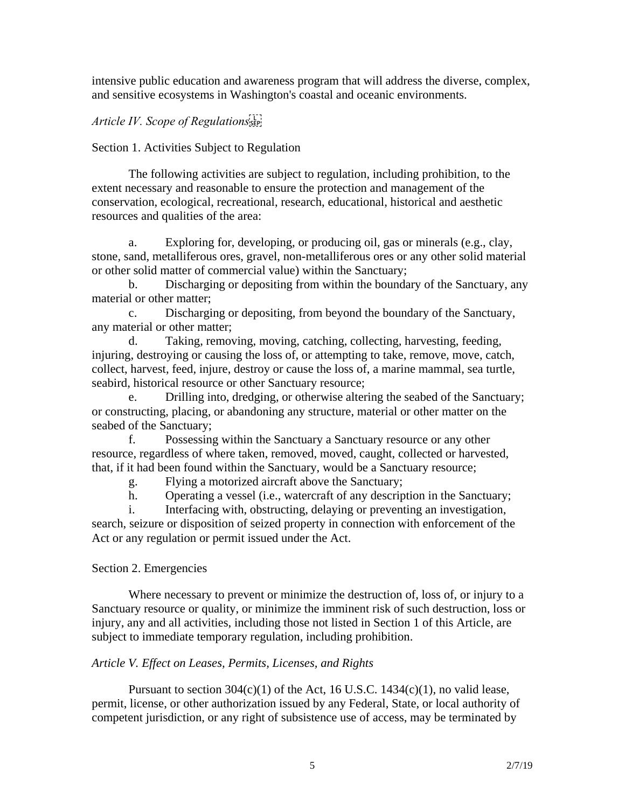intensive public education and awareness program that will address the diverse, complex, and sensitive ecosystems in Washington's coastal and oceanic environments.

## *Article IV. Scope of Regulations*

Section 1. Activities Subject to Regulation

The following activities are subject to regulation, including prohibition, to the extent necessary and reasonable to ensure the protection and management of the conservation, ecological, recreational, research, educational, historical and aesthetic resources and qualities of the area:

a. Exploring for, developing, or producing oil, gas or minerals (e.g., clay, stone, sand, metalliferous ores, gravel, non-metalliferous ores or any other solid material or other solid matter of commercial value) within the Sanctuary;

b. Discharging or depositing from within the boundary of the Sanctuary, any material or other matter;

c. Discharging or depositing, from beyond the boundary of the Sanctuary, any material or other matter;

d. Taking, removing, moving, catching, collecting, harvesting, feeding, injuring, destroying or causing the loss of, or attempting to take, remove, move, catch, collect, harvest, feed, injure, destroy or cause the loss of, a marine mammal, sea turtle, seabird, historical resource or other Sanctuary resource;

e. Drilling into, dredging, or otherwise altering the seabed of the Sanctuary; or constructing, placing, or abandoning any structure, material or other matter on the seabed of the Sanctuary;

f. Possessing within the Sanctuary a Sanctuary resource or any other resource, regardless of where taken, removed, moved, caught, collected or harvested, that, if it had been found within the Sanctuary, would be a Sanctuary resource;

g. Flying a motorized aircraft above the Sanctuary;

h. Operating a vessel (i.e., watercraft of any description in the Sanctuary;

i. Interfacing with, obstructing, delaying or preventing an investigation, search, seizure or disposition of seized property in connection with enforcement of the Act or any regulation or permit issued under the Act.

## Section 2. Emergencies

Where necessary to prevent or minimize the destruction of, loss of, or injury to a Sanctuary resource or quality, or minimize the imminent risk of such destruction, loss or injury, any and all activities, including those not listed in Section 1 of this Article, are subject to immediate temporary regulation, including prohibition.

## *Article V. Effect on Leases, Permits, Licenses, and Rights*

Pursuant to section  $304(c)(1)$  of the Act, 16 U.S.C. 1434(c)(1), no valid lease, permit, license, or other authorization issued by any Federal, State, or local authority of competent jurisdiction, or any right of subsistence use of access, may be terminated by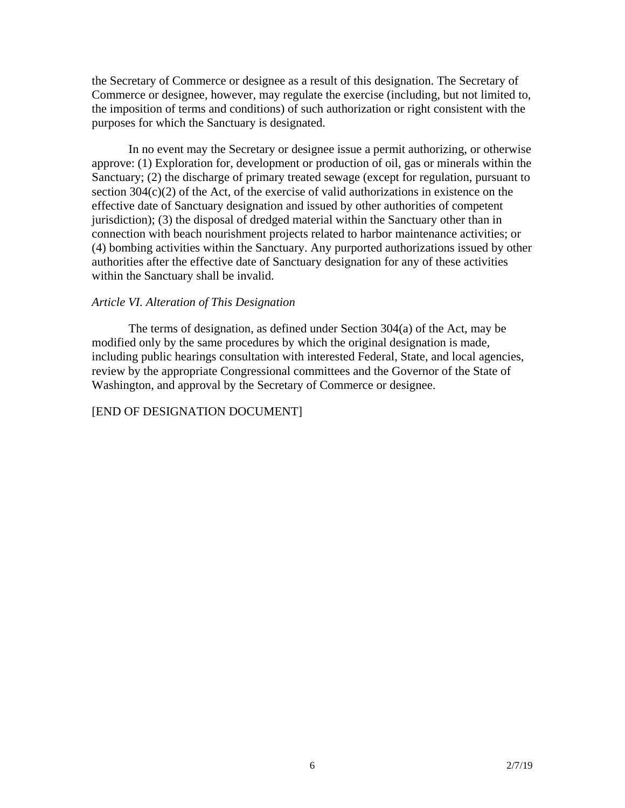the Secretary of Commerce or designee as a result of this designation. The Secretary of Commerce or designee, however, may regulate the exercise (including, but not limited to, the imposition of terms and conditions) of such authorization or right consistent with the purposes for which the Sanctuary is designated.

In no event may the Secretary or designee issue a permit authorizing, or otherwise approve: (1) Exploration for, development or production of oil, gas or minerals within the Sanctuary; (2) the discharge of primary treated sewage (except for regulation, pursuant to section 304(c)(2) of the Act, of the exercise of valid authorizations in existence on the effective date of Sanctuary designation and issued by other authorities of competent jurisdiction); (3) the disposal of dredged material within the Sanctuary other than in connection with beach nourishment projects related to harbor maintenance activities; or (4) bombing activities within the Sanctuary. Any purported authorizations issued by other authorities after the effective date of Sanctuary designation for any of these activities within the Sanctuary shall be invalid.

## *Article VI. Alteration of This Designation*

The terms of designation, as defined under Section 304(a) of the Act, may be modified only by the same procedures by which the original designation is made, including public hearings consultation with interested Federal, State, and local agencies, review by the appropriate Congressional committees and the Governor of the State of Washington, and approval by the Secretary of Commerce or designee.

### [END OF DESIGNATION DOCUMENT]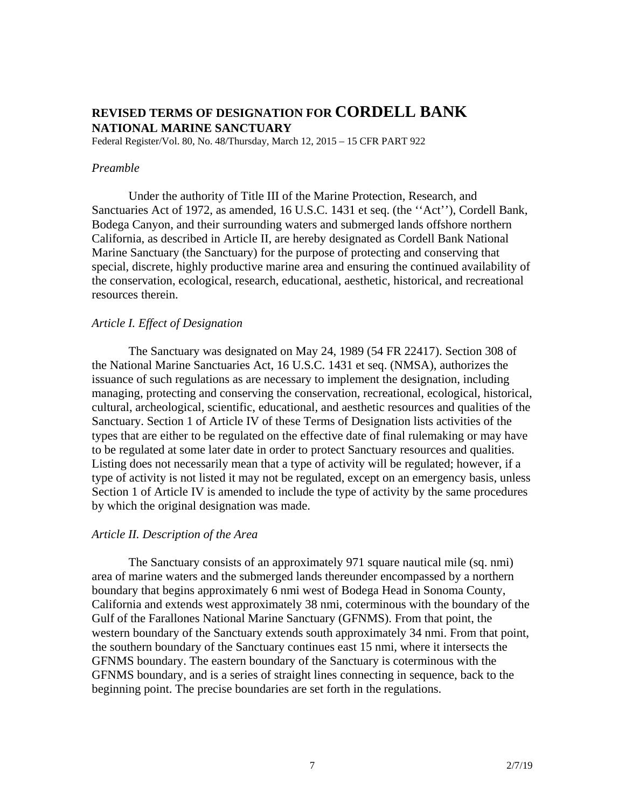## **REVISED TERMS OF DESIGNATION FOR CORDELL BANK NATIONAL MARINE SANCTUARY**

Federal Register/Vol. 80, No. 48/Thursday, March 12, 2015 – 15 CFR PART 922

## *Preamble*

Under the authority of Title III of the Marine Protection, Research, and Sanctuaries Act of 1972, as amended, 16 U.S.C. 1431 et seq. (the ''Act''), Cordell Bank, Bodega Canyon, and their surrounding waters and submerged lands offshore northern California, as described in Article II, are hereby designated as Cordell Bank National Marine Sanctuary (the Sanctuary) for the purpose of protecting and conserving that special, discrete, highly productive marine area and ensuring the continued availability of the conservation, ecological, research, educational, aesthetic, historical, and recreational resources therein.

## *Article I. Effect of Designation*

The Sanctuary was designated on May 24, 1989 (54 FR 22417). Section 308 of the National Marine Sanctuaries Act, 16 U.S.C. 1431 et seq. (NMSA), authorizes the issuance of such regulations as are necessary to implement the designation, including managing, protecting and conserving the conservation, recreational, ecological, historical, cultural, archeological, scientific, educational, and aesthetic resources and qualities of the Sanctuary. Section 1 of Article IV of these Terms of Designation lists activities of the types that are either to be regulated on the effective date of final rulemaking or may have to be regulated at some later date in order to protect Sanctuary resources and qualities. Listing does not necessarily mean that a type of activity will be regulated; however, if a type of activity is not listed it may not be regulated, except on an emergency basis, unless Section 1 of Article IV is amended to include the type of activity by the same procedures by which the original designation was made.

## *Article II. Description of the Area*

The Sanctuary consists of an approximately 971 square nautical mile (sq. nmi) area of marine waters and the submerged lands thereunder encompassed by a northern boundary that begins approximately 6 nmi west of Bodega Head in Sonoma County, California and extends west approximately 38 nmi, coterminous with the boundary of the Gulf of the Farallones National Marine Sanctuary (GFNMS). From that point, the western boundary of the Sanctuary extends south approximately 34 nmi. From that point, the southern boundary of the Sanctuary continues east 15 nmi, where it intersects the GFNMS boundary. The eastern boundary of the Sanctuary is coterminous with the GFNMS boundary, and is a series of straight lines connecting in sequence, back to the beginning point. The precise boundaries are set forth in the regulations.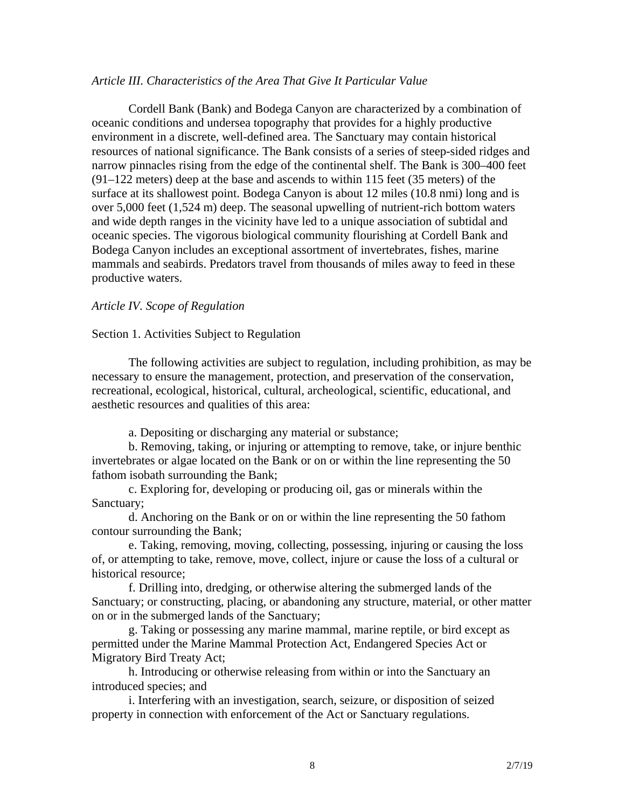## *Article III. Characteristics of the Area That Give It Particular Value*

Cordell Bank (Bank) and Bodega Canyon are characterized by a combination of oceanic conditions and undersea topography that provides for a highly productive environment in a discrete, well-defined area. The Sanctuary may contain historical resources of national significance. The Bank consists of a series of steep-sided ridges and narrow pinnacles rising from the edge of the continental shelf. The Bank is 300–400 feet (91–122 meters) deep at the base and ascends to within 115 feet (35 meters) of the surface at its shallowest point. Bodega Canyon is about 12 miles (10.8 nmi) long and is over 5,000 feet (1,524 m) deep. The seasonal upwelling of nutrient-rich bottom waters and wide depth ranges in the vicinity have led to a unique association of subtidal and oceanic species. The vigorous biological community flourishing at Cordell Bank and Bodega Canyon includes an exceptional assortment of invertebrates, fishes, marine mammals and seabirds. Predators travel from thousands of miles away to feed in these productive waters.

## *Article IV. Scope of Regulation*

## Section 1. Activities Subject to Regulation

The following activities are subject to regulation, including prohibition, as may be necessary to ensure the management, protection, and preservation of the conservation, recreational, ecological, historical, cultural, archeological, scientific, educational, and aesthetic resources and qualities of this area:

a. Depositing or discharging any material or substance;

b. Removing, taking, or injuring or attempting to remove, take, or injure benthic invertebrates or algae located on the Bank or on or within the line representing the 50 fathom isobath surrounding the Bank;

c. Exploring for, developing or producing oil, gas or minerals within the Sanctuary;

d. Anchoring on the Bank or on or within the line representing the 50 fathom contour surrounding the Bank;

e. Taking, removing, moving, collecting, possessing, injuring or causing the loss of, or attempting to take, remove, move, collect, injure or cause the loss of a cultural or historical resource;

f. Drilling into, dredging, or otherwise altering the submerged lands of the Sanctuary; or constructing, placing, or abandoning any structure, material, or other matter on or in the submerged lands of the Sanctuary;

g. Taking or possessing any marine mammal, marine reptile, or bird except as permitted under the Marine Mammal Protection Act, Endangered Species Act or Migratory Bird Treaty Act;

h. Introducing or otherwise releasing from within or into the Sanctuary an introduced species; and

i. Interfering with an investigation, search, seizure, or disposition of seized property in connection with enforcement of the Act or Sanctuary regulations.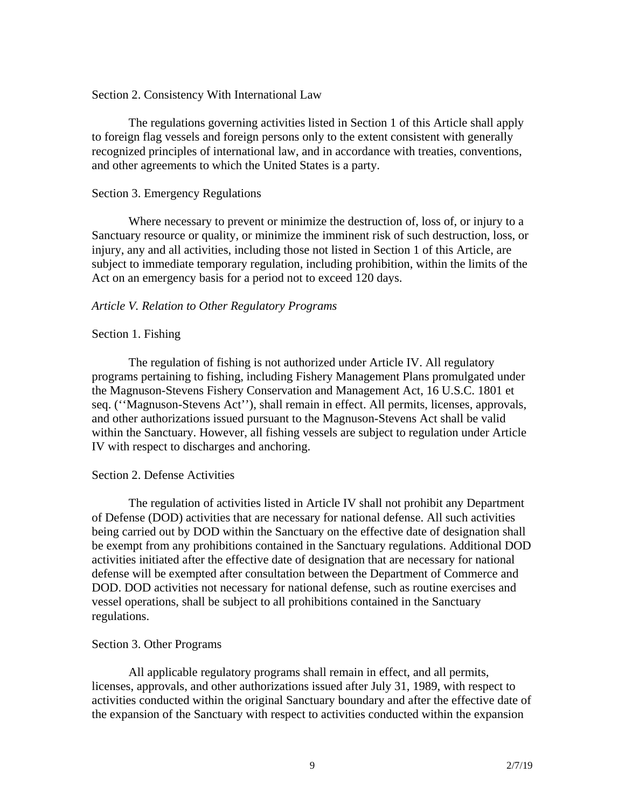## Section 2. Consistency With International Law

The regulations governing activities listed in Section 1 of this Article shall apply to foreign flag vessels and foreign persons only to the extent consistent with generally recognized principles of international law, and in accordance with treaties, conventions, and other agreements to which the United States is a party.

## Section 3. Emergency Regulations

Where necessary to prevent or minimize the destruction of, loss of, or injury to a Sanctuary resource or quality, or minimize the imminent risk of such destruction, loss, or injury, any and all activities, including those not listed in Section 1 of this Article, are subject to immediate temporary regulation, including prohibition, within the limits of the Act on an emergency basis for a period not to exceed 120 days.

## *Article V. Relation to Other Regulatory Programs*

## Section 1. Fishing

The regulation of fishing is not authorized under Article IV. All regulatory programs pertaining to fishing, including Fishery Management Plans promulgated under the Magnuson-Stevens Fishery Conservation and Management Act, 16 U.S.C. 1801 et seq. (''Magnuson-Stevens Act''), shall remain in effect. All permits, licenses, approvals, and other authorizations issued pursuant to the Magnuson-Stevens Act shall be valid within the Sanctuary. However, all fishing vessels are subject to regulation under Article IV with respect to discharges and anchoring.

## Section 2. Defense Activities

The regulation of activities listed in Article IV shall not prohibit any Department of Defense (DOD) activities that are necessary for national defense. All such activities being carried out by DOD within the Sanctuary on the effective date of designation shall be exempt from any prohibitions contained in the Sanctuary regulations. Additional DOD activities initiated after the effective date of designation that are necessary for national defense will be exempted after consultation between the Department of Commerce and DOD. DOD activities not necessary for national defense, such as routine exercises and vessel operations, shall be subject to all prohibitions contained in the Sanctuary regulations.

## Section 3. Other Programs

All applicable regulatory programs shall remain in effect, and all permits, licenses, approvals, and other authorizations issued after July 31, 1989, with respect to activities conducted within the original Sanctuary boundary and after the effective date of the expansion of the Sanctuary with respect to activities conducted within the expansion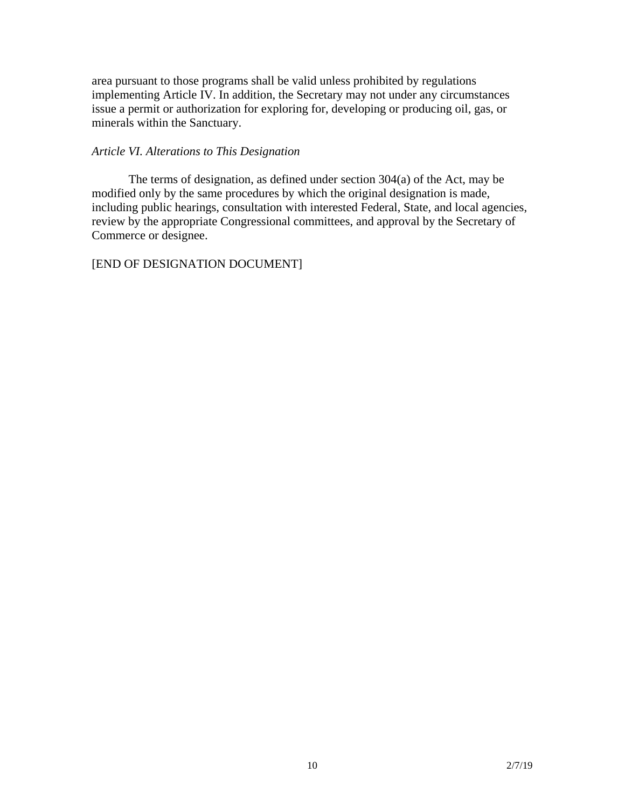area pursuant to those programs shall be valid unless prohibited by regulations implementing Article IV. In addition, the Secretary may not under any circumstances issue a permit or authorization for exploring for, developing or producing oil, gas, or minerals within the Sanctuary.

## *Article VI. Alterations to This Designation*

The terms of designation, as defined under section 304(a) of the Act, may be modified only by the same procedures by which the original designation is made, including public hearings, consultation with interested Federal, State, and local agencies, review by the appropriate Congressional committees, and approval by the Secretary of Commerce or designee.

## [END OF DESIGNATION DOCUMENT]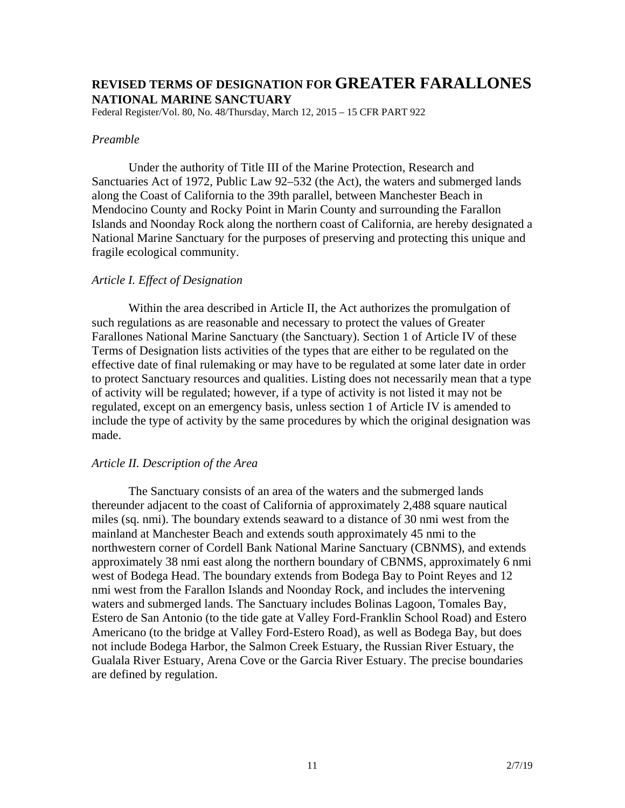## **REVISED TERMS OF DESIGNATION FOR GREATER FARALLONES NATIONAL MARINE SANCTUARY**

Federal Register/Vol. 80, No. 48/Thursday, March 12, 2015 – 15 CFR PART 922

### *Preamble*

Under the authority of Title III of the Marine Protection, Research and Sanctuaries Act of 1972, Public Law 92–532 (the Act), the waters and submerged lands along the Coast of California to the 39th parallel, between Manchester Beach in Mendocino County and Rocky Point in Marin County and surrounding the Farallon Islands and Noonday Rock along the northern coast of California, are hereby designated a National Marine Sanctuary for the purposes of preserving and protecting this unique and fragile ecological community.

## *Article I. Effect of Designation*

Within the area described in Article II, the Act authorizes the promulgation of such regulations as are reasonable and necessary to protect the values of Greater Farallones National Marine Sanctuary (the Sanctuary). Section 1 of Article IV of these Terms of Designation lists activities of the types that are either to be regulated on the effective date of final rulemaking or may have to be regulated at some later date in order to protect Sanctuary resources and qualities. Listing does not necessarily mean that a type of activity will be regulated; however, if a type of activity is not listed it may not be regulated, except on an emergency basis, unless section 1 of Article IV is amended to include the type of activity by the same procedures by which the original designation was made.

## *Article II. Description of the Area*

The Sanctuary consists of an area of the waters and the submerged lands thereunder adjacent to the coast of California of approximately 2,488 square nautical miles (sq. nmi). The boundary extends seaward to a distance of 30 nmi west from the mainland at Manchester Beach and extends south approximately 45 nmi to the northwestern corner of Cordell Bank National Marine Sanctuary (CBNMS), and extends approximately 38 nmi east along the northern boundary of CBNMS, approximately 6 nmi west of Bodega Head. The boundary extends from Bodega Bay to Point Reyes and 12 nmi west from the Farallon Islands and Noonday Rock, and includes the intervening waters and submerged lands. The Sanctuary includes Bolinas Lagoon, Tomales Bay, Estero de San Antonio (to the tide gate at Valley Ford-Franklin School Road) and Estero Americano (to the bridge at Valley Ford-Estero Road), as well as Bodega Bay, but does not include Bodega Harbor, the Salmon Creek Estuary, the Russian River Estuary, the Gualala River Estuary, Arena Cove or the Garcia River Estuary. The precise boundaries are defined by regulation.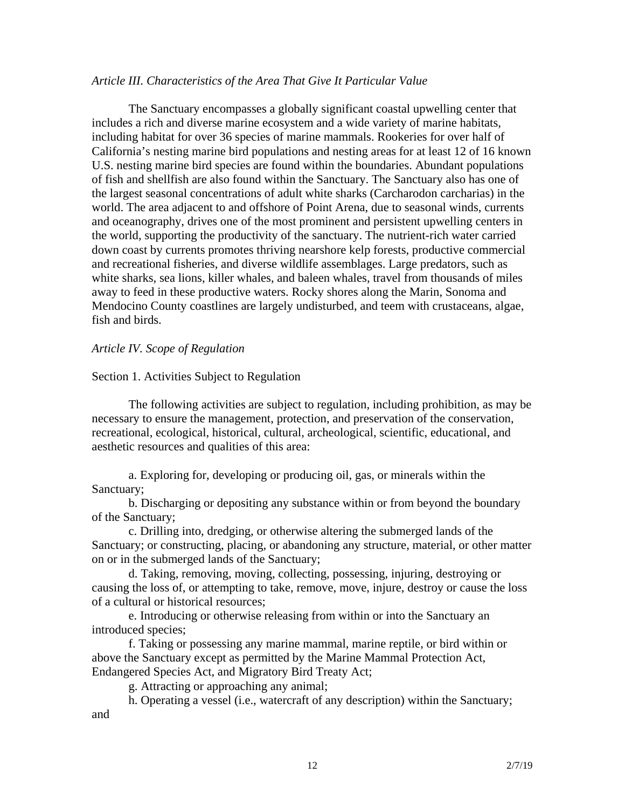## *Article III. Characteristics of the Area That Give It Particular Value*

The Sanctuary encompasses a globally significant coastal upwelling center that includes a rich and diverse marine ecosystem and a wide variety of marine habitats, including habitat for over 36 species of marine mammals. Rookeries for over half of California's nesting marine bird populations and nesting areas for at least 12 of 16 known U.S. nesting marine bird species are found within the boundaries. Abundant populations of fish and shellfish are also found within the Sanctuary. The Sanctuary also has one of the largest seasonal concentrations of adult white sharks (Carcharodon carcharias) in the world. The area adjacent to and offshore of Point Arena, due to seasonal winds, currents and oceanography, drives one of the most prominent and persistent upwelling centers in the world, supporting the productivity of the sanctuary. The nutrient-rich water carried down coast by currents promotes thriving nearshore kelp forests, productive commercial and recreational fisheries, and diverse wildlife assemblages. Large predators, such as white sharks, sea lions, killer whales, and baleen whales, travel from thousands of miles away to feed in these productive waters. Rocky shores along the Marin, Sonoma and Mendocino County coastlines are largely undisturbed, and teem with crustaceans, algae, fish and birds.

## *Article IV. Scope of Regulation*

## Section 1. Activities Subject to Regulation

The following activities are subject to regulation, including prohibition, as may be necessary to ensure the management, protection, and preservation of the conservation, recreational, ecological, historical, cultural, archeological, scientific, educational, and aesthetic resources and qualities of this area:

a. Exploring for, developing or producing oil, gas, or minerals within the Sanctuary;

b. Discharging or depositing any substance within or from beyond the boundary of the Sanctuary;

c. Drilling into, dredging, or otherwise altering the submerged lands of the Sanctuary; or constructing, placing, or abandoning any structure, material, or other matter on or in the submerged lands of the Sanctuary;

d. Taking, removing, moving, collecting, possessing, injuring, destroying or causing the loss of, or attempting to take, remove, move, injure, destroy or cause the loss of a cultural or historical resources;

e. Introducing or otherwise releasing from within or into the Sanctuary an introduced species;

f. Taking or possessing any marine mammal, marine reptile, or bird within or above the Sanctuary except as permitted by the Marine Mammal Protection Act, Endangered Species Act, and Migratory Bird Treaty Act;

g. Attracting or approaching any animal;

h. Operating a vessel (i.e., watercraft of any description) within the Sanctuary; and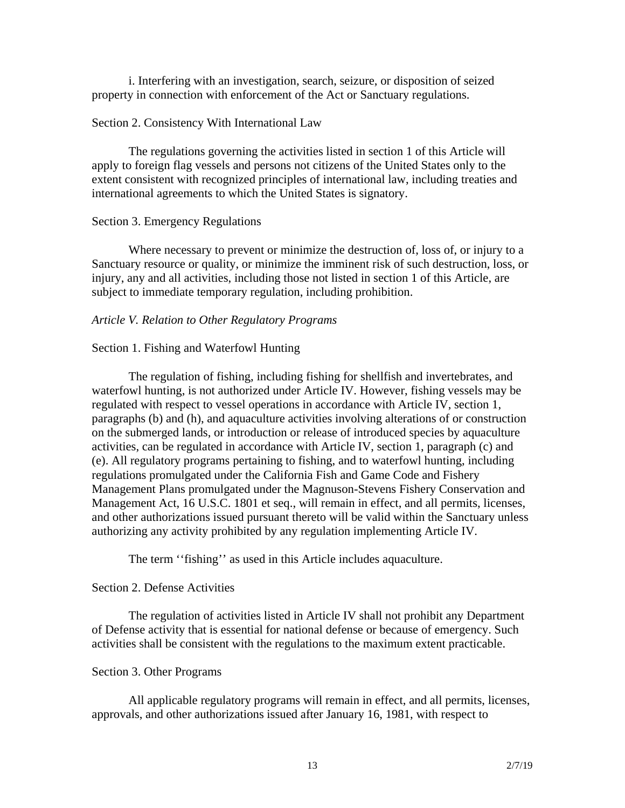i. Interfering with an investigation, search, seizure, or disposition of seized property in connection with enforcement of the Act or Sanctuary regulations.

## Section 2. Consistency With International Law

The regulations governing the activities listed in section 1 of this Article will apply to foreign flag vessels and persons not citizens of the United States only to the extent consistent with recognized principles of international law, including treaties and international agreements to which the United States is signatory.

## Section 3. Emergency Regulations

Where necessary to prevent or minimize the destruction of, loss of, or injury to a Sanctuary resource or quality, or minimize the imminent risk of such destruction, loss, or injury, any and all activities, including those not listed in section 1 of this Article, are subject to immediate temporary regulation, including prohibition.

## *Article V. Relation to Other Regulatory Programs*

## Section 1. Fishing and Waterfowl Hunting

The regulation of fishing, including fishing for shellfish and invertebrates, and waterfowl hunting, is not authorized under Article IV. However, fishing vessels may be regulated with respect to vessel operations in accordance with Article IV, section 1, paragraphs (b) and (h), and aquaculture activities involving alterations of or construction on the submerged lands, or introduction or release of introduced species by aquaculture activities, can be regulated in accordance with Article IV, section 1, paragraph (c) and (e). All regulatory programs pertaining to fishing, and to waterfowl hunting, including regulations promulgated under the California Fish and Game Code and Fishery Management Plans promulgated under the Magnuson-Stevens Fishery Conservation and Management Act, 16 U.S.C. 1801 et seq., will remain in effect, and all permits, licenses, and other authorizations issued pursuant thereto will be valid within the Sanctuary unless authorizing any activity prohibited by any regulation implementing Article IV.

The term "fishing" as used in this Article includes aquaculture.

## Section 2. Defense Activities

The regulation of activities listed in Article IV shall not prohibit any Department of Defense activity that is essential for national defense or because of emergency. Such activities shall be consistent with the regulations to the maximum extent practicable.

## Section 3. Other Programs

All applicable regulatory programs will remain in effect, and all permits, licenses, approvals, and other authorizations issued after January 16, 1981, with respect to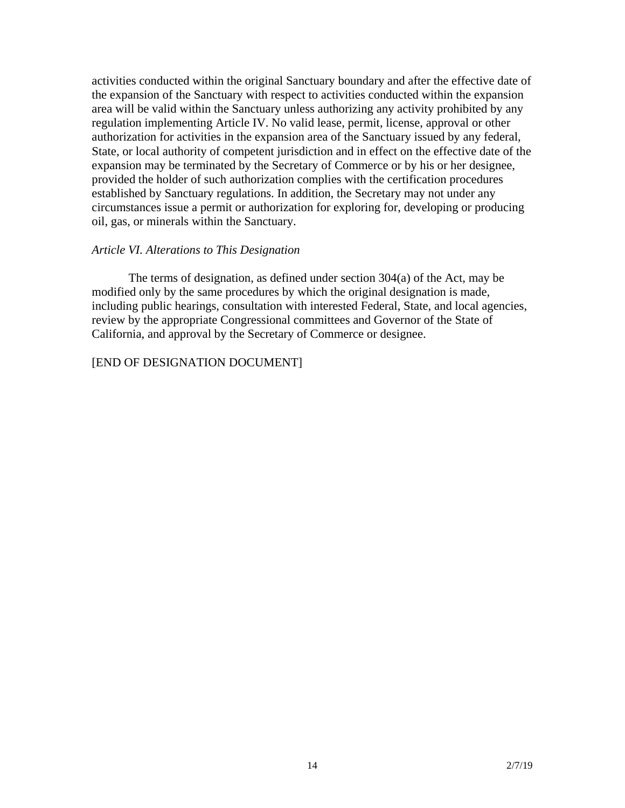activities conducted within the original Sanctuary boundary and after the effective date of the expansion of the Sanctuary with respect to activities conducted within the expansion area will be valid within the Sanctuary unless authorizing any activity prohibited by any regulation implementing Article IV. No valid lease, permit, license, approval or other authorization for activities in the expansion area of the Sanctuary issued by any federal, State, or local authority of competent jurisdiction and in effect on the effective date of the expansion may be terminated by the Secretary of Commerce or by his or her designee, provided the holder of such authorization complies with the certification procedures established by Sanctuary regulations. In addition, the Secretary may not under any circumstances issue a permit or authorization for exploring for, developing or producing oil, gas, or minerals within the Sanctuary.

## *Article VI. Alterations to This Designation*

The terms of designation, as defined under section 304(a) of the Act, may be modified only by the same procedures by which the original designation is made, including public hearings, consultation with interested Federal, State, and local agencies, review by the appropriate Congressional committees and Governor of the State of California, and approval by the Secretary of Commerce or designee.

[END OF DESIGNATION DOCUMENT]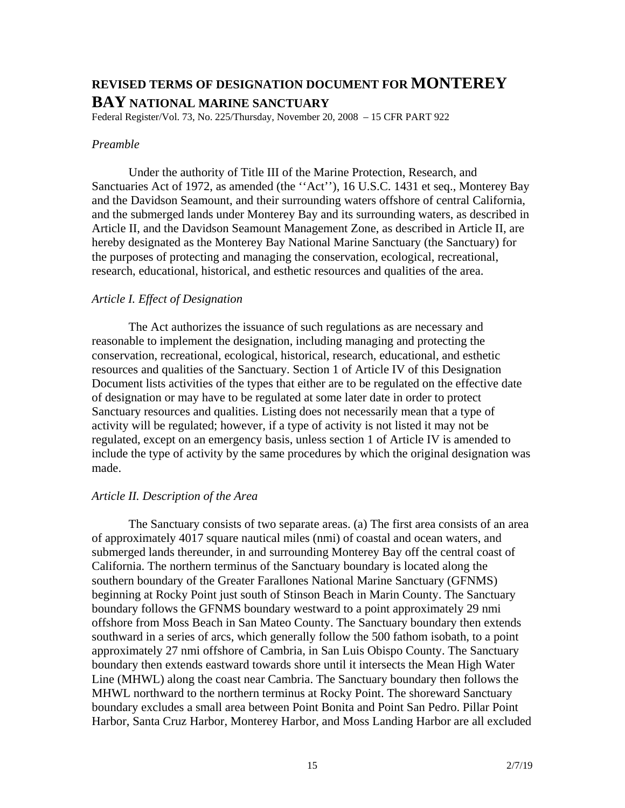## **REVISED TERMS OF DESIGNATION DOCUMENT FOR MONTEREY BAY NATIONAL MARINE SANCTUARY**

Federal Register/Vol. 73, No. 225/Thursday, November 20, 2008 – 15 CFR PART 922

## *Preamble*

Under the authority of Title III of the Marine Protection, Research, and Sanctuaries Act of 1972, as amended (the ''Act''), 16 U.S.C. 1431 et seq., Monterey Bay and the Davidson Seamount, and their surrounding waters offshore of central California, and the submerged lands under Monterey Bay and its surrounding waters, as described in Article II, and the Davidson Seamount Management Zone, as described in Article II, are hereby designated as the Monterey Bay National Marine Sanctuary (the Sanctuary) for the purposes of protecting and managing the conservation, ecological, recreational, research, educational, historical, and esthetic resources and qualities of the area.

## *Article I. Effect of Designation*

The Act authorizes the issuance of such regulations as are necessary and reasonable to implement the designation, including managing and protecting the conservation, recreational, ecological, historical, research, educational, and esthetic resources and qualities of the Sanctuary. Section 1 of Article IV of this Designation Document lists activities of the types that either are to be regulated on the effective date of designation or may have to be regulated at some later date in order to protect Sanctuary resources and qualities. Listing does not necessarily mean that a type of activity will be regulated; however, if a type of activity is not listed it may not be regulated, except on an emergency basis, unless section 1 of Article IV is amended to include the type of activity by the same procedures by which the original designation was made.

## *Article II. Description of the Area*

The Sanctuary consists of two separate areas. (a) The first area consists of an area of approximately 4017 square nautical miles (nmi) of coastal and ocean waters, and submerged lands thereunder, in and surrounding Monterey Bay off the central coast of California. The northern terminus of the Sanctuary boundary is located along the southern boundary of the Greater Farallones National Marine Sanctuary (GFNMS) beginning at Rocky Point just south of Stinson Beach in Marin County. The Sanctuary boundary follows the GFNMS boundary westward to a point approximately 29 nmi offshore from Moss Beach in San Mateo County. The Sanctuary boundary then extends southward in a series of arcs, which generally follow the 500 fathom isobath, to a point approximately 27 nmi offshore of Cambria, in San Luis Obispo County. The Sanctuary boundary then extends eastward towards shore until it intersects the Mean High Water Line (MHWL) along the coast near Cambria. The Sanctuary boundary then follows the MHWL northward to the northern terminus at Rocky Point. The shoreward Sanctuary boundary excludes a small area between Point Bonita and Point San Pedro. Pillar Point Harbor, Santa Cruz Harbor, Monterey Harbor, and Moss Landing Harbor are all excluded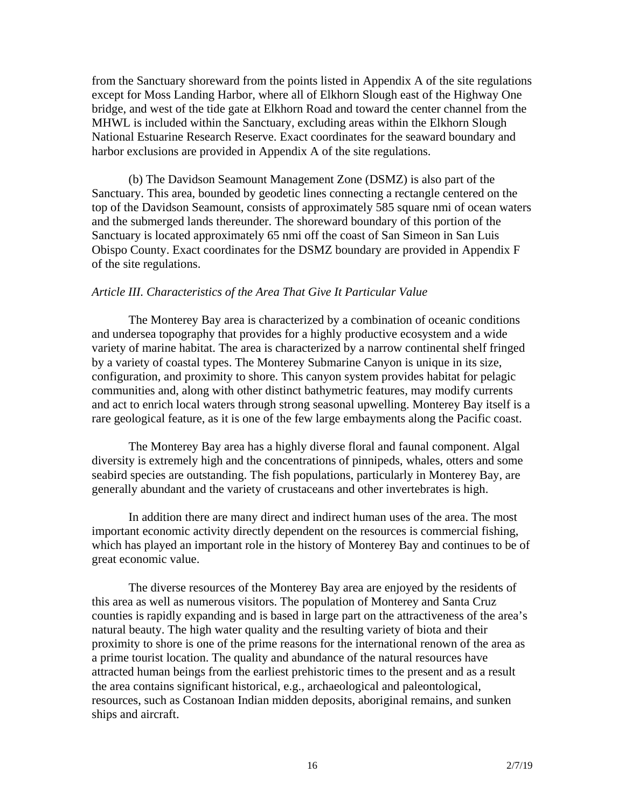from the Sanctuary shoreward from the points listed in Appendix A of the site regulations except for Moss Landing Harbor, where all of Elkhorn Slough east of the Highway One bridge, and west of the tide gate at Elkhorn Road and toward the center channel from the MHWL is included within the Sanctuary, excluding areas within the Elkhorn Slough National Estuarine Research Reserve. Exact coordinates for the seaward boundary and harbor exclusions are provided in Appendix A of the site regulations.

(b) The Davidson Seamount Management Zone (DSMZ) is also part of the Sanctuary. This area, bounded by geodetic lines connecting a rectangle centered on the top of the Davidson Seamount, consists of approximately 585 square nmi of ocean waters and the submerged lands thereunder. The shoreward boundary of this portion of the Sanctuary is located approximately 65 nmi off the coast of San Simeon in San Luis Obispo County. Exact coordinates for the DSMZ boundary are provided in Appendix F of the site regulations.

## *Article III. Characteristics of the Area That Give It Particular Value*

The Monterey Bay area is characterized by a combination of oceanic conditions and undersea topography that provides for a highly productive ecosystem and a wide variety of marine habitat. The area is characterized by a narrow continental shelf fringed by a variety of coastal types. The Monterey Submarine Canyon is unique in its size, configuration, and proximity to shore. This canyon system provides habitat for pelagic communities and, along with other distinct bathymetric features, may modify currents and act to enrich local waters through strong seasonal upwelling. Monterey Bay itself is a rare geological feature, as it is one of the few large embayments along the Pacific coast.

The Monterey Bay area has a highly diverse floral and faunal component. Algal diversity is extremely high and the concentrations of pinnipeds, whales, otters and some seabird species are outstanding. The fish populations, particularly in Monterey Bay, are generally abundant and the variety of crustaceans and other invertebrates is high.

In addition there are many direct and indirect human uses of the area. The most important economic activity directly dependent on the resources is commercial fishing, which has played an important role in the history of Monterey Bay and continues to be of great economic value.

The diverse resources of the Monterey Bay area are enjoyed by the residents of this area as well as numerous visitors. The population of Monterey and Santa Cruz counties is rapidly expanding and is based in large part on the attractiveness of the area's natural beauty. The high water quality and the resulting variety of biota and their proximity to shore is one of the prime reasons for the international renown of the area as a prime tourist location. The quality and abundance of the natural resources have attracted human beings from the earliest prehistoric times to the present and as a result the area contains significant historical, e.g., archaeological and paleontological, resources, such as Costanoan Indian midden deposits, aboriginal remains, and sunken ships and aircraft.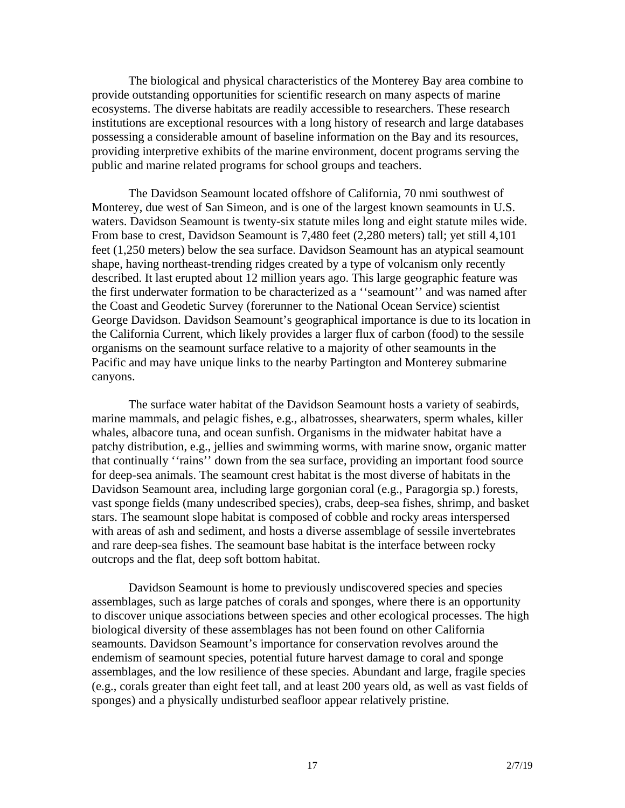The biological and physical characteristics of the Monterey Bay area combine to provide outstanding opportunities for scientific research on many aspects of marine ecosystems. The diverse habitats are readily accessible to researchers. These research institutions are exceptional resources with a long history of research and large databases possessing a considerable amount of baseline information on the Bay and its resources, providing interpretive exhibits of the marine environment, docent programs serving the public and marine related programs for school groups and teachers.

The Davidson Seamount located offshore of California, 70 nmi southwest of Monterey, due west of San Simeon, and is one of the largest known seamounts in U.S. waters. Davidson Seamount is twenty-six statute miles long and eight statute miles wide. From base to crest, Davidson Seamount is 7,480 feet (2,280 meters) tall; yet still 4,101 feet (1,250 meters) below the sea surface. Davidson Seamount has an atypical seamount shape, having northeast-trending ridges created by a type of volcanism only recently described. It last erupted about 12 million years ago. This large geographic feature was the first underwater formation to be characterized as a ''seamount'' and was named after the Coast and Geodetic Survey (forerunner to the National Ocean Service) scientist George Davidson. Davidson Seamount's geographical importance is due to its location in the California Current, which likely provides a larger flux of carbon (food) to the sessile organisms on the seamount surface relative to a majority of other seamounts in the Pacific and may have unique links to the nearby Partington and Monterey submarine canyons.

The surface water habitat of the Davidson Seamount hosts a variety of seabirds, marine mammals, and pelagic fishes, e.g., albatrosses, shearwaters, sperm whales, killer whales, albacore tuna, and ocean sunfish. Organisms in the midwater habitat have a patchy distribution, e.g., jellies and swimming worms, with marine snow, organic matter that continually ''rains'' down from the sea surface, providing an important food source for deep-sea animals. The seamount crest habitat is the most diverse of habitats in the Davidson Seamount area, including large gorgonian coral (e.g., Paragorgia sp.) forests, vast sponge fields (many undescribed species), crabs, deep-sea fishes, shrimp, and basket stars. The seamount slope habitat is composed of cobble and rocky areas interspersed with areas of ash and sediment, and hosts a diverse assemblage of sessile invertebrates and rare deep-sea fishes. The seamount base habitat is the interface between rocky outcrops and the flat, deep soft bottom habitat.

Davidson Seamount is home to previously undiscovered species and species assemblages, such as large patches of corals and sponges, where there is an opportunity to discover unique associations between species and other ecological processes. The high biological diversity of these assemblages has not been found on other California seamounts. Davidson Seamount's importance for conservation revolves around the endemism of seamount species, potential future harvest damage to coral and sponge assemblages, and the low resilience of these species. Abundant and large, fragile species (e.g., corals greater than eight feet tall, and at least 200 years old, as well as vast fields of sponges) and a physically undisturbed seafloor appear relatively pristine.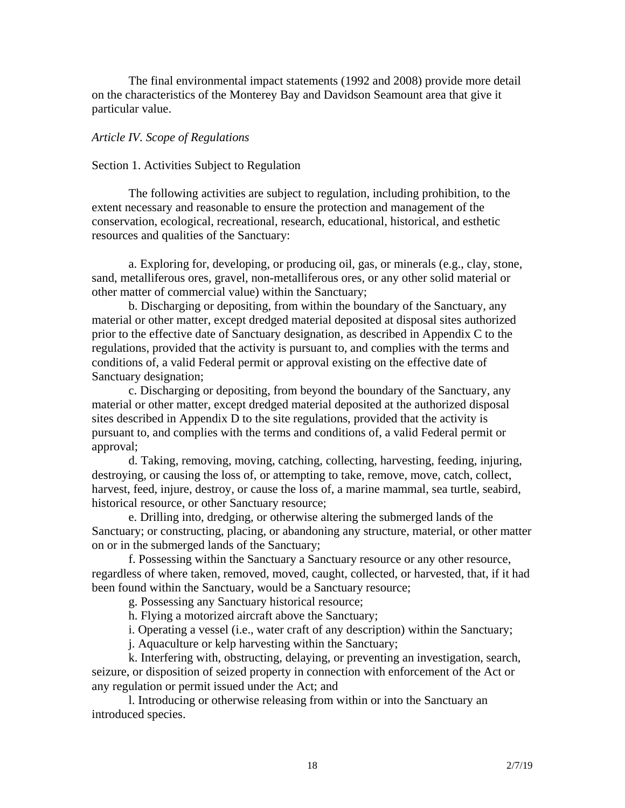The final environmental impact statements (1992 and 2008) provide more detail on the characteristics of the Monterey Bay and Davidson Seamount area that give it particular value.

## *Article IV. Scope of Regulations*

### Section 1. Activities Subject to Regulation

The following activities are subject to regulation, including prohibition, to the extent necessary and reasonable to ensure the protection and management of the conservation, ecological, recreational, research, educational, historical, and esthetic resources and qualities of the Sanctuary:

a. Exploring for, developing, or producing oil, gas, or minerals (e.g., clay, stone, sand, metalliferous ores, gravel, non-metalliferous ores, or any other solid material or other matter of commercial value) within the Sanctuary;

b. Discharging or depositing, from within the boundary of the Sanctuary, any material or other matter, except dredged material deposited at disposal sites authorized prior to the effective date of Sanctuary designation, as described in Appendix C to the regulations, provided that the activity is pursuant to, and complies with the terms and conditions of, a valid Federal permit or approval existing on the effective date of Sanctuary designation;

c. Discharging or depositing, from beyond the boundary of the Sanctuary, any material or other matter, except dredged material deposited at the authorized disposal sites described in Appendix D to the site regulations, provided that the activity is pursuant to, and complies with the terms and conditions of, a valid Federal permit or approval;

d. Taking, removing, moving, catching, collecting, harvesting, feeding, injuring, destroying, or causing the loss of, or attempting to take, remove, move, catch, collect, harvest, feed, injure, destroy, or cause the loss of, a marine mammal, sea turtle, seabird, historical resource, or other Sanctuary resource;

e. Drilling into, dredging, or otherwise altering the submerged lands of the Sanctuary; or constructing, placing, or abandoning any structure, material, or other matter on or in the submerged lands of the Sanctuary;

f. Possessing within the Sanctuary a Sanctuary resource or any other resource, regardless of where taken, removed, moved, caught, collected, or harvested, that, if it had been found within the Sanctuary, would be a Sanctuary resource;

g. Possessing any Sanctuary historical resource;

h. Flying a motorized aircraft above the Sanctuary;

i. Operating a vessel (i.e., water craft of any description) within the Sanctuary;

j. Aquaculture or kelp harvesting within the Sanctuary;

k. Interfering with, obstructing, delaying, or preventing an investigation, search, seizure, or disposition of seized property in connection with enforcement of the Act or any regulation or permit issued under the Act; and

l. Introducing or otherwise releasing from within or into the Sanctuary an introduced species.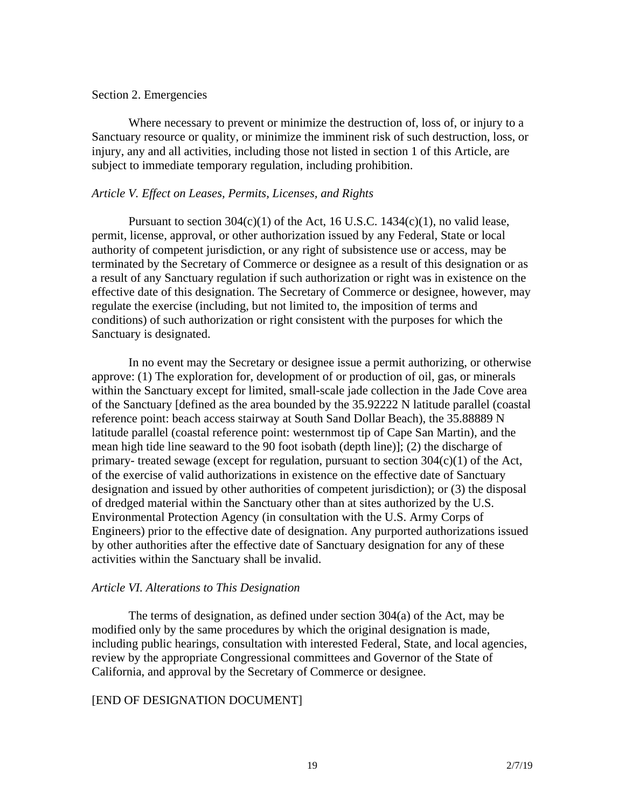## Section 2. Emergencies

Where necessary to prevent or minimize the destruction of, loss of, or injury to a Sanctuary resource or quality, or minimize the imminent risk of such destruction, loss, or injury, any and all activities, including those not listed in section 1 of this Article, are subject to immediate temporary regulation, including prohibition.

## *Article V. Effect on Leases, Permits, Licenses, and Rights*

Pursuant to section  $304(c)(1)$  of the Act, 16 U.S.C. 1434(c)(1), no valid lease, permit, license, approval, or other authorization issued by any Federal, State or local authority of competent jurisdiction, or any right of subsistence use or access, may be terminated by the Secretary of Commerce or designee as a result of this designation or as a result of any Sanctuary regulation if such authorization or right was in existence on the effective date of this designation. The Secretary of Commerce or designee, however, may regulate the exercise (including, but not limited to, the imposition of terms and conditions) of such authorization or right consistent with the purposes for which the Sanctuary is designated.

In no event may the Secretary or designee issue a permit authorizing, or otherwise approve: (1) The exploration for, development of or production of oil, gas, or minerals within the Sanctuary except for limited, small-scale jade collection in the Jade Cove area of the Sanctuary [defined as the area bounded by the 35.92222 N latitude parallel (coastal reference point: beach access stairway at South Sand Dollar Beach), the 35.88889 N latitude parallel (coastal reference point: westernmost tip of Cape San Martin), and the mean high tide line seaward to the 90 foot isobath (depth line)]; (2) the discharge of primary- treated sewage (except for regulation, pursuant to section 304(c)(1) of the Act, of the exercise of valid authorizations in existence on the effective date of Sanctuary designation and issued by other authorities of competent jurisdiction); or (3) the disposal of dredged material within the Sanctuary other than at sites authorized by the U.S. Environmental Protection Agency (in consultation with the U.S. Army Corps of Engineers) prior to the effective date of designation. Any purported authorizations issued by other authorities after the effective date of Sanctuary designation for any of these activities within the Sanctuary shall be invalid.

## *Article VI. Alterations to This Designation*

The terms of designation, as defined under section 304(a) of the Act, may be modified only by the same procedures by which the original designation is made, including public hearings, consultation with interested Federal, State, and local agencies, review by the appropriate Congressional committees and Governor of the State of California, and approval by the Secretary of Commerce or designee.

## [END OF DESIGNATION DOCUMENT]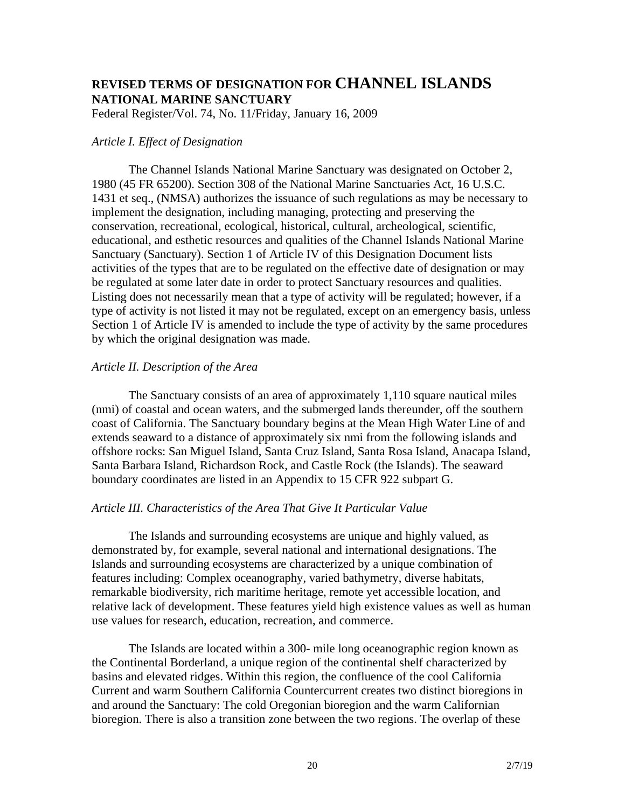## **REVISED TERMS OF DESIGNATION FOR CHANNEL ISLANDS NATIONAL MARINE SANCTUARY**

Federal Register/Vol. 74, No. 11/Friday, January 16, 2009

## *Article I. Effect of Designation*

The Channel Islands National Marine Sanctuary was designated on October 2, 1980 (45 FR 65200). Section 308 of the National Marine Sanctuaries Act, 16 U.S.C. 1431 et seq., (NMSA) authorizes the issuance of such regulations as may be necessary to implement the designation, including managing, protecting and preserving the conservation, recreational, ecological, historical, cultural, archeological, scientific, educational, and esthetic resources and qualities of the Channel Islands National Marine Sanctuary (Sanctuary). Section 1 of Article IV of this Designation Document lists activities of the types that are to be regulated on the effective date of designation or may be regulated at some later date in order to protect Sanctuary resources and qualities. Listing does not necessarily mean that a type of activity will be regulated; however, if a type of activity is not listed it may not be regulated, except on an emergency basis, unless Section 1 of Article IV is amended to include the type of activity by the same procedures by which the original designation was made.

## *Article II. Description of the Area*

The Sanctuary consists of an area of approximately 1,110 square nautical miles (nmi) of coastal and ocean waters, and the submerged lands thereunder, off the southern coast of California. The Sanctuary boundary begins at the Mean High Water Line of and extends seaward to a distance of approximately six nmi from the following islands and offshore rocks: San Miguel Island, Santa Cruz Island, Santa Rosa Island, Anacapa Island, Santa Barbara Island, Richardson Rock, and Castle Rock (the Islands). The seaward boundary coordinates are listed in an Appendix to 15 CFR 922 subpart G.

## *Article III. Characteristics of the Area That Give It Particular Value*

The Islands and surrounding ecosystems are unique and highly valued, as demonstrated by, for example, several national and international designations. The Islands and surrounding ecosystems are characterized by a unique combination of features including: Complex oceanography, varied bathymetry, diverse habitats, remarkable biodiversity, rich maritime heritage, remote yet accessible location, and relative lack of development. These features yield high existence values as well as human use values for research, education, recreation, and commerce.

The Islands are located within a 300- mile long oceanographic region known as the Continental Borderland, a unique region of the continental shelf characterized by basins and elevated ridges. Within this region, the confluence of the cool California Current and warm Southern California Countercurrent creates two distinct bioregions in and around the Sanctuary: The cold Oregonian bioregion and the warm Californian bioregion. There is also a transition zone between the two regions. The overlap of these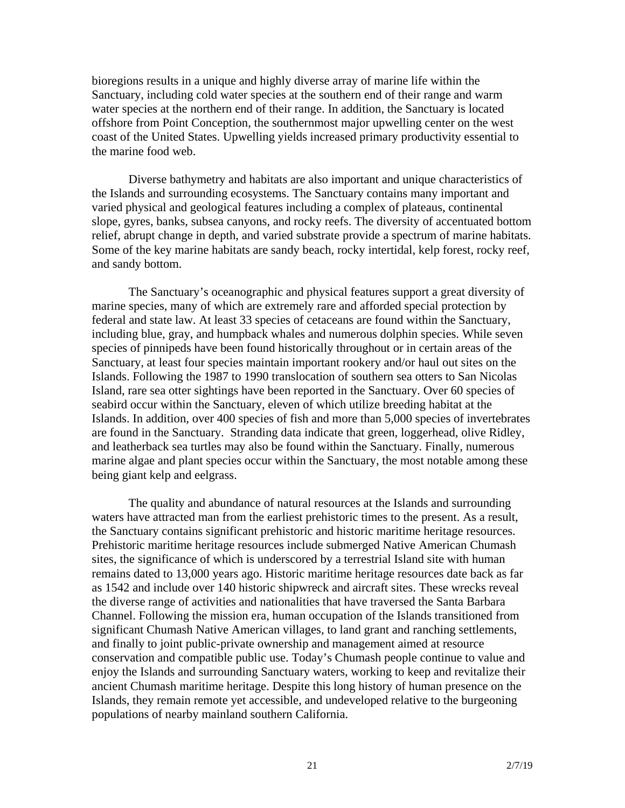bioregions results in a unique and highly diverse array of marine life within the Sanctuary, including cold water species at the southern end of their range and warm water species at the northern end of their range. In addition, the Sanctuary is located offshore from Point Conception, the southernmost major upwelling center on the west coast of the United States. Upwelling yields increased primary productivity essential to the marine food web.

Diverse bathymetry and habitats are also important and unique characteristics of the Islands and surrounding ecosystems. The Sanctuary contains many important and varied physical and geological features including a complex of plateaus, continental slope, gyres, banks, subsea canyons, and rocky reefs. The diversity of accentuated bottom relief, abrupt change in depth, and varied substrate provide a spectrum of marine habitats. Some of the key marine habitats are sandy beach, rocky intertidal, kelp forest, rocky reef, and sandy bottom.

The Sanctuary's oceanographic and physical features support a great diversity of marine species, many of which are extremely rare and afforded special protection by federal and state law. At least 33 species of cetaceans are found within the Sanctuary, including blue, gray, and humpback whales and numerous dolphin species. While seven species of pinnipeds have been found historically throughout or in certain areas of the Sanctuary, at least four species maintain important rookery and/or haul out sites on the Islands. Following the 1987 to 1990 translocation of southern sea otters to San Nicolas Island, rare sea otter sightings have been reported in the Sanctuary. Over 60 species of seabird occur within the Sanctuary, eleven of which utilize breeding habitat at the Islands. In addition, over 400 species of fish and more than 5,000 species of invertebrates are found in the Sanctuary. Stranding data indicate that green, loggerhead, olive Ridley, and leatherback sea turtles may also be found within the Sanctuary. Finally, numerous marine algae and plant species occur within the Sanctuary, the most notable among these being giant kelp and eelgrass.

The quality and abundance of natural resources at the Islands and surrounding waters have attracted man from the earliest prehistoric times to the present. As a result, the Sanctuary contains significant prehistoric and historic maritime heritage resources. Prehistoric maritime heritage resources include submerged Native American Chumash sites, the significance of which is underscored by a terrestrial Island site with human remains dated to 13,000 years ago. Historic maritime heritage resources date back as far as 1542 and include over 140 historic shipwreck and aircraft sites. These wrecks reveal the diverse range of activities and nationalities that have traversed the Santa Barbara Channel. Following the mission era, human occupation of the Islands transitioned from significant Chumash Native American villages, to land grant and ranching settlements, and finally to joint public-private ownership and management aimed at resource conservation and compatible public use. Today's Chumash people continue to value and enjoy the Islands and surrounding Sanctuary waters, working to keep and revitalize their ancient Chumash maritime heritage. Despite this long history of human presence on the Islands, they remain remote yet accessible, and undeveloped relative to the burgeoning populations of nearby mainland southern California.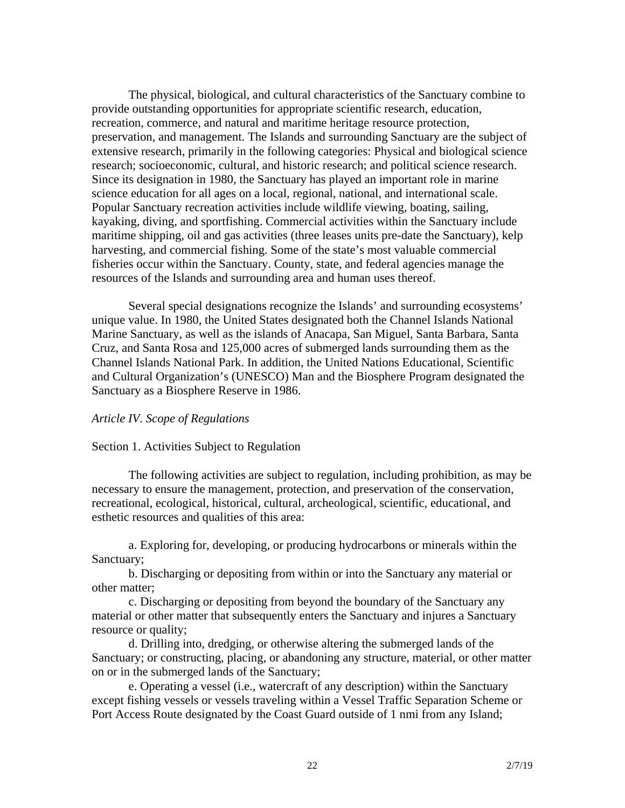The physical, biological, and cultural characteristics of the Sanctuary combine to provide outstanding opportunities for appropriate scientific research, education, recreation, commerce, and natural and maritime heritage resource protection, preservation, and management. The Islands and surrounding Sanctuary are the subject of extensive research, primarily in the following categories: Physical and biological science research; socioeconomic, cultural, and historic research; and political science research. Since its designation in 1980, the Sanctuary has played an important role in marine science education for all ages on a local, regional, national, and international scale. Popular Sanctuary recreation activities include wildlife viewing, boating, sailing, kayaking, diving, and sportfishing. Commercial activities within the Sanctuary include maritime shipping, oil and gas activities (three leases units pre-date the Sanctuary), kelp harvesting, and commercial fishing. Some of the state's most valuable commercial fisheries occur within the Sanctuary. County, state, and federal agencies manage the resources of the Islands and surrounding area and human uses thereof.

Several special designations recognize the Islands' and surrounding ecosystems' unique value. In 1980, the United States designated both the Channel Islands National Marine Sanctuary, as well as the islands of Anacapa, San Miguel, Santa Barbara, Santa Cruz, and Santa Rosa and 125,000 acres of submerged lands surrounding them as the Channel Islands National Park. In addition, the United Nations Educational, Scientific and Cultural Organization's (UNESCO) Man and the Biosphere Program designated the Sanctuary as a Biosphere Reserve in 1986.

## *Article IV. Scope of Regulations*

## Section 1. Activities Subject to Regulation

The following activities are subject to regulation, including prohibition, as may be necessary to ensure the management, protection, and preservation of the conservation, recreational, ecological, historical, cultural, archeological, scientific, educational, and esthetic resources and qualities of this area:

a. Exploring for, developing, or producing hydrocarbons or minerals within the Sanctuary;

b. Discharging or depositing from within or into the Sanctuary any material or other matter;

c. Discharging or depositing from beyond the boundary of the Sanctuary any material or other matter that subsequently enters the Sanctuary and injures a Sanctuary resource or quality;

d. Drilling into, dredging, or otherwise altering the submerged lands of the Sanctuary; or constructing, placing, or abandoning any structure, material, or other matter on or in the submerged lands of the Sanctuary;

e. Operating a vessel (i.e., watercraft of any description) within the Sanctuary except fishing vessels or vessels traveling within a Vessel Traffic Separation Scheme or Port Access Route designated by the Coast Guard outside of 1 nmi from any Island;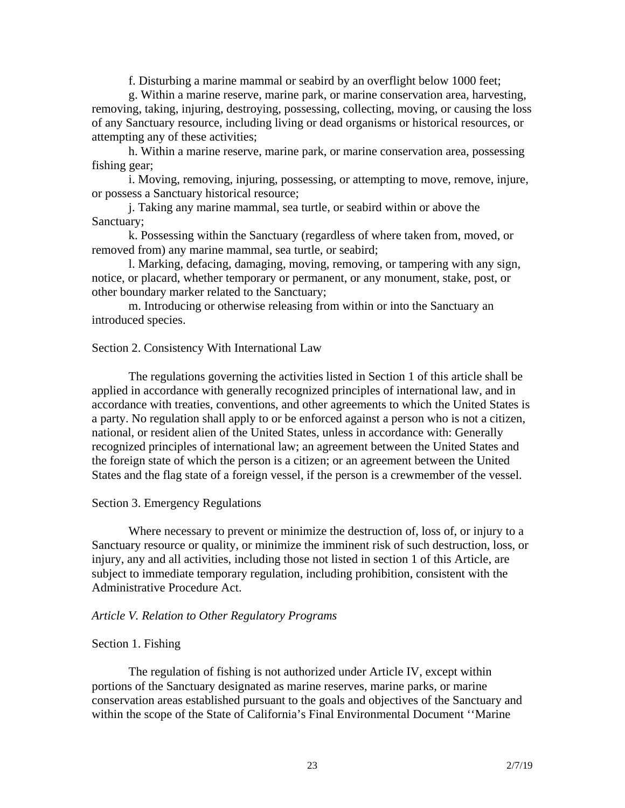f. Disturbing a marine mammal or seabird by an overflight below 1000 feet;

g. Within a marine reserve, marine park, or marine conservation area, harvesting, removing, taking, injuring, destroying, possessing, collecting, moving, or causing the loss of any Sanctuary resource, including living or dead organisms or historical resources, or attempting any of these activities;

h. Within a marine reserve, marine park, or marine conservation area, possessing fishing gear;

i. Moving, removing, injuring, possessing, or attempting to move, remove, injure, or possess a Sanctuary historical resource;

j. Taking any marine mammal, sea turtle, or seabird within or above the Sanctuary;

k. Possessing within the Sanctuary (regardless of where taken from, moved, or removed from) any marine mammal, sea turtle, or seabird;

l. Marking, defacing, damaging, moving, removing, or tampering with any sign, notice, or placard, whether temporary or permanent, or any monument, stake, post, or other boundary marker related to the Sanctuary;

m. Introducing or otherwise releasing from within or into the Sanctuary an introduced species.

### Section 2. Consistency With International Law

The regulations governing the activities listed in Section 1 of this article shall be applied in accordance with generally recognized principles of international law, and in accordance with treaties, conventions, and other agreements to which the United States is a party. No regulation shall apply to or be enforced against a person who is not a citizen, national, or resident alien of the United States, unless in accordance with: Generally recognized principles of international law; an agreement between the United States and the foreign state of which the person is a citizen; or an agreement between the United States and the flag state of a foreign vessel, if the person is a crewmember of the vessel.

#### Section 3. Emergency Regulations

Where necessary to prevent or minimize the destruction of, loss of, or injury to a Sanctuary resource or quality, or minimize the imminent risk of such destruction, loss, or injury, any and all activities, including those not listed in section 1 of this Article, are subject to immediate temporary regulation, including prohibition, consistent with the Administrative Procedure Act.

#### *Article V. Relation to Other Regulatory Programs*

#### Section 1. Fishing

The regulation of fishing is not authorized under Article IV, except within portions of the Sanctuary designated as marine reserves, marine parks, or marine conservation areas established pursuant to the goals and objectives of the Sanctuary and within the scope of the State of California's Final Environmental Document ''Marine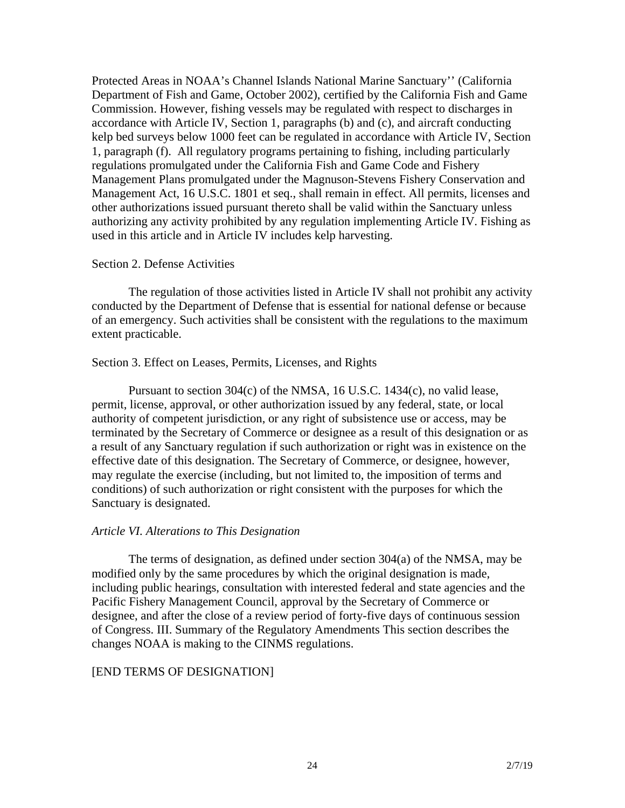Protected Areas in NOAA's Channel Islands National Marine Sanctuary'' (California Department of Fish and Game, October 2002), certified by the California Fish and Game Commission. However, fishing vessels may be regulated with respect to discharges in accordance with Article IV, Section 1, paragraphs (b) and (c), and aircraft conducting kelp bed surveys below 1000 feet can be regulated in accordance with Article IV, Section 1, paragraph (f). All regulatory programs pertaining to fishing, including particularly regulations promulgated under the California Fish and Game Code and Fishery Management Plans promulgated under the Magnuson-Stevens Fishery Conservation and Management Act, 16 U.S.C. 1801 et seq., shall remain in effect. All permits, licenses and other authorizations issued pursuant thereto shall be valid within the Sanctuary unless authorizing any activity prohibited by any regulation implementing Article IV. Fishing as used in this article and in Article IV includes kelp harvesting.

## Section 2. Defense Activities

The regulation of those activities listed in Article IV shall not prohibit any activity conducted by the Department of Defense that is essential for national defense or because of an emergency. Such activities shall be consistent with the regulations to the maximum extent practicable.

## Section 3. Effect on Leases, Permits, Licenses, and Rights

Pursuant to section 304(c) of the NMSA, 16 U.S.C. 1434(c), no valid lease, permit, license, approval, or other authorization issued by any federal, state, or local authority of competent jurisdiction, or any right of subsistence use or access, may be terminated by the Secretary of Commerce or designee as a result of this designation or as a result of any Sanctuary regulation if such authorization or right was in existence on the effective date of this designation. The Secretary of Commerce, or designee, however, may regulate the exercise (including, but not limited to, the imposition of terms and conditions) of such authorization or right consistent with the purposes for which the Sanctuary is designated.

## *Article VI. Alterations to This Designation*

The terms of designation, as defined under section 304(a) of the NMSA, may be modified only by the same procedures by which the original designation is made, including public hearings, consultation with interested federal and state agencies and the Pacific Fishery Management Council, approval by the Secretary of Commerce or designee, and after the close of a review period of forty-five days of continuous session of Congress. III. Summary of the Regulatory Amendments This section describes the changes NOAA is making to the CINMS regulations.

## [END TERMS OF DESIGNATION]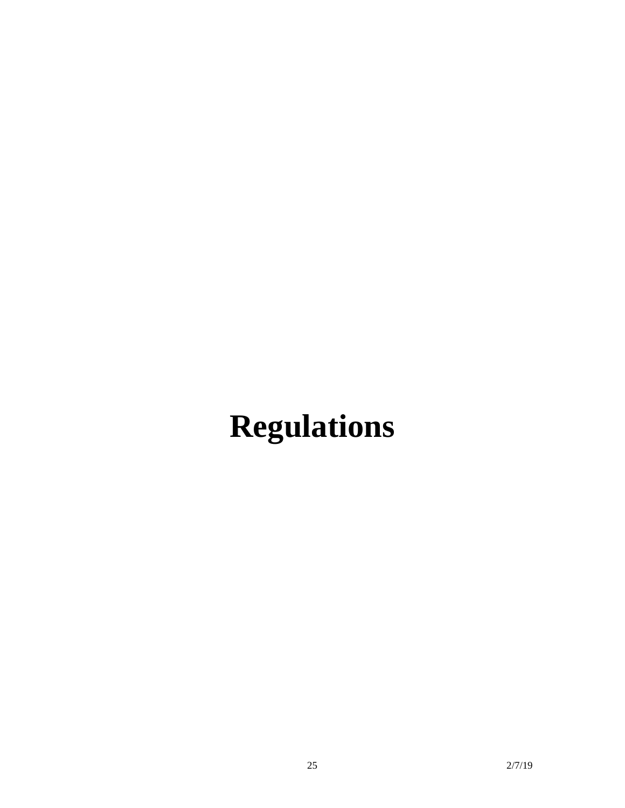# **Regulations**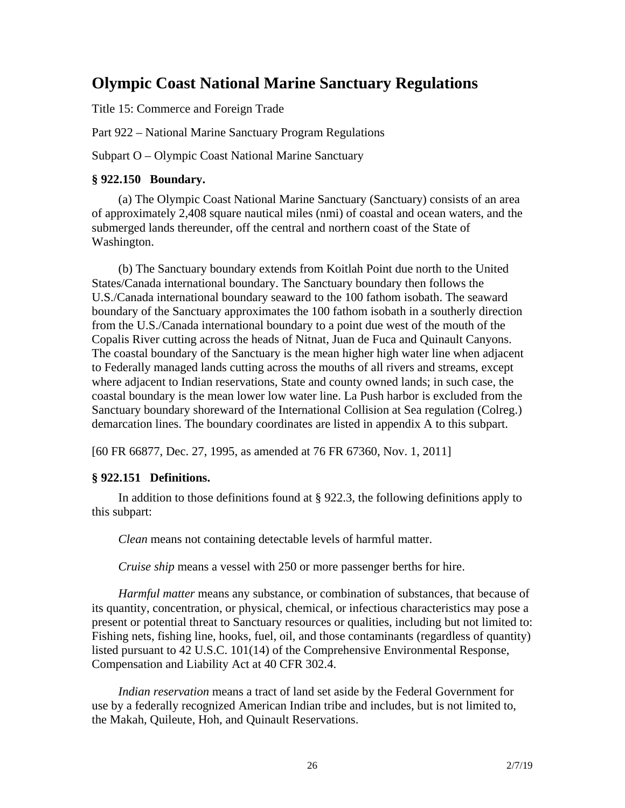## **Olympic Coast National Marine Sanctuary Regulations**

Title 15: Commerce and Foreign Trade

Part 922 – National Marine Sanctuary Program Regulations

Subpart O – Olympic Coast National Marine Sanctuary

## **§ 922.150 Boundary.**

(a) The Olympic Coast National Marine Sanctuary (Sanctuary) consists of an area of approximately 2,408 square nautical miles (nmi) of coastal and ocean waters, and the submerged lands thereunder, off the central and northern coast of the State of Washington.

(b) The Sanctuary boundary extends from Koitlah Point due north to the United States/Canada international boundary. The Sanctuary boundary then follows the U.S./Canada international boundary seaward to the 100 fathom isobath. The seaward boundary of the Sanctuary approximates the 100 fathom isobath in a southerly direction from the U.S./Canada international boundary to a point due west of the mouth of the Copalis River cutting across the heads of Nitnat, Juan de Fuca and Quinault Canyons. The coastal boundary of the Sanctuary is the mean higher high water line when adjacent to Federally managed lands cutting across the mouths of all rivers and streams, except where adjacent to Indian reservations, State and county owned lands; in such case, the coastal boundary is the mean lower low water line. La Push harbor is excluded from the Sanctuary boundary shoreward of the International Collision at Sea regulation (Colreg.) demarcation lines. The boundary coordinates are listed in appendix A to this subpart.

[60 FR 66877, Dec. 27, 1995, as amended at 76 FR 67360, Nov. 1, 2011]

## **§ 922.151 Definitions.**

In addition to those definitions found at § 922.3, the following definitions apply to this subpart:

*Clean* means not containing detectable levels of harmful matter.

*Cruise ship* means a vessel with 250 or more passenger berths for hire.

*Harmful matter* means any substance, or combination of substances, that because of its quantity, concentration, or physical, chemical, or infectious characteristics may pose a present or potential threat to Sanctuary resources or qualities, including but not limited to: Fishing nets, fishing line, hooks, fuel, oil, and those contaminants (regardless of quantity) listed pursuant to 42 U.S.C. 101(14) of the Comprehensive Environmental Response, Compensation and Liability Act at 40 CFR 302.4.

*Indian reservation* means a tract of land set aside by the Federal Government for use by a federally recognized American Indian tribe and includes, but is not limited to, the Makah, Quileute, Hoh, and Quinault Reservations.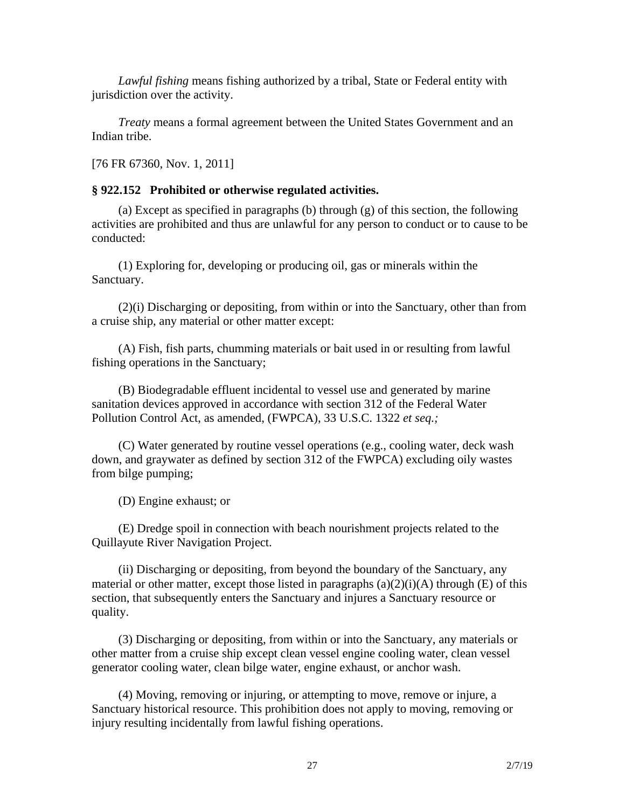*Lawful fishing* means fishing authorized by a tribal, State or Federal entity with jurisdiction over the activity.

*Treaty* means a formal agreement between the United States Government and an Indian tribe.

[76 FR 67360, Nov. 1, 2011]

## **§ 922.152 Prohibited or otherwise regulated activities.**

(a) Except as specified in paragraphs (b) through (g) of this section, the following activities are prohibited and thus are unlawful for any person to conduct or to cause to be conducted:

(1) Exploring for, developing or producing oil, gas or minerals within the Sanctuary.

(2)(i) Discharging or depositing, from within or into the Sanctuary, other than from a cruise ship, any material or other matter except:

(A) Fish, fish parts, chumming materials or bait used in or resulting from lawful fishing operations in the Sanctuary;

(B) Biodegradable effluent incidental to vessel use and generated by marine sanitation devices approved in accordance with section 312 of the Federal Water Pollution Control Act, as amended, (FWPCA), 33 U.S.C. 1322 *et seq.;*

(C) Water generated by routine vessel operations (e.g., cooling water, deck wash down, and graywater as defined by section 312 of the FWPCA) excluding oily wastes from bilge pumping;

(D) Engine exhaust; or

(E) Dredge spoil in connection with beach nourishment projects related to the Quillayute River Navigation Project.

(ii) Discharging or depositing, from beyond the boundary of the Sanctuary, any material or other matter, except those listed in paragraphs  $(a)(2)(i)(A)$  through  $(E)$  of this section, that subsequently enters the Sanctuary and injures a Sanctuary resource or quality.

(3) Discharging or depositing, from within or into the Sanctuary, any materials or other matter from a cruise ship except clean vessel engine cooling water, clean vessel generator cooling water, clean bilge water, engine exhaust, or anchor wash.

(4) Moving, removing or injuring, or attempting to move, remove or injure, a Sanctuary historical resource. This prohibition does not apply to moving, removing or injury resulting incidentally from lawful fishing operations.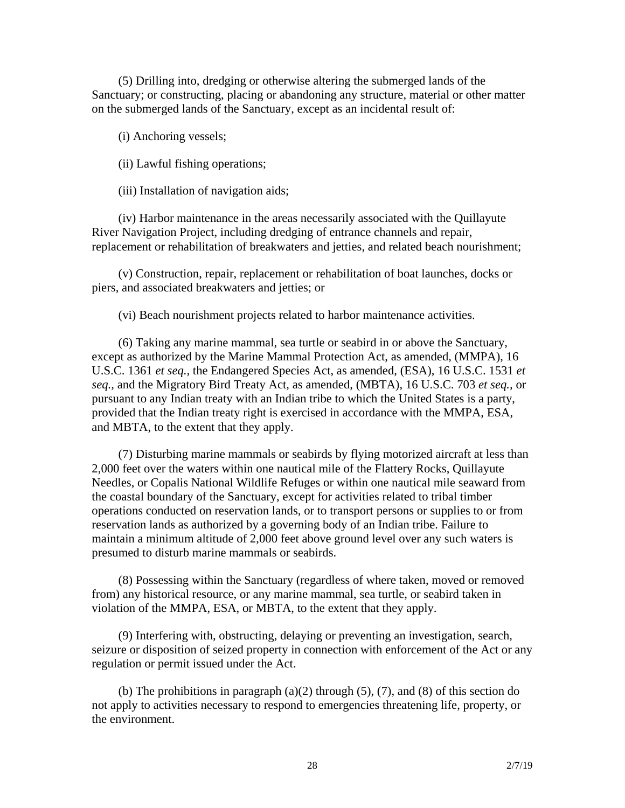(5) Drilling into, dredging or otherwise altering the submerged lands of the Sanctuary; or constructing, placing or abandoning any structure, material or other matter on the submerged lands of the Sanctuary, except as an incidental result of:

(i) Anchoring vessels;

(ii) Lawful fishing operations;

(iii) Installation of navigation aids;

(iv) Harbor maintenance in the areas necessarily associated with the Quillayute River Navigation Project, including dredging of entrance channels and repair, replacement or rehabilitation of breakwaters and jetties, and related beach nourishment;

(v) Construction, repair, replacement or rehabilitation of boat launches, docks or piers, and associated breakwaters and jetties; or

(vi) Beach nourishment projects related to harbor maintenance activities.

(6) Taking any marine mammal, sea turtle or seabird in or above the Sanctuary, except as authorized by the Marine Mammal Protection Act, as amended, (MMPA), 16 U.S.C. 1361 *et seq.,* the Endangered Species Act, as amended, (ESA), 16 U.S.C. 1531 *et seq.,* and the Migratory Bird Treaty Act, as amended, (MBTA), 16 U.S.C. 703 *et seq.,* or pursuant to any Indian treaty with an Indian tribe to which the United States is a party, provided that the Indian treaty right is exercised in accordance with the MMPA, ESA, and MBTA, to the extent that they apply.

(7) Disturbing marine mammals or seabirds by flying motorized aircraft at less than 2,000 feet over the waters within one nautical mile of the Flattery Rocks, Quillayute Needles, or Copalis National Wildlife Refuges or within one nautical mile seaward from the coastal boundary of the Sanctuary, except for activities related to tribal timber operations conducted on reservation lands, or to transport persons or supplies to or from reservation lands as authorized by a governing body of an Indian tribe. Failure to maintain a minimum altitude of 2,000 feet above ground level over any such waters is presumed to disturb marine mammals or seabirds.

(8) Possessing within the Sanctuary (regardless of where taken, moved or removed from) any historical resource, or any marine mammal, sea turtle, or seabird taken in violation of the MMPA, ESA, or MBTA, to the extent that they apply.

(9) Interfering with, obstructing, delaying or preventing an investigation, search, seizure or disposition of seized property in connection with enforcement of the Act or any regulation or permit issued under the Act.

(b) The prohibitions in paragraph  $(a)(2)$  through  $(5)$ ,  $(7)$ , and  $(8)$  of this section do not apply to activities necessary to respond to emergencies threatening life, property, or the environment.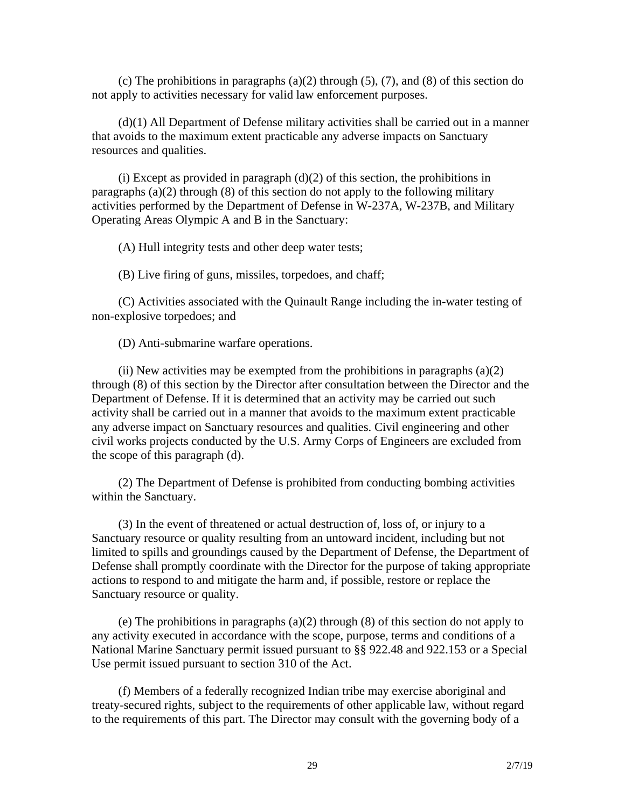(c) The prohibitions in paragraphs (a)(2) through (5), (7), and (8) of this section do not apply to activities necessary for valid law enforcement purposes.

(d)(1) All Department of Defense military activities shall be carried out in a manner that avoids to the maximum extent practicable any adverse impacts on Sanctuary resources and qualities.

(i) Except as provided in paragraph  $(d)(2)$  of this section, the prohibitions in paragraphs (a)(2) through (8) of this section do not apply to the following military activities performed by the Department of Defense in W-237A, W-237B, and Military Operating Areas Olympic A and B in the Sanctuary:

(A) Hull integrity tests and other deep water tests;

(B) Live firing of guns, missiles, torpedoes, and chaff;

(C) Activities associated with the Quinault Range including the in-water testing of non-explosive torpedoes; and

(D) Anti-submarine warfare operations.

(ii) New activities may be exempted from the prohibitions in paragraphs  $(a)(2)$ through (8) of this section by the Director after consultation between the Director and the Department of Defense. If it is determined that an activity may be carried out such activity shall be carried out in a manner that avoids to the maximum extent practicable any adverse impact on Sanctuary resources and qualities. Civil engineering and other civil works projects conducted by the U.S. Army Corps of Engineers are excluded from the scope of this paragraph (d).

(2) The Department of Defense is prohibited from conducting bombing activities within the Sanctuary.

(3) In the event of threatened or actual destruction of, loss of, or injury to a Sanctuary resource or quality resulting from an untoward incident, including but not limited to spills and groundings caused by the Department of Defense, the Department of Defense shall promptly coordinate with the Director for the purpose of taking appropriate actions to respond to and mitigate the harm and, if possible, restore or replace the Sanctuary resource or quality.

(e) The prohibitions in paragraphs (a)(2) through (8) of this section do not apply to any activity executed in accordance with the scope, purpose, terms and conditions of a National Marine Sanctuary permit issued pursuant to §§ 922.48 and 922.153 or a Special Use permit issued pursuant to section 310 of the Act.

(f) Members of a federally recognized Indian tribe may exercise aboriginal and treaty-secured rights, subject to the requirements of other applicable law, without regard to the requirements of this part. The Director may consult with the governing body of a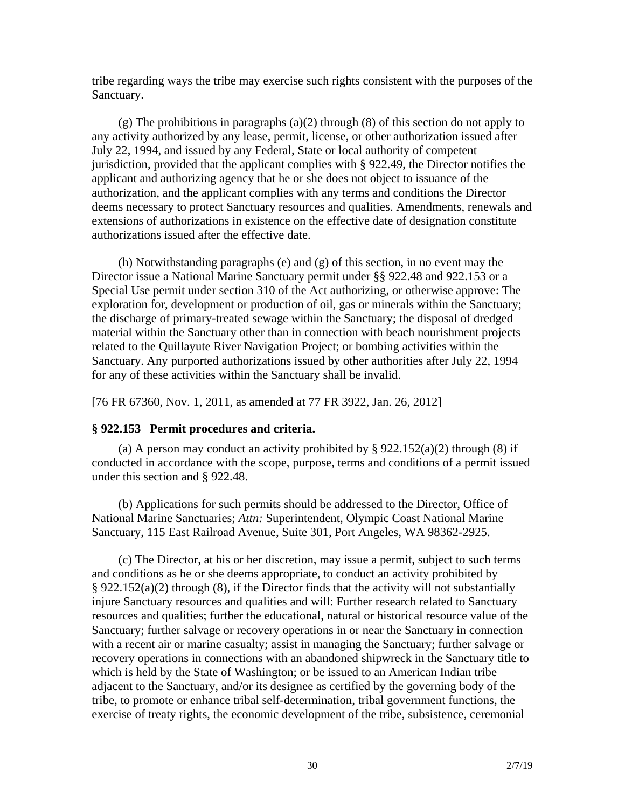tribe regarding ways the tribe may exercise such rights consistent with the purposes of the Sanctuary.

(g) The prohibitions in paragraphs (a)(2) through (8) of this section do not apply to any activity authorized by any lease, permit, license, or other authorization issued after July 22, 1994, and issued by any Federal, State or local authority of competent jurisdiction, provided that the applicant complies with § 922.49, the Director notifies the applicant and authorizing agency that he or she does not object to issuance of the authorization, and the applicant complies with any terms and conditions the Director deems necessary to protect Sanctuary resources and qualities. Amendments, renewals and extensions of authorizations in existence on the effective date of designation constitute authorizations issued after the effective date.

(h) Notwithstanding paragraphs (e) and (g) of this section, in no event may the Director issue a National Marine Sanctuary permit under §§ 922.48 and 922.153 or a Special Use permit under section 310 of the Act authorizing, or otherwise approve: The exploration for, development or production of oil, gas or minerals within the Sanctuary; the discharge of primary-treated sewage within the Sanctuary; the disposal of dredged material within the Sanctuary other than in connection with beach nourishment projects related to the Quillayute River Navigation Project; or bombing activities within the Sanctuary. Any purported authorizations issued by other authorities after July 22, 1994 for any of these activities within the Sanctuary shall be invalid.

[76 FR 67360, Nov. 1, 2011, as amended at 77 FR 3922, Jan. 26, 2012]

## **§ 922.153 Permit procedures and criteria.**

(a) A person may conduct an activity prohibited by  $\S 922.152(a)(2)$  through (8) if conducted in accordance with the scope, purpose, terms and conditions of a permit issued under this section and § 922.48.

(b) Applications for such permits should be addressed to the Director, Office of National Marine Sanctuaries; *Attn:* Superintendent, Olympic Coast National Marine Sanctuary, 115 East Railroad Avenue, Suite 301, Port Angeles, WA 98362-2925.

(c) The Director, at his or her discretion, may issue a permit, subject to such terms and conditions as he or she deems appropriate, to conduct an activity prohibited by § 922.152(a)(2) through (8), if the Director finds that the activity will not substantially injure Sanctuary resources and qualities and will: Further research related to Sanctuary resources and qualities; further the educational, natural or historical resource value of the Sanctuary; further salvage or recovery operations in or near the Sanctuary in connection with a recent air or marine casualty; assist in managing the Sanctuary; further salvage or recovery operations in connections with an abandoned shipwreck in the Sanctuary title to which is held by the State of Washington; or be issued to an American Indian tribe adjacent to the Sanctuary, and/or its designee as certified by the governing body of the tribe, to promote or enhance tribal self-determination, tribal government functions, the exercise of treaty rights, the economic development of the tribe, subsistence, ceremonial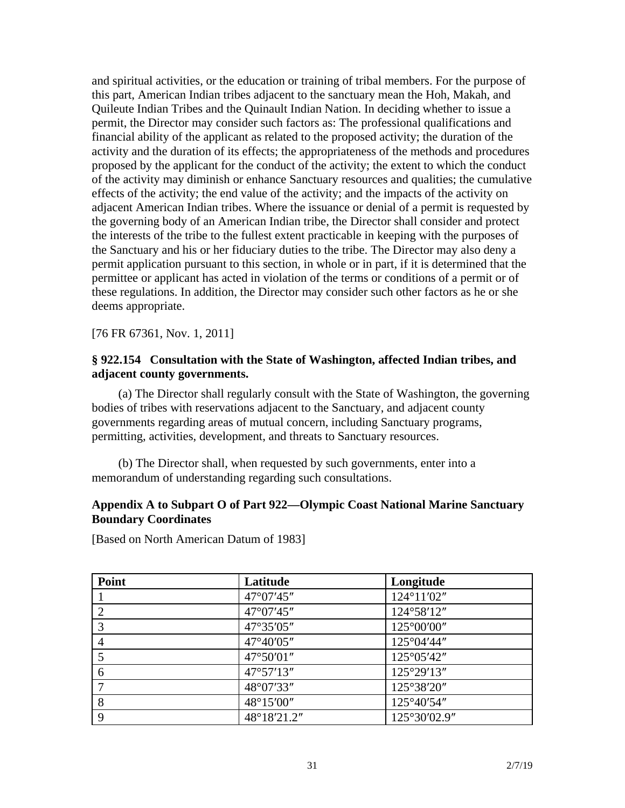and spiritual activities, or the education or training of tribal members. For the purpose of this part, American Indian tribes adjacent to the sanctuary mean the Hoh, Makah, and Quileute Indian Tribes and the Quinault Indian Nation. In deciding whether to issue a permit, the Director may consider such factors as: The professional qualifications and financial ability of the applicant as related to the proposed activity; the duration of the activity and the duration of its effects; the appropriateness of the methods and procedures proposed by the applicant for the conduct of the activity; the extent to which the conduct of the activity may diminish or enhance Sanctuary resources and qualities; the cumulative effects of the activity; the end value of the activity; and the impacts of the activity on adjacent American Indian tribes. Where the issuance or denial of a permit is requested by the governing body of an American Indian tribe, the Director shall consider and protect the interests of the tribe to the fullest extent practicable in keeping with the purposes of the Sanctuary and his or her fiduciary duties to the tribe. The Director may also deny a permit application pursuant to this section, in whole or in part, if it is determined that the permittee or applicant has acted in violation of the terms or conditions of a permit or of these regulations. In addition, the Director may consider such other factors as he or she deems appropriate.

[76 FR 67361, Nov. 1, 2011]

## **§ 922.154 Consultation with the State of Washington, affected Indian tribes, and adjacent county governments.**

(a) The Director shall regularly consult with the State of Washington, the governing bodies of tribes with reservations adjacent to the Sanctuary, and adjacent county governments regarding areas of mutual concern, including Sanctuary programs, permitting, activities, development, and threats to Sanctuary resources.

(b) The Director shall, when requested by such governments, enter into a memorandum of understanding regarding such consultations.

## **Appendix A to Subpart O of Part 922—Olympic Coast National Marine Sanctuary Boundary Coordinates**

[Based on North American Datum of 1983]

| Point | Latitude    | Longitude            |
|-------|-------------|----------------------|
|       | 47°07'45"   | 124°11'02"           |
| 2     | 47°07'45"   | 124°58'12"           |
| 3     | 47°35'05"   | $125^{\circ}00'00''$ |
| 4     | 47°40'05"   | 125°04'44"           |
|       | 47°50'01"   | 125°05'42"           |
| 6     | 47°57'13"   | 125°29'13"           |
| 7     | 48°07'33"   | 125°38'20"           |
| 8     | 48°15'00"   | 125°40'54"           |
| 9     | 48°18'21.2" | 125°30'02.9"         |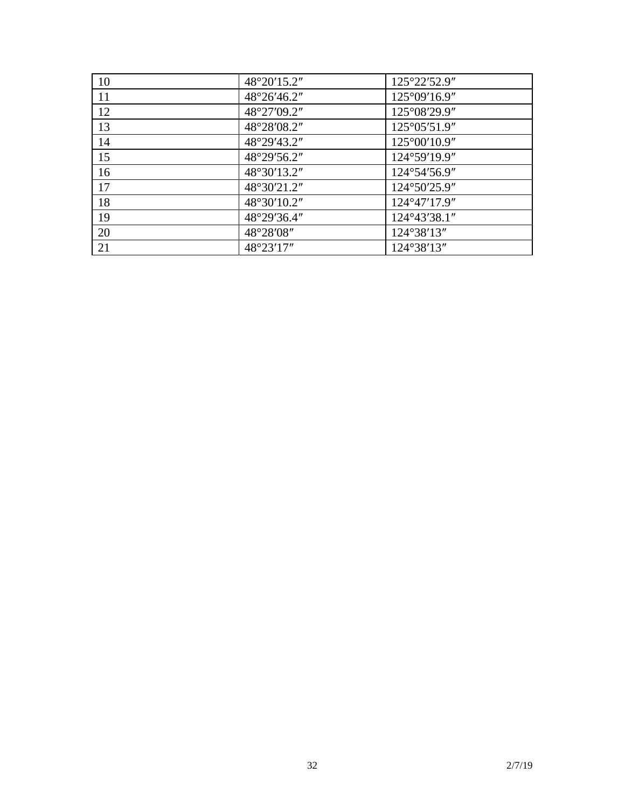| 10 | 48°20'15.2" | 125°22'52.9"           |
|----|-------------|------------------------|
| 11 | 48°26'46.2" | $125^{\circ}09'16.9''$ |
| 12 | 48°27'09.2" | 125°08'29.9"           |
| 13 | 48°28'08.2" | 125°05'51.9"           |
| 14 | 48°29'43.2" | $125^{\circ}00'10.9''$ |
| 15 | 48°29'56.2" | 124°59'19.9"           |
| 16 | 48°30'13.2" | 124°54'56.9"           |
| 17 | 48°30'21.2" | 124°50'25.9"           |
| 18 | 48°30'10.2" | 124°47'17.9"           |
| 19 | 48°29'36.4" | 124°43'38.1"           |
| 20 | 48°28'08"   | 124°38'13"             |
| 21 | 48°23'17"   | 124°38'13"             |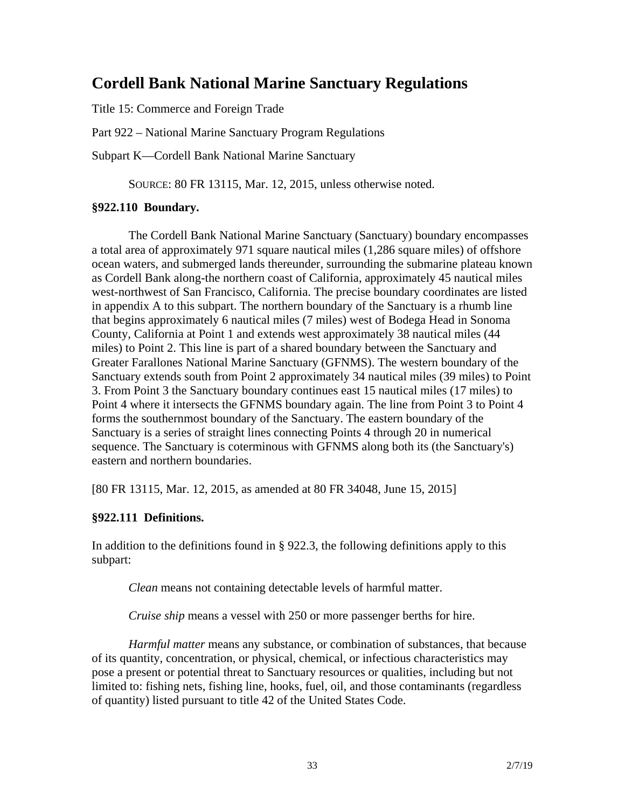## **Cordell Bank National Marine Sanctuary Regulations**

Title 15: Commerce and Foreign Trade

Part 922 – National Marine Sanctuary Program Regulations

Subpart K—Cordell Bank National Marine Sanctuary

SOURCE: 80 FR 13115, Mar. 12, 2015, unless otherwise noted.

## **§922.110 Boundary.**

The Cordell Bank National Marine Sanctuary (Sanctuary) boundary encompasses a total area of approximately 971 square nautical miles (1,286 square miles) of offshore ocean waters, and submerged lands thereunder, surrounding the submarine plateau known as Cordell Bank along-the northern coast of California, approximately 45 nautical miles west-northwest of San Francisco, California. The precise boundary coordinates are listed in appendix A to this subpart. The northern boundary of the Sanctuary is a rhumb line that begins approximately 6 nautical miles (7 miles) west of Bodega Head in Sonoma County, California at Point 1 and extends west approximately 38 nautical miles (44 miles) to Point 2. This line is part of a shared boundary between the Sanctuary and Greater Farallones National Marine Sanctuary (GFNMS). The western boundary of the Sanctuary extends south from Point 2 approximately 34 nautical miles (39 miles) to Point 3. From Point 3 the Sanctuary boundary continues east 15 nautical miles (17 miles) to Point 4 where it intersects the GFNMS boundary again. The line from Point 3 to Point 4 forms the southernmost boundary of the Sanctuary. The eastern boundary of the Sanctuary is a series of straight lines connecting Points 4 through 20 in numerical sequence. The Sanctuary is coterminous with GFNMS along both its (the Sanctuary's) eastern and northern boundaries.

[80 FR 13115, Mar. 12, 2015, as amended at 80 FR 34048, June 15, 2015]

## **§922.111 Definitions.**

In addition to the definitions found in § 922.3, the following definitions apply to this subpart:

*Clean* means not containing detectable levels of harmful matter.

*Cruise ship* means a vessel with 250 or more passenger berths for hire.

*Harmful matter* means any substance, or combination of substances, that because of its quantity, concentration, or physical, chemical, or infectious characteristics may pose a present or potential threat to Sanctuary resources or qualities, including but not limited to: fishing nets, fishing line, hooks, fuel, oil, and those contaminants (regardless of quantity) listed pursuant to title 42 of the United States Code.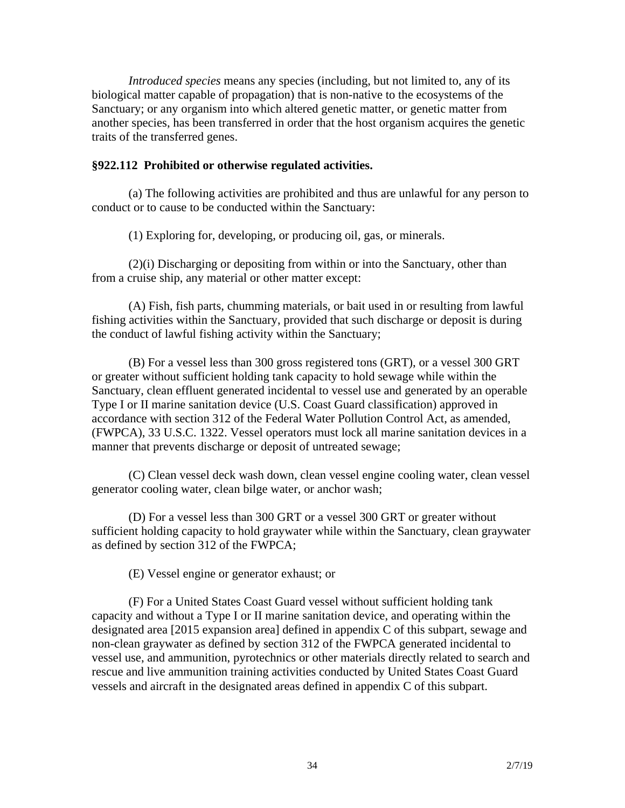*Introduced species* means any species (including, but not limited to, any of its biological matter capable of propagation) that is non-native to the ecosystems of the Sanctuary; or any organism into which altered genetic matter, or genetic matter from another species, has been transferred in order that the host organism acquires the genetic traits of the transferred genes.

## **§922.112 Prohibited or otherwise regulated activities.**

(a) The following activities are prohibited and thus are unlawful for any person to conduct or to cause to be conducted within the Sanctuary:

(1) Exploring for, developing, or producing oil, gas, or minerals.

(2)(i) Discharging or depositing from within or into the Sanctuary, other than from a cruise ship, any material or other matter except:

(A) Fish, fish parts, chumming materials, or bait used in or resulting from lawful fishing activities within the Sanctuary, provided that such discharge or deposit is during the conduct of lawful fishing activity within the Sanctuary;

(B) For a vessel less than 300 gross registered tons (GRT), or a vessel 300 GRT or greater without sufficient holding tank capacity to hold sewage while within the Sanctuary, clean effluent generated incidental to vessel use and generated by an operable Type I or II marine sanitation device (U.S. Coast Guard classification) approved in accordance with section 312 of the Federal Water Pollution Control Act, as amended, (FWPCA), 33 U.S.C. 1322. Vessel operators must lock all marine sanitation devices in a manner that prevents discharge or deposit of untreated sewage;

(C) Clean vessel deck wash down, clean vessel engine cooling water, clean vessel generator cooling water, clean bilge water, or anchor wash;

(D) For a vessel less than 300 GRT or a vessel 300 GRT or greater without sufficient holding capacity to hold graywater while within the Sanctuary, clean graywater as defined by section 312 of the FWPCA;

(E) Vessel engine or generator exhaust; or

(F) For a United States Coast Guard vessel without sufficient holding tank capacity and without a Type I or II marine sanitation device, and operating within the designated area [2015 expansion area] defined in appendix C of this subpart, sewage and non-clean graywater as defined by section 312 of the FWPCA generated incidental to vessel use, and ammunition, pyrotechnics or other materials directly related to search and rescue and live ammunition training activities conducted by United States Coast Guard vessels and aircraft in the designated areas defined in appendix C of this subpart.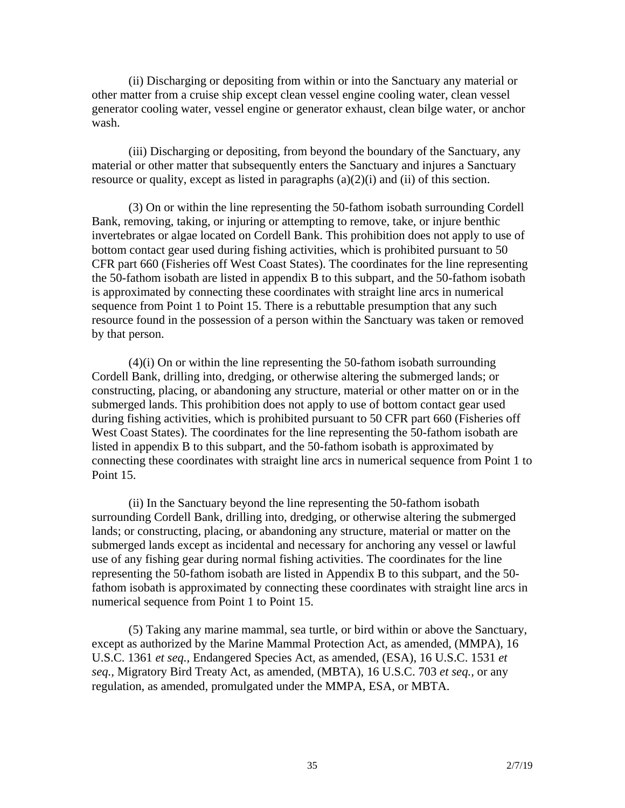(ii) Discharging or depositing from within or into the Sanctuary any material or other matter from a cruise ship except clean vessel engine cooling water, clean vessel generator cooling water, vessel engine or generator exhaust, clean bilge water, or anchor wash.

(iii) Discharging or depositing, from beyond the boundary of the Sanctuary, any material or other matter that subsequently enters the Sanctuary and injures a Sanctuary resource or quality, except as listed in paragraphs (a)(2)(i) and (ii) of this section.

(3) On or within the line representing the 50-fathom isobath surrounding Cordell Bank, removing, taking, or injuring or attempting to remove, take, or injure benthic invertebrates or algae located on Cordell Bank. This prohibition does not apply to use of bottom contact gear used during fishing activities, which is prohibited pursuant to 50 CFR part 660 (Fisheries off West Coast States). The coordinates for the line representing the 50-fathom isobath are listed in appendix B to this subpart, and the 50-fathom isobath is approximated by connecting these coordinates with straight line arcs in numerical sequence from Point 1 to Point 15. There is a rebuttable presumption that any such resource found in the possession of a person within the Sanctuary was taken or removed by that person.

(4)(i) On or within the line representing the 50-fathom isobath surrounding Cordell Bank, drilling into, dredging, or otherwise altering the submerged lands; or constructing, placing, or abandoning any structure, material or other matter on or in the submerged lands. This prohibition does not apply to use of bottom contact gear used during fishing activities, which is prohibited pursuant to 50 CFR part 660 (Fisheries off West Coast States). The coordinates for the line representing the 50-fathom isobath are listed in appendix B to this subpart, and the 50-fathom isobath is approximated by connecting these coordinates with straight line arcs in numerical sequence from Point 1 to Point 15.

(ii) In the Sanctuary beyond the line representing the 50-fathom isobath surrounding Cordell Bank, drilling into, dredging, or otherwise altering the submerged lands; or constructing, placing, or abandoning any structure, material or matter on the submerged lands except as incidental and necessary for anchoring any vessel or lawful use of any fishing gear during normal fishing activities. The coordinates for the line representing the 50-fathom isobath are listed in Appendix B to this subpart, and the 50 fathom isobath is approximated by connecting these coordinates with straight line arcs in numerical sequence from Point 1 to Point 15.

(5) Taking any marine mammal, sea turtle, or bird within or above the Sanctuary, except as authorized by the Marine Mammal Protection Act, as amended, (MMPA), 16 U.S.C. 1361 *et seq.,* Endangered Species Act, as amended, (ESA), 16 U.S.C. 1531 *et seq.,* Migratory Bird Treaty Act, as amended, (MBTA), 16 U.S.C. 703 *et seq.,* or any regulation, as amended, promulgated under the MMPA, ESA, or MBTA.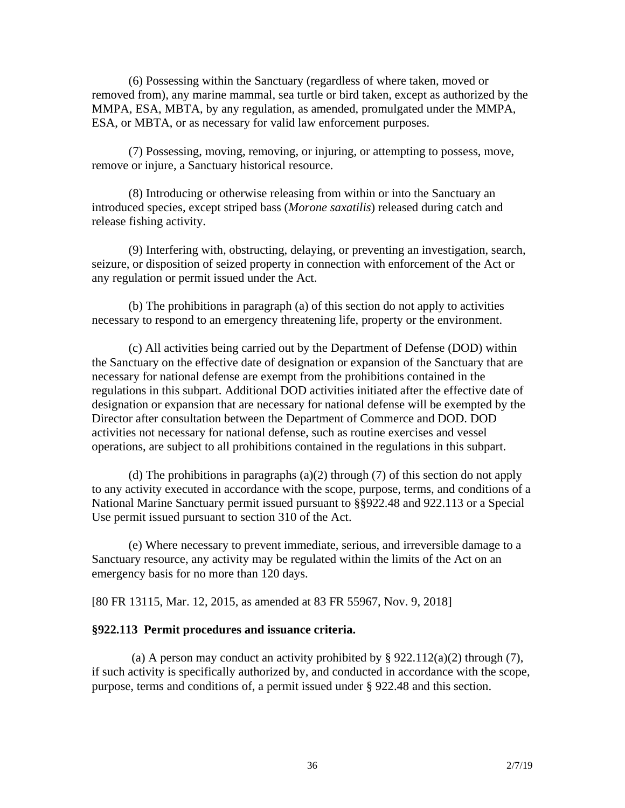(6) Possessing within the Sanctuary (regardless of where taken, moved or removed from), any marine mammal, sea turtle or bird taken, except as authorized by the MMPA, ESA, MBTA, by any regulation, as amended, promulgated under the MMPA, ESA, or MBTA, or as necessary for valid law enforcement purposes.

(7) Possessing, moving, removing, or injuring, or attempting to possess, move, remove or injure, a Sanctuary historical resource.

(8) Introducing or otherwise releasing from within or into the Sanctuary an introduced species, except striped bass (*Morone saxatilis*) released during catch and release fishing activity.

(9) Interfering with, obstructing, delaying, or preventing an investigation, search, seizure, or disposition of seized property in connection with enforcement of the Act or any regulation or permit issued under the Act.

(b) The prohibitions in paragraph (a) of this section do not apply to activities necessary to respond to an emergency threatening life, property or the environment.

(c) All activities being carried out by the Department of Defense (DOD) within the Sanctuary on the effective date of designation or expansion of the Sanctuary that are necessary for national defense are exempt from the prohibitions contained in the regulations in this subpart. Additional DOD activities initiated after the effective date of designation or expansion that are necessary for national defense will be exempted by the Director after consultation between the Department of Commerce and DOD. DOD activities not necessary for national defense, such as routine exercises and vessel operations, are subject to all prohibitions contained in the regulations in this subpart.

(d) The prohibitions in paragraphs  $(a)(2)$  through  $(7)$  of this section do not apply to any activity executed in accordance with the scope, purpose, terms, and conditions of a National Marine Sanctuary permit issued pursuant to §§922.48 and 922.113 or a Special Use permit issued pursuant to section 310 of the Act.

(e) Where necessary to prevent immediate, serious, and irreversible damage to a Sanctuary resource, any activity may be regulated within the limits of the Act on an emergency basis for no more than 120 days.

[80 FR 13115, Mar. 12, 2015, as amended at 83 FR 55967, Nov. 9, 2018]

#### **§922.113 Permit procedures and issuance criteria.**

(a) A person may conduct an activity prohibited by  $\S$  922.112(a)(2) through (7), if such activity is specifically authorized by, and conducted in accordance with the scope, purpose, terms and conditions of, a permit issued under § 922.48 and this section.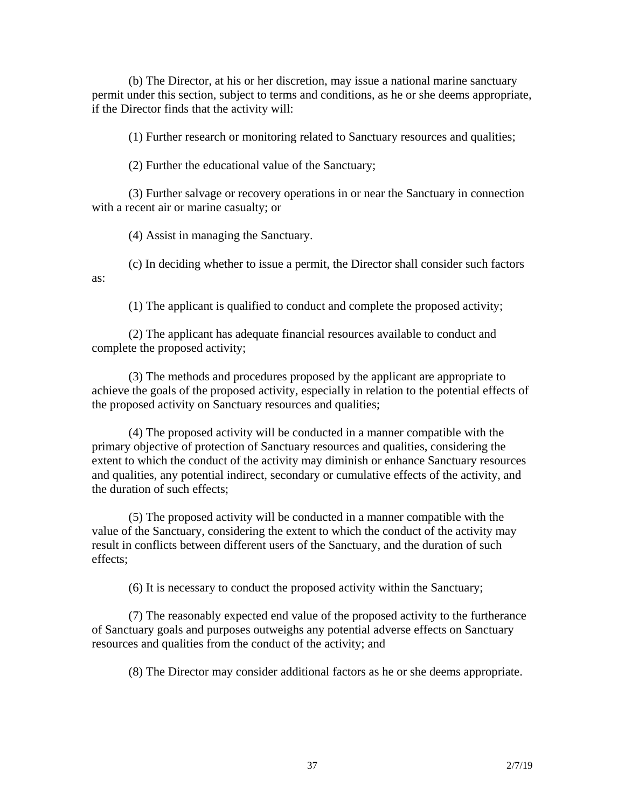(b) The Director, at his or her discretion, may issue a national marine sanctuary permit under this section, subject to terms and conditions, as he or she deems appropriate, if the Director finds that the activity will:

(1) Further research or monitoring related to Sanctuary resources and qualities;

(2) Further the educational value of the Sanctuary;

(3) Further salvage or recovery operations in or near the Sanctuary in connection with a recent air or marine casualty; or

(4) Assist in managing the Sanctuary.

(c) In deciding whether to issue a permit, the Director shall consider such factors as:

(1) The applicant is qualified to conduct and complete the proposed activity;

(2) The applicant has adequate financial resources available to conduct and complete the proposed activity;

(3) The methods and procedures proposed by the applicant are appropriate to achieve the goals of the proposed activity, especially in relation to the potential effects of the proposed activity on Sanctuary resources and qualities;

(4) The proposed activity will be conducted in a manner compatible with the primary objective of protection of Sanctuary resources and qualities, considering the extent to which the conduct of the activity may diminish or enhance Sanctuary resources and qualities, any potential indirect, secondary or cumulative effects of the activity, and the duration of such effects;

(5) The proposed activity will be conducted in a manner compatible with the value of the Sanctuary, considering the extent to which the conduct of the activity may result in conflicts between different users of the Sanctuary, and the duration of such effects;

(6) It is necessary to conduct the proposed activity within the Sanctuary;

(7) The reasonably expected end value of the proposed activity to the furtherance of Sanctuary goals and purposes outweighs any potential adverse effects on Sanctuary resources and qualities from the conduct of the activity; and

(8) The Director may consider additional factors as he or she deems appropriate.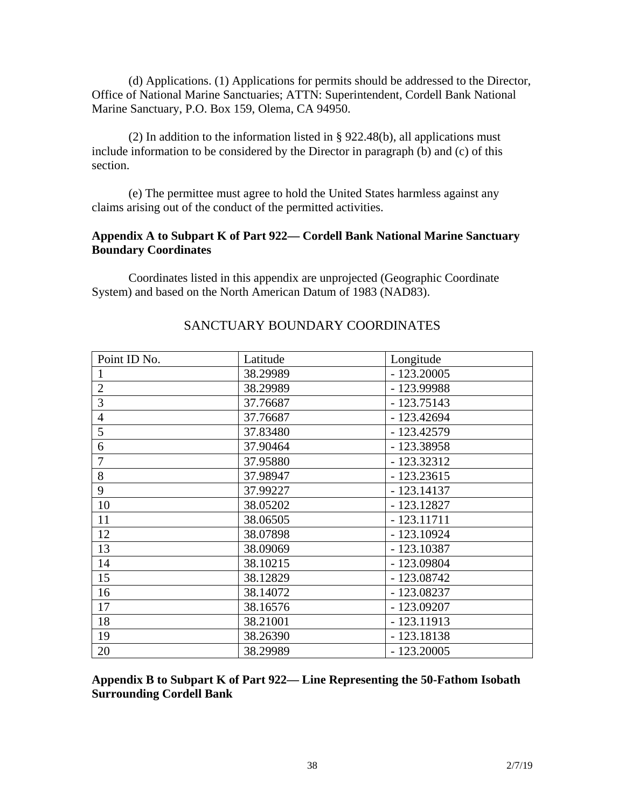(d) Applications. (1) Applications for permits should be addressed to the Director, Office of National Marine Sanctuaries; ATTN: Superintendent, Cordell Bank National Marine Sanctuary, P.O. Box 159, Olema, CA 94950.

(2) In addition to the information listed in § 922.48(b), all applications must include information to be considered by the Director in paragraph (b) and (c) of this section.

(e) The permittee must agree to hold the United States harmless against any claims arising out of the conduct of the permitted activities.

## **Appendix A to Subpart K of Part 922— Cordell Bank National Marine Sanctuary Boundary Coordinates**

Coordinates listed in this appendix are unprojected (Geographic Coordinate System) and based on the North American Datum of 1983 (NAD83).

| Point ID No.   | Latitude | Longitude    |
|----------------|----------|--------------|
|                | 38.29989 | $-123.20005$ |
| $\mathbf{2}$   | 38.29989 | - 123.99988  |
| 3              | 37.76687 | $-123.75143$ |
| $\overline{4}$ | 37.76687 | $-123.42694$ |
| 5              | 37.83480 | $-123.42579$ |
| 6              | 37.90464 | $-123.38958$ |
| 7              | 37.95880 | $-123.32312$ |
| 8              | 37.98947 | $-123.23615$ |
| 9              | 37.99227 | $-123.14137$ |
| 10             | 38.05202 | $-123.12827$ |
| 11             | 38.06505 | $-123.11711$ |
| 12             | 38.07898 | $-123.10924$ |
| 13             | 38.09069 | $-123.10387$ |
| 14             | 38.10215 | $-123.09804$ |
| 15             | 38.12829 | $-123.08742$ |
| 16             | 38.14072 | $-123.08237$ |
| 17             | 38.16576 | $-123.09207$ |
| 18             | 38.21001 | $-123.11913$ |
| 19             | 38.26390 | $-123.18138$ |
| 20             | 38.29989 | $-123.20005$ |

## SANCTUARY BOUNDARY COORDINATES

**Appendix B to Subpart K of Part 922— Line Representing the 50-Fathom Isobath Surrounding Cordell Bank**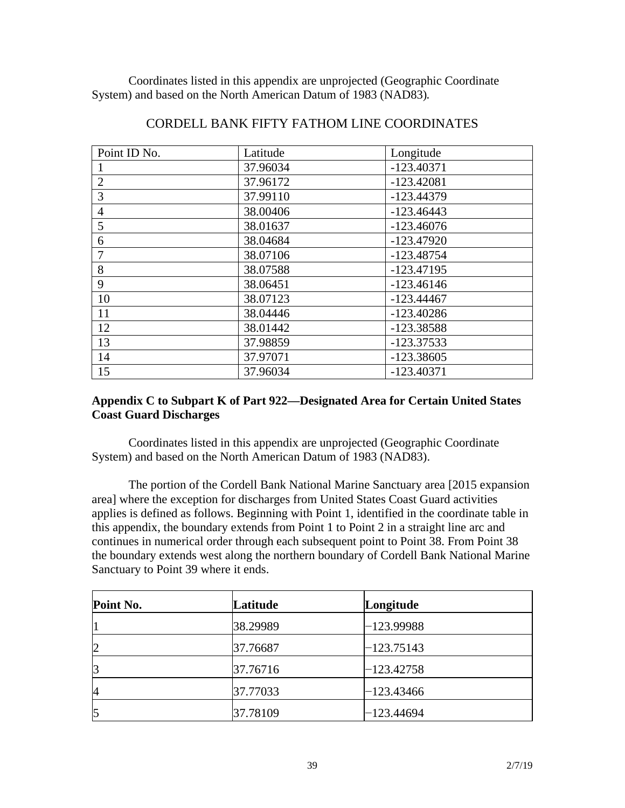Coordinates listed in this appendix are unprojected (Geographic Coordinate System) and based on the North American Datum of 1983 (NAD83).

| Point ID No.   | Latitude | Longitude    |
|----------------|----------|--------------|
|                | 37.96034 | $-123.40371$ |
| $\overline{2}$ | 37.96172 | $-123.42081$ |
| 3              | 37.99110 | $-123.44379$ |
| $\overline{4}$ | 38.00406 | $-123.46443$ |
| 5              | 38.01637 | $-123.46076$ |
| 6              | 38.04684 | $-123.47920$ |
| 7              | 38.07106 | $-123.48754$ |
| 8              | 38.07588 | $-123.47195$ |
| 9              | 38.06451 | $-123.46146$ |
| 10             | 38.07123 | $-123.44467$ |
| 11             | 38.04446 | $-123.40286$ |
| 12             | 38.01442 | -123.38588   |
| 13             | 37.98859 | $-123.37533$ |
| 14             | 37.97071 | $-123.38605$ |
| 15             | 37.96034 | $-123.40371$ |

## CORDELL BANK FIFTY FATHOM LINE COORDINATES

#### **Appendix C to Subpart K of Part 922—Designated Area for Certain United States Coast Guard Discharges**

Coordinates listed in this appendix are unprojected (Geographic Coordinate System) and based on the North American Datum of 1983 (NAD83).

The portion of the Cordell Bank National Marine Sanctuary area [2015 expansion area] where the exception for discharges from United States Coast Guard activities applies is defined as follows. Beginning with Point 1, identified in the coordinate table in this appendix, the boundary extends from Point 1 to Point 2 in a straight line arc and continues in numerical order through each subsequent point to Point 38. From Point 38 the boundary extends west along the northern boundary of Cordell Bank National Marine Sanctuary to Point 39 where it ends.

| Point No. | Latitude | Longitude    |
|-----------|----------|--------------|
|           | 38.29989 | $-123.99988$ |
| 2         | 37.76687 | -123.75143   |
| 3         | 37.76716 | $-123.42758$ |
| 4         | 37.77033 | $-123.43466$ |
| 5         | 37.78109 | -123.44694   |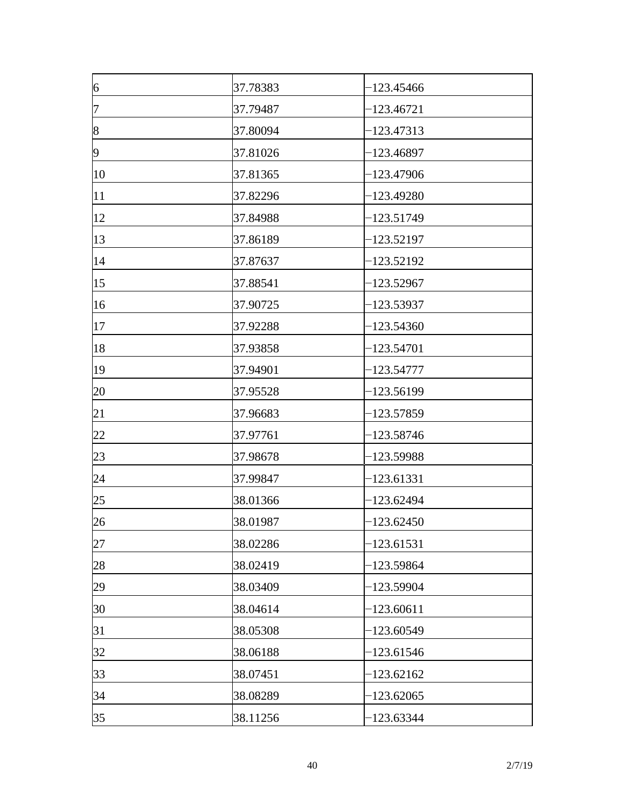| $\overline{6}$ | 37.78383 | -123.45466   |
|----------------|----------|--------------|
| 7              | 37.79487 | -123.46721   |
| 8              | 37.80094 | $-123.47313$ |
| $\overline{9}$ | 37.81026 | $-123.46897$ |
| 10             | 37.81365 | $-123.47906$ |
| 11             | 37.82296 | 123.49280    |
| 12             | 37.84988 | $-123.51749$ |
| 13             | 37.86189 | $-123.52197$ |
| 14             | 37.87637 | $-123.52192$ |
| 15             | 37.88541 | $-123.52967$ |
| 16             | 37.90725 | -123.53937   |
| 17             | 37.92288 | $-123.54360$ |
| 18             | 37.93858 | $-123.54701$ |
| 19             | 37.94901 | $-123.54777$ |
| 20             | 37.95528 | -123.56199   |
| 21             | 37.96683 | 123.57859    |
| 22             | 37.97761 | -123.58746   |
| 23             | 37.98678 | $-123.59988$ |
| 24             | 37.99847 | $-123.61331$ |
| 25             | 38.01366 | $-123.62494$ |
| 26             | 38.01987 | $-123.62450$ |
| 27             | 38.02286 | $-123.61531$ |
| 28             | 38.02419 | $-123.59864$ |
| 29             | 38.03409 | $-123.59904$ |
| 30             | 38.04614 | $-123.60611$ |
| 31             | 38.05308 | $-123.60549$ |
| 32             | 38.06188 | $-123.61546$ |
| 33             | 38.07451 | $-123.62162$ |
| 34             | 38.08289 | $-123.62065$ |
| 35             | 38.11256 | $-123.63344$ |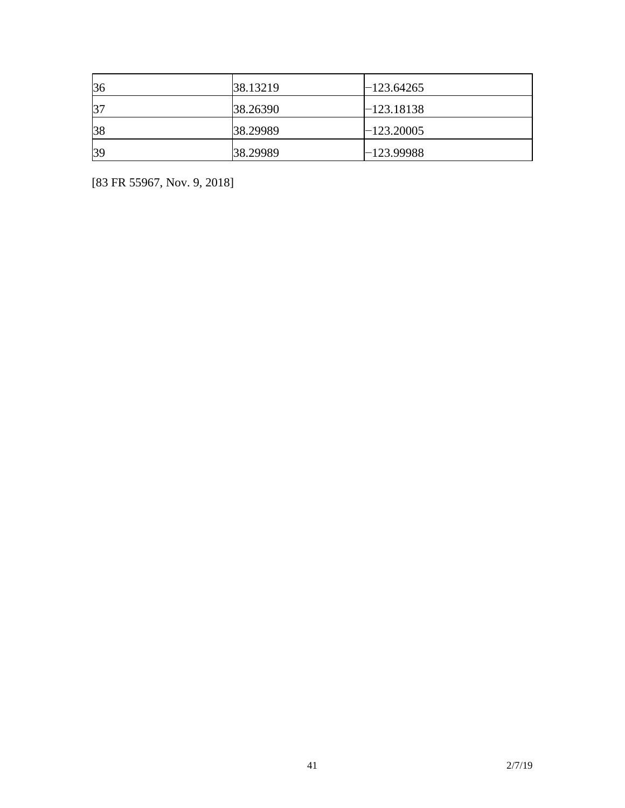| 36 | 38.13219 | $-123.64265$ |
|----|----------|--------------|
| 37 | 38.26390 | $-123.18138$ |
| 38 | 38.29989 | $-123.20005$ |
| 39 | 38.29989 | $-123.99988$ |

[83 FR 55967, Nov. 9, 2018]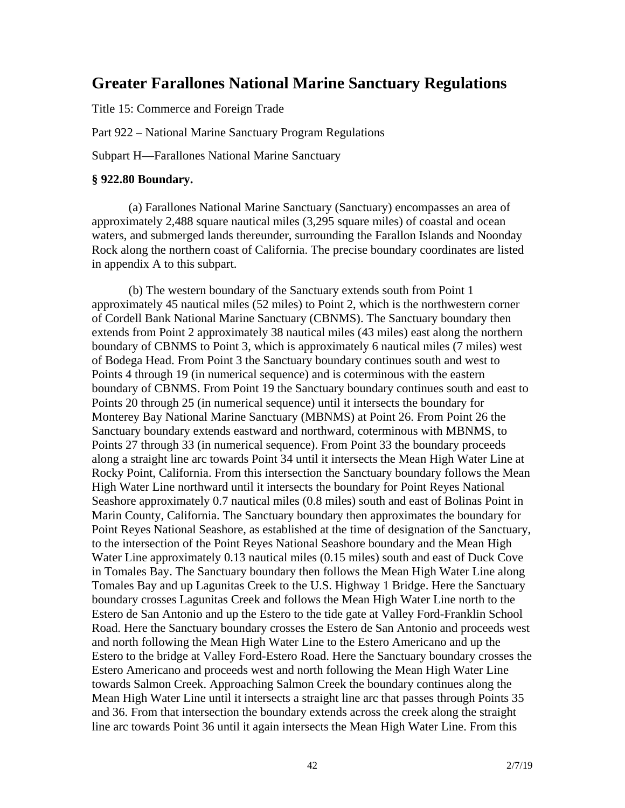# **Greater Farallones National Marine Sanctuary Regulations**

Title 15: Commerce and Foreign Trade

Part 922 – National Marine Sanctuary Program Regulations

Subpart H—Farallones National Marine Sanctuary

#### **§ 922.80 Boundary.**

(a) Farallones National Marine Sanctuary (Sanctuary) encompasses an area of approximately 2,488 square nautical miles (3,295 square miles) of coastal and ocean waters, and submerged lands thereunder, surrounding the Farallon Islands and Noonday Rock along the northern coast of California. The precise boundary coordinates are listed in appendix A to this subpart.

(b) The western boundary of the Sanctuary extends south from Point 1 approximately 45 nautical miles (52 miles) to Point 2, which is the northwestern corner of Cordell Bank National Marine Sanctuary (CBNMS). The Sanctuary boundary then extends from Point 2 approximately 38 nautical miles (43 miles) east along the northern boundary of CBNMS to Point 3, which is approximately 6 nautical miles (7 miles) west of Bodega Head. From Point 3 the Sanctuary boundary continues south and west to Points 4 through 19 (in numerical sequence) and is coterminous with the eastern boundary of CBNMS. From Point 19 the Sanctuary boundary continues south and east to Points 20 through 25 (in numerical sequence) until it intersects the boundary for Monterey Bay National Marine Sanctuary (MBNMS) at Point 26. From Point 26 the Sanctuary boundary extends eastward and northward, coterminous with MBNMS, to Points 27 through 33 (in numerical sequence). From Point 33 the boundary proceeds along a straight line arc towards Point 34 until it intersects the Mean High Water Line at Rocky Point, California. From this intersection the Sanctuary boundary follows the Mean High Water Line northward until it intersects the boundary for Point Reyes National Seashore approximately 0.7 nautical miles (0.8 miles) south and east of Bolinas Point in Marin County, California. The Sanctuary boundary then approximates the boundary for Point Reyes National Seashore, as established at the time of designation of the Sanctuary, to the intersection of the Point Reyes National Seashore boundary and the Mean High Water Line approximately 0.13 nautical miles (0.15 miles) south and east of Duck Cove in Tomales Bay. The Sanctuary boundary then follows the Mean High Water Line along Tomales Bay and up Lagunitas Creek to the U.S. Highway 1 Bridge. Here the Sanctuary boundary crosses Lagunitas Creek and follows the Mean High Water Line north to the Estero de San Antonio and up the Estero to the tide gate at Valley Ford-Franklin School Road. Here the Sanctuary boundary crosses the Estero de San Antonio and proceeds west and north following the Mean High Water Line to the Estero Americano and up the Estero to the bridge at Valley Ford-Estero Road. Here the Sanctuary boundary crosses the Estero Americano and proceeds west and north following the Mean High Water Line towards Salmon Creek. Approaching Salmon Creek the boundary continues along the Mean High Water Line until it intersects a straight line arc that passes through Points 35 and 36. From that intersection the boundary extends across the creek along the straight line arc towards Point 36 until it again intersects the Mean High Water Line. From this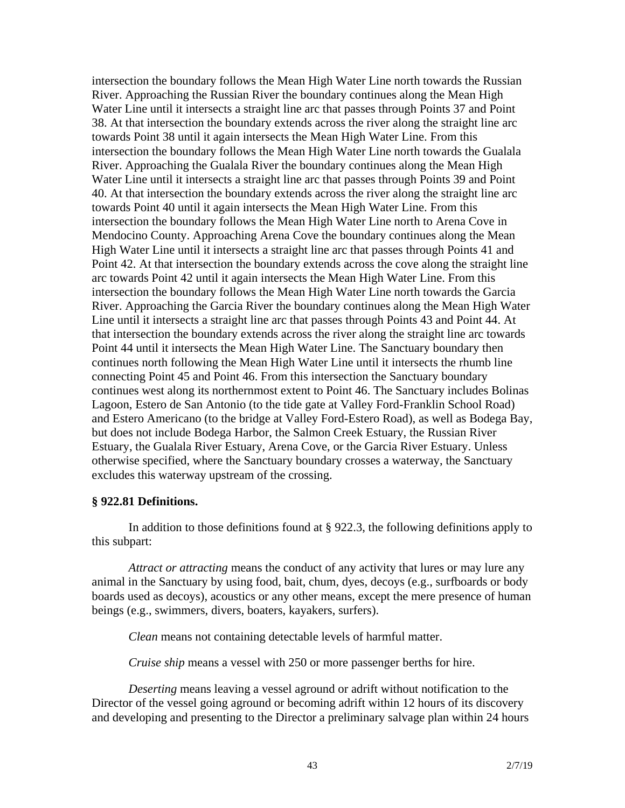intersection the boundary follows the Mean High Water Line north towards the Russian River. Approaching the Russian River the boundary continues along the Mean High Water Line until it intersects a straight line arc that passes through Points 37 and Point 38. At that intersection the boundary extends across the river along the straight line arc towards Point 38 until it again intersects the Mean High Water Line. From this intersection the boundary follows the Mean High Water Line north towards the Gualala River. Approaching the Gualala River the boundary continues along the Mean High Water Line until it intersects a straight line arc that passes through Points 39 and Point 40. At that intersection the boundary extends across the river along the straight line arc towards Point 40 until it again intersects the Mean High Water Line. From this intersection the boundary follows the Mean High Water Line north to Arena Cove in Mendocino County. Approaching Arena Cove the boundary continues along the Mean High Water Line until it intersects a straight line arc that passes through Points 41 and Point 42. At that intersection the boundary extends across the cove along the straight line arc towards Point 42 until it again intersects the Mean High Water Line. From this intersection the boundary follows the Mean High Water Line north towards the Garcia River. Approaching the Garcia River the boundary continues along the Mean High Water Line until it intersects a straight line arc that passes through Points 43 and Point 44. At that intersection the boundary extends across the river along the straight line arc towards Point 44 until it intersects the Mean High Water Line. The Sanctuary boundary then continues north following the Mean High Water Line until it intersects the rhumb line connecting Point 45 and Point 46. From this intersection the Sanctuary boundary continues west along its northernmost extent to Point 46. The Sanctuary includes Bolinas Lagoon, Estero de San Antonio (to the tide gate at Valley Ford-Franklin School Road) and Estero Americano (to the bridge at Valley Ford-Estero Road), as well as Bodega Bay, but does not include Bodega Harbor, the Salmon Creek Estuary, the Russian River Estuary, the Gualala River Estuary, Arena Cove, or the Garcia River Estuary. Unless otherwise specified, where the Sanctuary boundary crosses a waterway, the Sanctuary excludes this waterway upstream of the crossing.

#### **§ 922.81 Definitions.**

In addition to those definitions found at § 922.3, the following definitions apply to this subpart:

*Attract or attracting* means the conduct of any activity that lures or may lure any animal in the Sanctuary by using food, bait, chum, dyes, decoys (e.g., surfboards or body boards used as decoys), acoustics or any other means, except the mere presence of human beings (e.g., swimmers, divers, boaters, kayakers, surfers).

*Clean* means not containing detectable levels of harmful matter.

*Cruise ship* means a vessel with 250 or more passenger berths for hire.

*Deserting* means leaving a vessel aground or adrift without notification to the Director of the vessel going aground or becoming adrift within 12 hours of its discovery and developing and presenting to the Director a preliminary salvage plan within 24 hours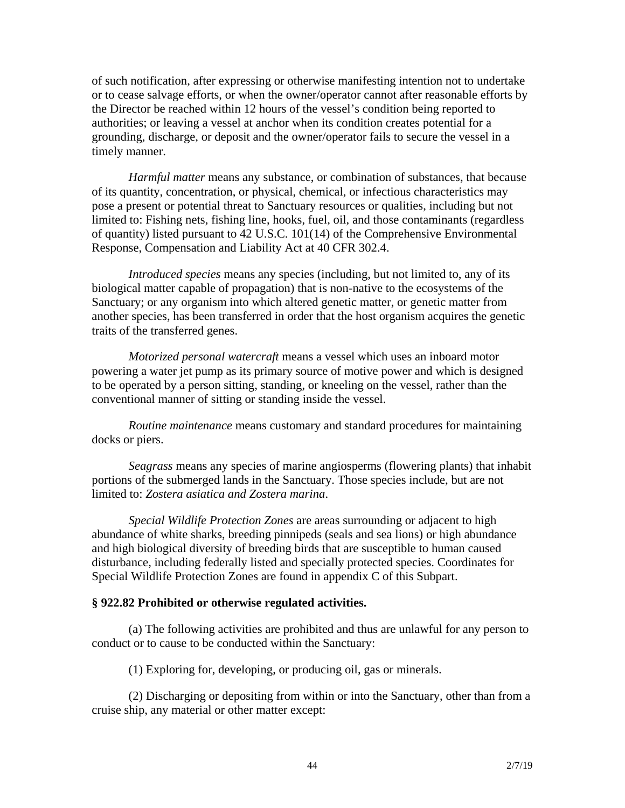of such notification, after expressing or otherwise manifesting intention not to undertake or to cease salvage efforts, or when the owner/operator cannot after reasonable efforts by the Director be reached within 12 hours of the vessel's condition being reported to authorities; or leaving a vessel at anchor when its condition creates potential for a grounding, discharge, or deposit and the owner/operator fails to secure the vessel in a timely manner.

*Harmful matter* means any substance, or combination of substances, that because of its quantity, concentration, or physical, chemical, or infectious characteristics may pose a present or potential threat to Sanctuary resources or qualities, including but not limited to: Fishing nets, fishing line, hooks, fuel, oil, and those contaminants (regardless of quantity) listed pursuant to 42 U.S.C. 101(14) of the Comprehensive Environmental Response, Compensation and Liability Act at 40 CFR 302.4.

*Introduced species* means any species (including, but not limited to, any of its biological matter capable of propagation) that is non-native to the ecosystems of the Sanctuary; or any organism into which altered genetic matter, or genetic matter from another species, has been transferred in order that the host organism acquires the genetic traits of the transferred genes.

*Motorized personal watercraft* means a vessel which uses an inboard motor powering a water jet pump as its primary source of motive power and which is designed to be operated by a person sitting, standing, or kneeling on the vessel, rather than the conventional manner of sitting or standing inside the vessel.

*Routine maintenance* means customary and standard procedures for maintaining docks or piers.

*Seagrass* means any species of marine angiosperms (flowering plants) that inhabit portions of the submerged lands in the Sanctuary. Those species include, but are not limited to: *Zostera asiatica and Zostera marina*.

*Special Wildlife Protection Zones* are areas surrounding or adjacent to high abundance of white sharks, breeding pinnipeds (seals and sea lions) or high abundance and high biological diversity of breeding birds that are susceptible to human caused disturbance, including federally listed and specially protected species. Coordinates for Special Wildlife Protection Zones are found in appendix C of this Subpart.

#### **§ 922.82 Prohibited or otherwise regulated activities.**

(a) The following activities are prohibited and thus are unlawful for any person to conduct or to cause to be conducted within the Sanctuary:

(1) Exploring for, developing, or producing oil, gas or minerals.

(2) Discharging or depositing from within or into the Sanctuary, other than from a cruise ship, any material or other matter except: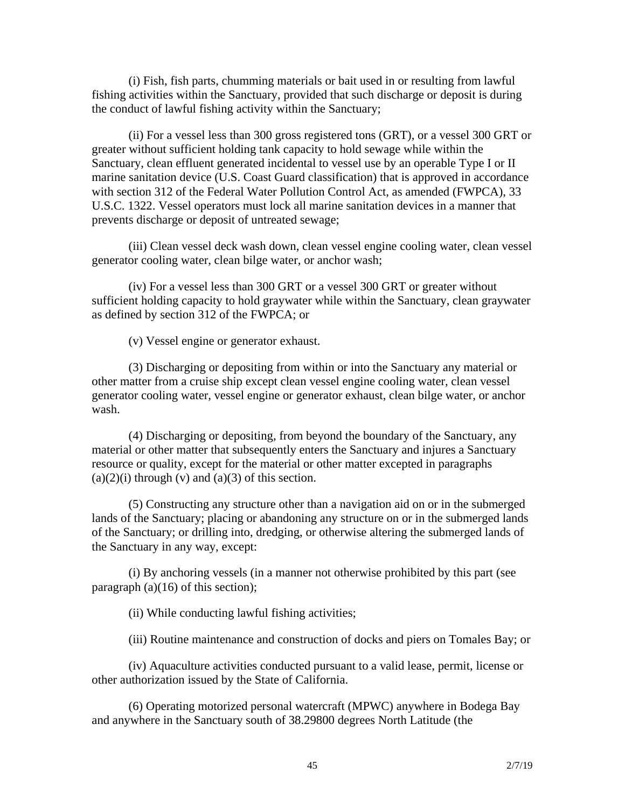(i) Fish, fish parts, chumming materials or bait used in or resulting from lawful fishing activities within the Sanctuary, provided that such discharge or deposit is during the conduct of lawful fishing activity within the Sanctuary;

(ii) For a vessel less than 300 gross registered tons (GRT), or a vessel 300 GRT or greater without sufficient holding tank capacity to hold sewage while within the Sanctuary, clean effluent generated incidental to vessel use by an operable Type I or II marine sanitation device (U.S. Coast Guard classification) that is approved in accordance with section 312 of the Federal Water Pollution Control Act, as amended (FWPCA), 33 U.S.C. 1322. Vessel operators must lock all marine sanitation devices in a manner that prevents discharge or deposit of untreated sewage;

(iii) Clean vessel deck wash down, clean vessel engine cooling water, clean vessel generator cooling water, clean bilge water, or anchor wash;

(iv) For a vessel less than 300 GRT or a vessel 300 GRT or greater without sufficient holding capacity to hold graywater while within the Sanctuary, clean graywater as defined by section 312 of the FWPCA; or

(v) Vessel engine or generator exhaust.

(3) Discharging or depositing from within or into the Sanctuary any material or other matter from a cruise ship except clean vessel engine cooling water, clean vessel generator cooling water, vessel engine or generator exhaust, clean bilge water, or anchor wash.

(4) Discharging or depositing, from beyond the boundary of the Sanctuary, any material or other matter that subsequently enters the Sanctuary and injures a Sanctuary resource or quality, except for the material or other matter excepted in paragraphs  $(a)(2)(i)$  through  $(v)$  and  $(a)(3)$  of this section.

(5) Constructing any structure other than a navigation aid on or in the submerged lands of the Sanctuary; placing or abandoning any structure on or in the submerged lands of the Sanctuary; or drilling into, dredging, or otherwise altering the submerged lands of the Sanctuary in any way, except:

(i) By anchoring vessels (in a manner not otherwise prohibited by this part (see paragraph  $(a)(16)$  of this section);

(ii) While conducting lawful fishing activities;

(iii) Routine maintenance and construction of docks and piers on Tomales Bay; or

(iv) Aquaculture activities conducted pursuant to a valid lease, permit, license or other authorization issued by the State of California.

(6) Operating motorized personal watercraft (MPWC) anywhere in Bodega Bay and anywhere in the Sanctuary south of 38.29800 degrees North Latitude (the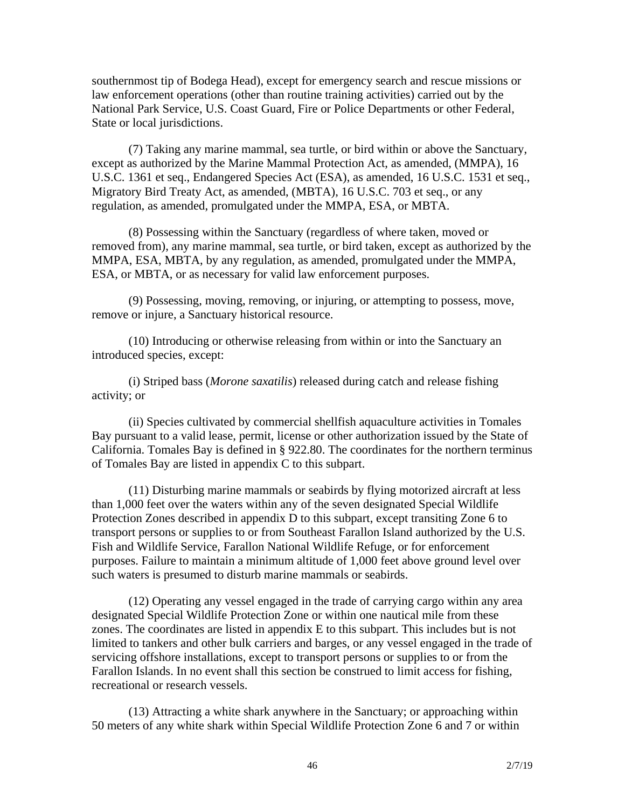southernmost tip of Bodega Head), except for emergency search and rescue missions or law enforcement operations (other than routine training activities) carried out by the National Park Service, U.S. Coast Guard, Fire or Police Departments or other Federal, State or local jurisdictions.

(7) Taking any marine mammal, sea turtle, or bird within or above the Sanctuary, except as authorized by the Marine Mammal Protection Act, as amended, (MMPA), 16 U.S.C. 1361 et seq., Endangered Species Act (ESA), as amended, 16 U.S.C. 1531 et seq., Migratory Bird Treaty Act, as amended, (MBTA), 16 U.S.C. 703 et seq., or any regulation, as amended, promulgated under the MMPA, ESA, or MBTA.

(8) Possessing within the Sanctuary (regardless of where taken, moved or removed from), any marine mammal, sea turtle, or bird taken, except as authorized by the MMPA, ESA, MBTA, by any regulation, as amended, promulgated under the MMPA, ESA, or MBTA, or as necessary for valid law enforcement purposes.

(9) Possessing, moving, removing, or injuring, or attempting to possess, move, remove or injure, a Sanctuary historical resource.

(10) Introducing or otherwise releasing from within or into the Sanctuary an introduced species, except:

(i) Striped bass (*Morone saxatilis*) released during catch and release fishing activity; or

(ii) Species cultivated by commercial shellfish aquaculture activities in Tomales Bay pursuant to a valid lease, permit, license or other authorization issued by the State of California. Tomales Bay is defined in § 922.80. The coordinates for the northern terminus of Tomales Bay are listed in appendix C to this subpart.

(11) Disturbing marine mammals or seabirds by flying motorized aircraft at less than 1,000 feet over the waters within any of the seven designated Special Wildlife Protection Zones described in appendix D to this subpart, except transiting Zone 6 to transport persons or supplies to or from Southeast Farallon Island authorized by the U.S. Fish and Wildlife Service, Farallon National Wildlife Refuge, or for enforcement purposes. Failure to maintain a minimum altitude of 1,000 feet above ground level over such waters is presumed to disturb marine mammals or seabirds.

(12) Operating any vessel engaged in the trade of carrying cargo within any area designated Special Wildlife Protection Zone or within one nautical mile from these zones. The coordinates are listed in appendix E to this subpart. This includes but is not limited to tankers and other bulk carriers and barges, or any vessel engaged in the trade of servicing offshore installations, except to transport persons or supplies to or from the Farallon Islands. In no event shall this section be construed to limit access for fishing, recreational or research vessels.

(13) Attracting a white shark anywhere in the Sanctuary; or approaching within 50 meters of any white shark within Special Wildlife Protection Zone 6 and 7 or within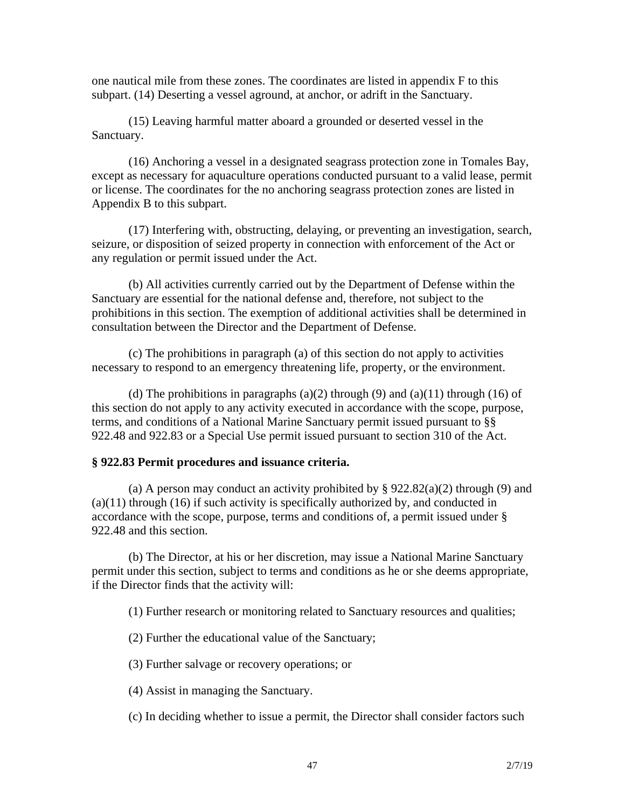one nautical mile from these zones. The coordinates are listed in appendix F to this subpart. (14) Deserting a vessel aground, at anchor, or adrift in the Sanctuary.

(15) Leaving harmful matter aboard a grounded or deserted vessel in the Sanctuary.

(16) Anchoring a vessel in a designated seagrass protection zone in Tomales Bay, except as necessary for aquaculture operations conducted pursuant to a valid lease, permit or license. The coordinates for the no anchoring seagrass protection zones are listed in Appendix B to this subpart.

(17) Interfering with, obstructing, delaying, or preventing an investigation, search, seizure, or disposition of seized property in connection with enforcement of the Act or any regulation or permit issued under the Act.

(b) All activities currently carried out by the Department of Defense within the Sanctuary are essential for the national defense and, therefore, not subject to the prohibitions in this section. The exemption of additional activities shall be determined in consultation between the Director and the Department of Defense.

(c) The prohibitions in paragraph (a) of this section do not apply to activities necessary to respond to an emergency threatening life, property, or the environment.

(d) The prohibitions in paragraphs  $(a)(2)$  through  $(9)$  and  $(a)(11)$  through  $(16)$  of this section do not apply to any activity executed in accordance with the scope, purpose, terms, and conditions of a National Marine Sanctuary permit issued pursuant to §§ 922.48 and 922.83 or a Special Use permit issued pursuant to section 310 of the Act.

#### **§ 922.83 Permit procedures and issuance criteria.**

(a) A person may conduct an activity prohibited by  $\S 922.82(a)(2)$  through (9) and (a)(11) through (16) if such activity is specifically authorized by, and conducted in accordance with the scope, purpose, terms and conditions of, a permit issued under § 922.48 and this section.

(b) The Director, at his or her discretion, may issue a National Marine Sanctuary permit under this section, subject to terms and conditions as he or she deems appropriate, if the Director finds that the activity will:

(1) Further research or monitoring related to Sanctuary resources and qualities;

(2) Further the educational value of the Sanctuary;

(3) Further salvage or recovery operations; or

(4) Assist in managing the Sanctuary.

(c) In deciding whether to issue a permit, the Director shall consider factors such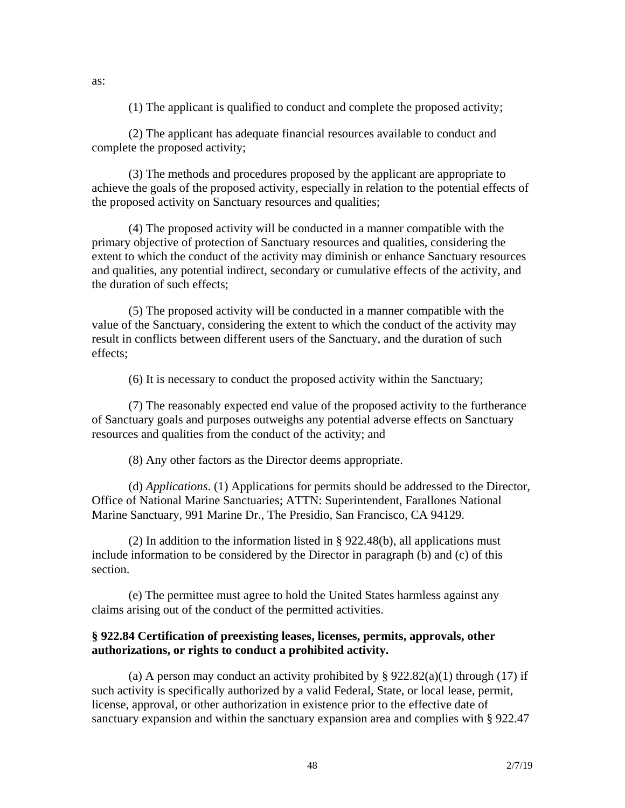(1) The applicant is qualified to conduct and complete the proposed activity;

(2) The applicant has adequate financial resources available to conduct and complete the proposed activity;

(3) The methods and procedures proposed by the applicant are appropriate to achieve the goals of the proposed activity, especially in relation to the potential effects of the proposed activity on Sanctuary resources and qualities;

(4) The proposed activity will be conducted in a manner compatible with the primary objective of protection of Sanctuary resources and qualities, considering the extent to which the conduct of the activity may diminish or enhance Sanctuary resources and qualities, any potential indirect, secondary or cumulative effects of the activity, and the duration of such effects;

(5) The proposed activity will be conducted in a manner compatible with the value of the Sanctuary, considering the extent to which the conduct of the activity may result in conflicts between different users of the Sanctuary, and the duration of such effects;

(6) It is necessary to conduct the proposed activity within the Sanctuary;

(7) The reasonably expected end value of the proposed activity to the furtherance of Sanctuary goals and purposes outweighs any potential adverse effects on Sanctuary resources and qualities from the conduct of the activity; and

(8) Any other factors as the Director deems appropriate.

(d) *Applications*. (1) Applications for permits should be addressed to the Director, Office of National Marine Sanctuaries; ATTN: Superintendent, Farallones National Marine Sanctuary, 991 Marine Dr., The Presidio, San Francisco, CA 94129.

(2) In addition to the information listed in § 922.48(b), all applications must include information to be considered by the Director in paragraph (b) and (c) of this section.

(e) The permittee must agree to hold the United States harmless against any claims arising out of the conduct of the permitted activities.

#### **§ 922.84 Certification of preexisting leases, licenses, permits, approvals, other authorizations, or rights to conduct a prohibited activity.**

(a) A person may conduct an activity prohibited by  $\S 922.82(a)(1)$  through (17) if such activity is specifically authorized by a valid Federal, State, or local lease, permit, license, approval, or other authorization in existence prior to the effective date of sanctuary expansion and within the sanctuary expansion area and complies with § 922.47

as: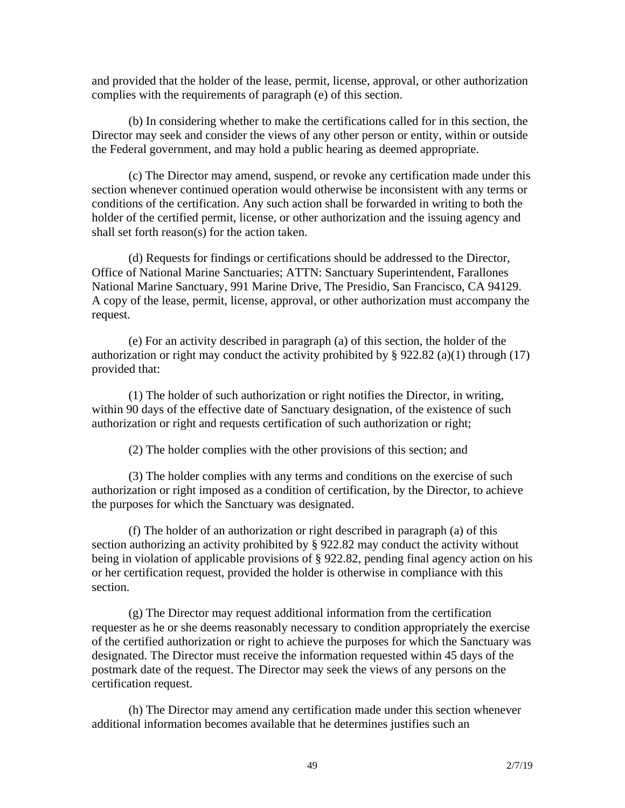and provided that the holder of the lease, permit, license, approval, or other authorization complies with the requirements of paragraph (e) of this section.

(b) In considering whether to make the certifications called for in this section, the Director may seek and consider the views of any other person or entity, within or outside the Federal government, and may hold a public hearing as deemed appropriate.

(c) The Director may amend, suspend, or revoke any certification made under this section whenever continued operation would otherwise be inconsistent with any terms or conditions of the certification. Any such action shall be forwarded in writing to both the holder of the certified permit, license, or other authorization and the issuing agency and shall set forth reason(s) for the action taken.

(d) Requests for findings or certifications should be addressed to the Director, Office of National Marine Sanctuaries; ATTN: Sanctuary Superintendent, Farallones National Marine Sanctuary, 991 Marine Drive, The Presidio, San Francisco, CA 94129. A copy of the lease, permit, license, approval, or other authorization must accompany the request.

(e) For an activity described in paragraph (a) of this section, the holder of the authorization or right may conduct the activity prohibited by  $\S$  922.82 (a)(1) through (17) provided that:

(1) The holder of such authorization or right notifies the Director, in writing, within 90 days of the effective date of Sanctuary designation, of the existence of such authorization or right and requests certification of such authorization or right;

(2) The holder complies with the other provisions of this section; and

(3) The holder complies with any terms and conditions on the exercise of such authorization or right imposed as a condition of certification, by the Director, to achieve the purposes for which the Sanctuary was designated.

(f) The holder of an authorization or right described in paragraph (a) of this section authorizing an activity prohibited by § 922.82 may conduct the activity without being in violation of applicable provisions of § 922.82, pending final agency action on his or her certification request, provided the holder is otherwise in compliance with this section.

(g) The Director may request additional information from the certification requester as he or she deems reasonably necessary to condition appropriately the exercise of the certified authorization or right to achieve the purposes for which the Sanctuary was designated. The Director must receive the information requested within 45 days of the postmark date of the request. The Director may seek the views of any persons on the certification request.

(h) The Director may amend any certification made under this section whenever additional information becomes available that he determines justifies such an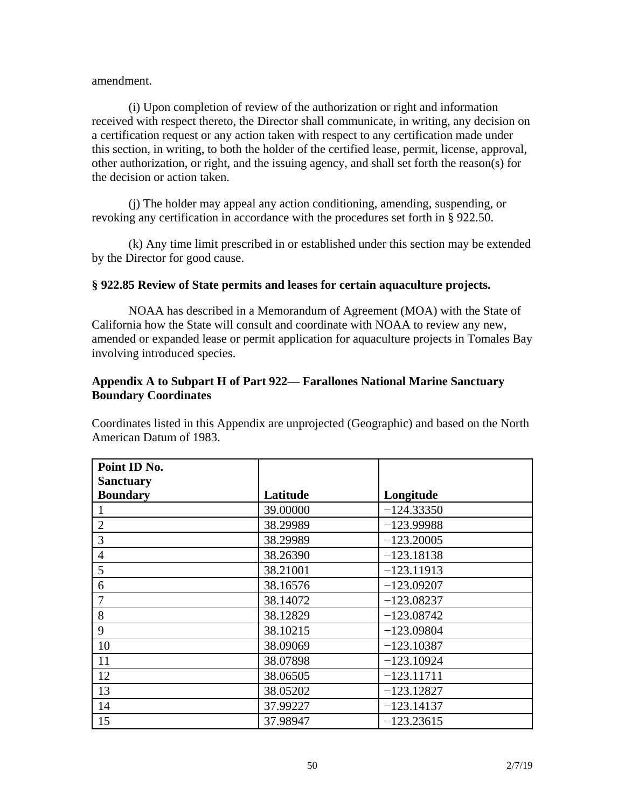#### amendment.

(i) Upon completion of review of the authorization or right and information received with respect thereto, the Director shall communicate, in writing, any decision on a certification request or any action taken with respect to any certification made under this section, in writing, to both the holder of the certified lease, permit, license, approval, other authorization, or right, and the issuing agency, and shall set forth the reason(s) for the decision or action taken.

(j) The holder may appeal any action conditioning, amending, suspending, or revoking any certification in accordance with the procedures set forth in § 922.50.

(k) Any time limit prescribed in or established under this section may be extended by the Director for good cause.

#### **§ 922.85 Review of State permits and leases for certain aquaculture projects.**

NOAA has described in a Memorandum of Agreement (MOA) with the State of California how the State will consult and coordinate with NOAA to review any new, amended or expanded lease or permit application for aquaculture projects in Tomales Bay involving introduced species.

### **Appendix A to Subpart H of Part 922— Farallones National Marine Sanctuary Boundary Coordinates**

Coordinates listed in this Appendix are unprojected (Geographic) and based on the North American Datum of 1983.

| Point ID No.     |          |              |
|------------------|----------|--------------|
| <b>Sanctuary</b> |          |              |
| <b>Boundary</b>  | Latitude | Longitude    |
|                  | 39.00000 | $-124.33350$ |
| $\overline{2}$   | 38.29989 | $-123.99988$ |
| 3                | 38.29989 | $-123.20005$ |
| $\overline{4}$   | 38.26390 | $-123.18138$ |
| 5                | 38.21001 | $-123.11913$ |
| 6                | 38.16576 | $-123.09207$ |
|                  | 38.14072 | $-123.08237$ |
| 8                | 38.12829 | $-123.08742$ |
| 9                | 38.10215 | $-123.09804$ |
| 10               | 38.09069 | $-123.10387$ |
| 11               | 38.07898 | $-123.10924$ |
| 12               | 38.06505 | $-123.11711$ |
| 13               | 38.05202 | $-123.12827$ |
| 14               | 37.99227 | $-123.14137$ |
| 15               | 37.98947 | $-123.23615$ |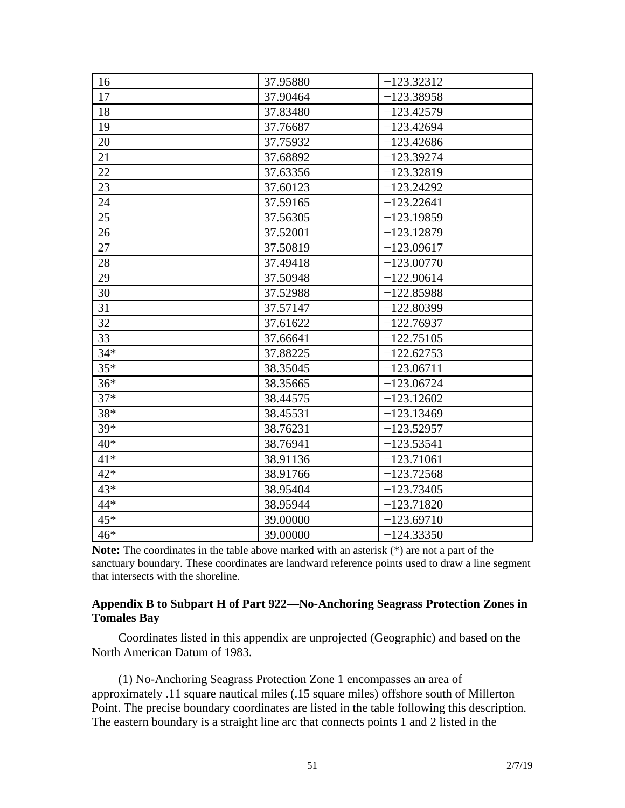| 16    | 37.95880 | $-123.32312$ |
|-------|----------|--------------|
| 17    | 37.90464 | $-123.38958$ |
| 18    | 37.83480 | $-123.42579$ |
| 19    | 37.76687 | $-123.42694$ |
| 20    | 37.75932 | $-123.42686$ |
| 21    | 37.68892 | $-123.39274$ |
| 22    | 37.63356 | $-123.32819$ |
| 23    | 37.60123 | $-123.24292$ |
| 24    | 37.59165 | $-123.22641$ |
| 25    | 37.56305 | $-123.19859$ |
| 26    | 37.52001 | $-123.12879$ |
| 27    | 37.50819 | $-123.09617$ |
| 28    | 37.49418 | $-123.00770$ |
| 29    | 37.50948 | $-122.90614$ |
| 30    | 37.52988 | $-122.85988$ |
| 31    | 37.57147 | $-122.80399$ |
| 32    | 37.61622 | $-122.76937$ |
| 33    | 37.66641 | $-122.75105$ |
| $34*$ | 37.88225 | $-122.62753$ |
| $35*$ | 38.35045 | $-123.06711$ |
| $36*$ | 38.35665 | $-123.06724$ |
| $37*$ | 38.44575 | $-123.12602$ |
| 38*   | 38.45531 | $-123.13469$ |
| 39*   | 38.76231 | $-123.52957$ |
| $40*$ | 38.76941 | $-123.53541$ |
| $41*$ | 38.91136 | $-123.71061$ |
| $42*$ | 38.91766 | $-123.72568$ |
| 43*   | 38.95404 | $-123.73405$ |
| 44*   | 38.95944 | $-123.71820$ |
| 45*   | 39.00000 | $-123.69710$ |
| 46*   | 39.00000 | $-124.33350$ |

**Note:** The coordinates in the table above marked with an asterisk (\*) are not a part of the sanctuary boundary. These coordinates are landward reference points used to draw a line segment that intersects with the shoreline.

## **Appendix B to Subpart H of Part 922—No-Anchoring Seagrass Protection Zones in Tomales Bay**

Coordinates listed in this appendix are unprojected (Geographic) and based on the North American Datum of 1983.

(1) No-Anchoring Seagrass Protection Zone 1 encompasses an area of approximately .11 square nautical miles (.15 square miles) offshore south of Millerton Point. The precise boundary coordinates are listed in the table following this description. The eastern boundary is a straight line arc that connects points 1 and 2 listed in the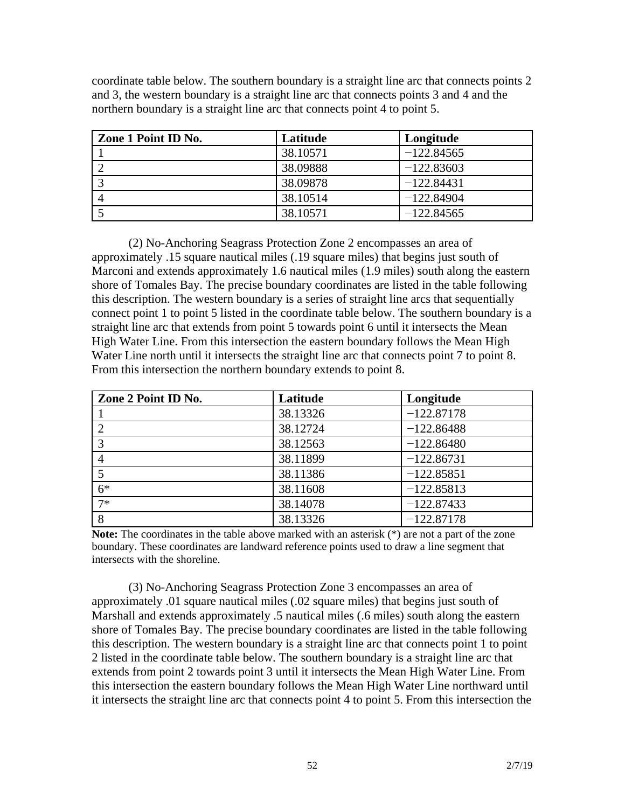coordinate table below. The southern boundary is a straight line arc that connects points 2 and 3, the western boundary is a straight line arc that connects points 3 and 4 and the northern boundary is a straight line arc that connects point 4 to point 5.

| Zone 1 Point ID No. | Latitude | Longitude    |
|---------------------|----------|--------------|
|                     | 38.10571 | $-122.84565$ |
|                     | 38.09888 | $-122.83603$ |
|                     | 38.09878 | $-122.84431$ |
|                     | 38.10514 | $-122.84904$ |
|                     | 38.10571 | $-122.84565$ |

(2) No-Anchoring Seagrass Protection Zone 2 encompasses an area of approximately .15 square nautical miles (.19 square miles) that begins just south of Marconi and extends approximately 1.6 nautical miles (1.9 miles) south along the eastern shore of Tomales Bay. The precise boundary coordinates are listed in the table following this description. The western boundary is a series of straight line arcs that sequentially connect point 1 to point 5 listed in the coordinate table below. The southern boundary is a straight line arc that extends from point 5 towards point 6 until it intersects the Mean High Water Line. From this intersection the eastern boundary follows the Mean High Water Line north until it intersects the straight line arc that connects point 7 to point 8. From this intersection the northern boundary extends to point 8.

| Zone 2 Point ID No. | Latitude | Longitude    |
|---------------------|----------|--------------|
|                     | 38.13326 | $-122.87178$ |
|                     | 38.12724 | $-122.86488$ |
|                     | 38.12563 | $-122.86480$ |
|                     | 38.11899 | $-122.86731$ |
|                     | 38.11386 | $-122.85851$ |
| $6*$                | 38.11608 | $-122.85813$ |
| $7*$                | 38.14078 | $-122.87433$ |
|                     | 38.13326 | $-122.87178$ |

**Note:** The coordinates in the table above marked with an asterisk (\*) are not a part of the zone boundary. These coordinates are landward reference points used to draw a line segment that intersects with the shoreline.

(3) No-Anchoring Seagrass Protection Zone 3 encompasses an area of approximately .01 square nautical miles (.02 square miles) that begins just south of Marshall and extends approximately .5 nautical miles (.6 miles) south along the eastern shore of Tomales Bay. The precise boundary coordinates are listed in the table following this description. The western boundary is a straight line arc that connects point 1 to point 2 listed in the coordinate table below. The southern boundary is a straight line arc that extends from point 2 towards point 3 until it intersects the Mean High Water Line. From this intersection the eastern boundary follows the Mean High Water Line northward until it intersects the straight line arc that connects point 4 to point 5. From this intersection the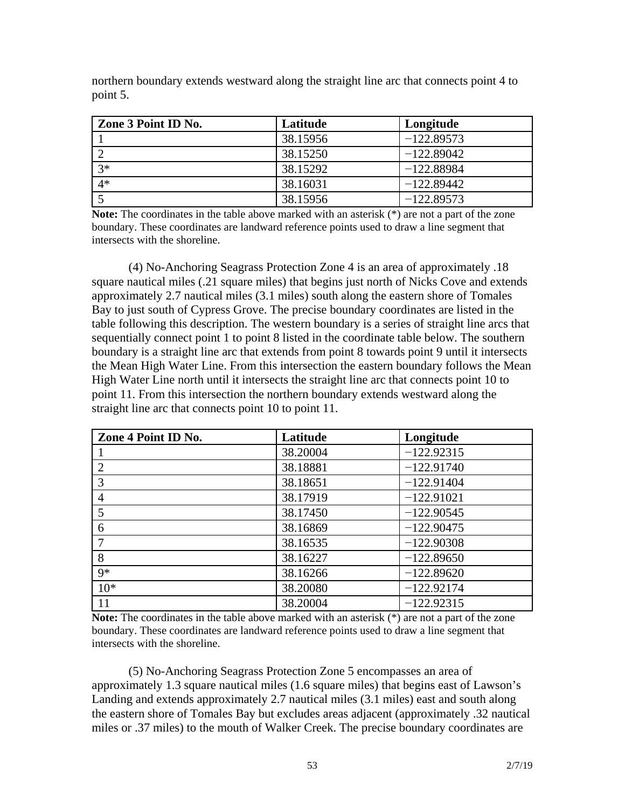northern boundary extends westward along the straight line arc that connects point 4 to point 5.

| Zone 3 Point ID No. | Latitude | Longitude    |
|---------------------|----------|--------------|
|                     | 38.15956 | $-122.89573$ |
|                     | 38.15250 | $-122.89042$ |
| $3*$                | 38.15292 | $-122.88984$ |
| $4*$                | 38.16031 | $-122.89442$ |
|                     | 38.15956 | $-122.89573$ |

Note: The coordinates in the table above marked with an asterisk (\*) are not a part of the zone boundary. These coordinates are landward reference points used to draw a line segment that intersects with the shoreline.

(4) No-Anchoring Seagrass Protection Zone 4 is an area of approximately .18 square nautical miles (.21 square miles) that begins just north of Nicks Cove and extends approximately 2.7 nautical miles (3.1 miles) south along the eastern shore of Tomales Bay to just south of Cypress Grove. The precise boundary coordinates are listed in the table following this description. The western boundary is a series of straight line arcs that sequentially connect point 1 to point 8 listed in the coordinate table below. The southern boundary is a straight line arc that extends from point 8 towards point 9 until it intersects the Mean High Water Line. From this intersection the eastern boundary follows the Mean High Water Line north until it intersects the straight line arc that connects point 10 to point 11. From this intersection the northern boundary extends westward along the straight line arc that connects point 10 to point 11.

| Zone 4 Point ID No. | Latitude | Longitude    |
|---------------------|----------|--------------|
|                     | 38.20004 | $-122.92315$ |
| $\overline{2}$      | 38.18881 | $-122.91740$ |
| 3                   | 38.18651 | $-122.91404$ |
| $\overline{4}$      | 38.17919 | $-122.91021$ |
| 5                   | 38.17450 | $-122.90545$ |
| 6                   | 38.16869 | $-122.90475$ |
| $\tau$              | 38.16535 | $-122.90308$ |
| 8                   | 38.16227 | $-122.89650$ |
| $9*$                | 38.16266 | $-122.89620$ |
| $10*$               | 38.20080 | $-122.92174$ |
| 11                  | 38.20004 | $-122.92315$ |

Note: The coordinates in the table above marked with an asterisk (\*) are not a part of the zone boundary. These coordinates are landward reference points used to draw a line segment that intersects with the shoreline.

(5) No-Anchoring Seagrass Protection Zone 5 encompasses an area of approximately 1.3 square nautical miles (1.6 square miles) that begins east of Lawson's Landing and extends approximately 2.7 nautical miles (3.1 miles) east and south along the eastern shore of Tomales Bay but excludes areas adjacent (approximately .32 nautical miles or .37 miles) to the mouth of Walker Creek. The precise boundary coordinates are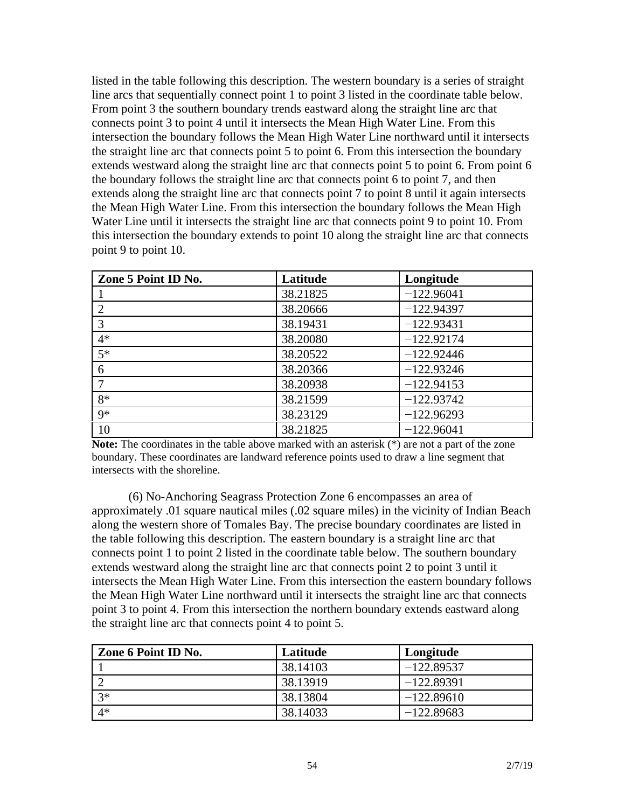listed in the table following this description. The western boundary is a series of straight line arcs that sequentially connect point 1 to point 3 listed in the coordinate table below. From point 3 the southern boundary trends eastward along the straight line arc that connects point 3 to point 4 until it intersects the Mean High Water Line. From this intersection the boundary follows the Mean High Water Line northward until it intersects the straight line arc that connects point 5 to point 6. From this intersection the boundary extends westward along the straight line arc that connects point 5 to point 6. From point 6 the boundary follows the straight line arc that connects point 6 to point 7, and then extends along the straight line arc that connects point 7 to point 8 until it again intersects the Mean High Water Line. From this intersection the boundary follows the Mean High Water Line until it intersects the straight line arc that connects point 9 to point 10. From this intersection the boundary extends to point 10 along the straight line arc that connects point 9 to point 10.

| Zone 5 Point ID No.         | Latitude | Longitude    |
|-----------------------------|----------|--------------|
|                             | 38.21825 | $-122.96041$ |
| $\mathcal{D}_{\mathcal{A}}$ | 38.20666 | $-122.94397$ |
| 3                           | 38.19431 | $-122.93431$ |
| $4*$                        | 38.20080 | $-122.92174$ |
| $5*$                        | 38.20522 | $-122.92446$ |
| 6                           | 38.20366 | $-122.93246$ |
| 7                           | 38.20938 | $-122.94153$ |
| $8*$                        | 38.21599 | $-122.93742$ |
| $9*$                        | 38.23129 | $-122.96293$ |
| 10                          | 38.21825 | $-122.96041$ |

Note: The coordinates in the table above marked with an asterisk (\*) are not a part of the zone boundary. These coordinates are landward reference points used to draw a line segment that intersects with the shoreline.

(6) No-Anchoring Seagrass Protection Zone 6 encompasses an area of approximately .01 square nautical miles (.02 square miles) in the vicinity of Indian Beach along the western shore of Tomales Bay. The precise boundary coordinates are listed in the table following this description. The eastern boundary is a straight line arc that connects point 1 to point 2 listed in the coordinate table below. The southern boundary extends westward along the straight line arc that connects point 2 to point 3 until it intersects the Mean High Water Line. From this intersection the eastern boundary follows the Mean High Water Line northward until it intersects the straight line arc that connects point 3 to point 4. From this intersection the northern boundary extends eastward along the straight line arc that connects point 4 to point 5.

| Zone 6 Point ID No. | Latitude | Longitude    |
|---------------------|----------|--------------|
|                     | 38.14103 | $-122.89537$ |
|                     | 38.13919 | $-122.89391$ |
| $3*$                | 38.13804 | $-122.89610$ |
| $4*$                | 38.14033 | $-122.89683$ |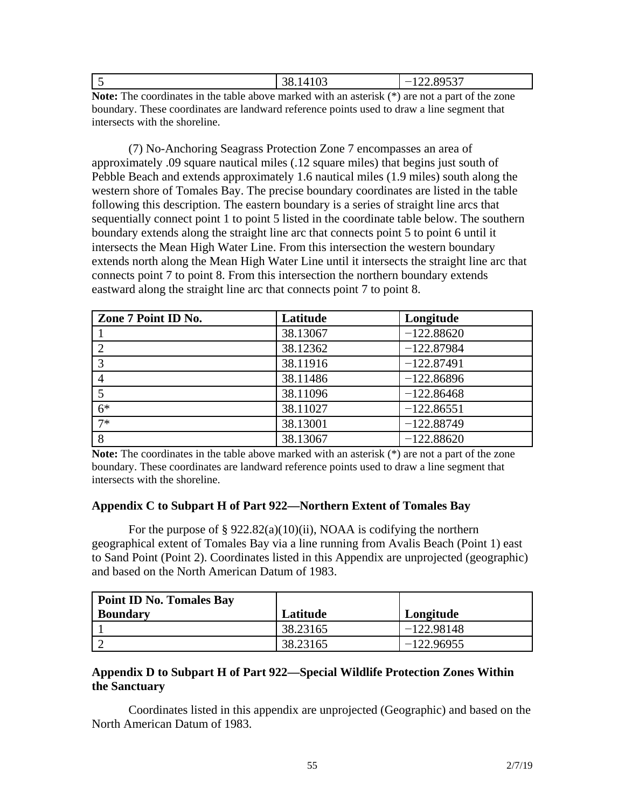| . . | $\Omega$<br><u>20</u><br>38.14103 | 00527<br>$\overline{\phantom{a}}$<br>1 <i>44.073.</i> |
|-----|-----------------------------------|-------------------------------------------------------|
|     |                                   |                                                       |

**Note:** The coordinates in the table above marked with an asterisk (\*) are not a part of the zone boundary. These coordinates are landward reference points used to draw a line segment that intersects with the shoreline.

(7) No-Anchoring Seagrass Protection Zone 7 encompasses an area of approximately .09 square nautical miles (.12 square miles) that begins just south of Pebble Beach and extends approximately 1.6 nautical miles (1.9 miles) south along the western shore of Tomales Bay. The precise boundary coordinates are listed in the table following this description. The eastern boundary is a series of straight line arcs that sequentially connect point 1 to point 5 listed in the coordinate table below. The southern boundary extends along the straight line arc that connects point 5 to point 6 until it intersects the Mean High Water Line. From this intersection the western boundary extends north along the Mean High Water Line until it intersects the straight line arc that connects point 7 to point 8. From this intersection the northern boundary extends eastward along the straight line arc that connects point 7 to point 8.

| Zone 7 Point ID No. | Latitude | Longitude    |
|---------------------|----------|--------------|
|                     | 38.13067 | $-122.88620$ |
|                     | 38.12362 | $-122.87984$ |
|                     | 38.11916 | $-122.87491$ |
|                     | 38.11486 | $-122.86896$ |
|                     | 38.11096 | $-122.86468$ |
| $6*$                | 38.11027 | $-122.86551$ |
| $7*$                | 38.13001 | $-122.88749$ |
| 8                   | 38.13067 | $-122.88620$ |

**Note:** The coordinates in the table above marked with an asterisk (\*) are not a part of the zone boundary. These coordinates are landward reference points used to draw a line segment that intersects with the shoreline.

#### **Appendix C to Subpart H of Part 922—Northern Extent of Tomales Bay**

For the purpose of  $\S 922.82(a)(10)(ii)$ , NOAA is codifying the northern geographical extent of Tomales Bay via a line running from Avalis Beach (Point 1) east to Sand Point (Point 2). Coordinates listed in this Appendix are unprojected (geographic) and based on the North American Datum of 1983.

| <b>Point ID No. Tomales Bay</b> |          |              |
|---------------------------------|----------|--------------|
| <b>Boundary</b>                 | Latitude | Longitude    |
|                                 | 38.23165 | $-122.98148$ |
|                                 | 38.23165 | $-122.96955$ |

## **Appendix D to Subpart H of Part 922—Special Wildlife Protection Zones Within the Sanctuary**

Coordinates listed in this appendix are unprojected (Geographic) and based on the North American Datum of 1983.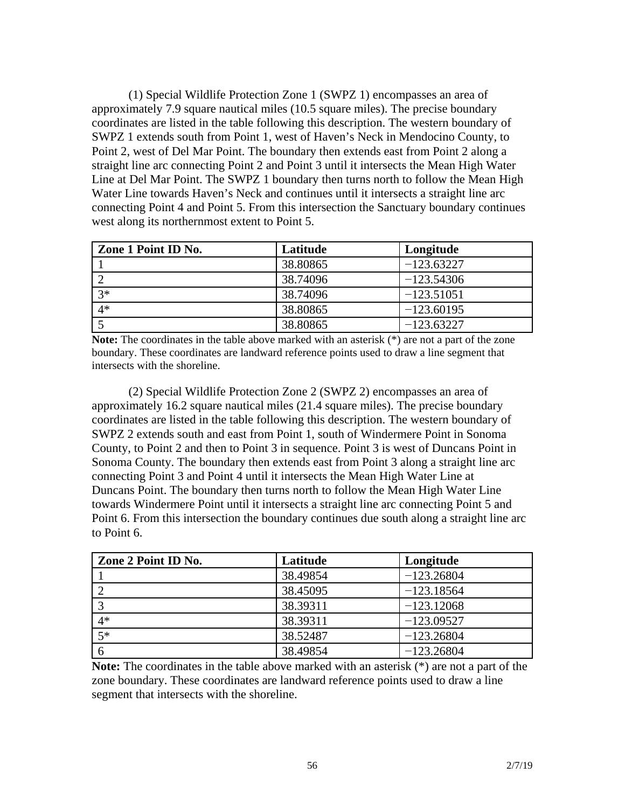(1) Special Wildlife Protection Zone 1 (SWPZ 1) encompasses an area of approximately 7.9 square nautical miles (10.5 square miles). The precise boundary coordinates are listed in the table following this description. The western boundary of SWPZ 1 extends south from Point 1, west of Haven's Neck in Mendocino County, to Point 2, west of Del Mar Point. The boundary then extends east from Point 2 along a straight line arc connecting Point 2 and Point 3 until it intersects the Mean High Water Line at Del Mar Point. The SWPZ 1 boundary then turns north to follow the Mean High Water Line towards Haven's Neck and continues until it intersects a straight line arc connecting Point 4 and Point 5. From this intersection the Sanctuary boundary continues west along its northernmost extent to Point 5.

| Zone 1 Point ID No. | Latitude | Longitude    |
|---------------------|----------|--------------|
|                     | 38.80865 | $-123.63227$ |
|                     | 38.74096 | $-123.54306$ |
| $3*$                | 38.74096 | $-123.51051$ |
| $4*$                | 38.80865 | $-123.60195$ |
|                     | 38.80865 | $-123.63227$ |

**Note:** The coordinates in the table above marked with an asterisk (\*) are not a part of the zone boundary. These coordinates are landward reference points used to draw a line segment that intersects with the shoreline.

(2) Special Wildlife Protection Zone 2 (SWPZ 2) encompasses an area of approximately 16.2 square nautical miles (21.4 square miles). The precise boundary coordinates are listed in the table following this description. The western boundary of SWPZ 2 extends south and east from Point 1, south of Windermere Point in Sonoma County, to Point 2 and then to Point 3 in sequence. Point 3 is west of Duncans Point in Sonoma County. The boundary then extends east from Point 3 along a straight line arc connecting Point 3 and Point 4 until it intersects the Mean High Water Line at Duncans Point. The boundary then turns north to follow the Mean High Water Line towards Windermere Point until it intersects a straight line arc connecting Point 5 and Point 6. From this intersection the boundary continues due south along a straight line arc to Point 6.

| Zone 2 Point ID No. | Latitude | Longitude    |
|---------------------|----------|--------------|
|                     | 38.49854 | $-123.26804$ |
|                     | 38.45095 | $-123.18564$ |
|                     | 38.39311 | $-123.12068$ |
| $4*$                | 38.39311 | $-123.09527$ |
| $5*$                | 38.52487 | $-123.26804$ |
|                     | 38.49854 | $-123.26804$ |

**Note:** The coordinates in the table above marked with an asterisk (\*) are not a part of the zone boundary. These coordinates are landward reference points used to draw a line segment that intersects with the shoreline.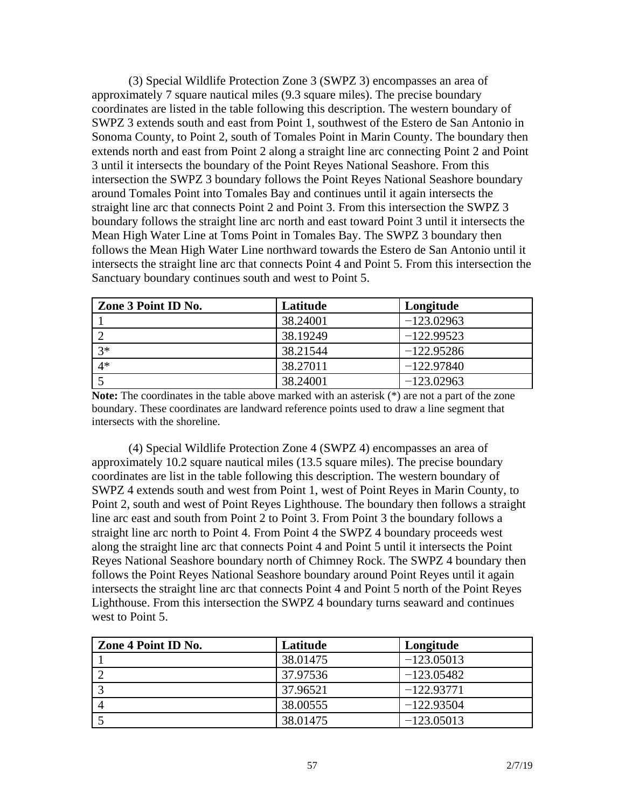(3) Special Wildlife Protection Zone 3 (SWPZ 3) encompasses an area of approximately 7 square nautical miles (9.3 square miles). The precise boundary coordinates are listed in the table following this description. The western boundary of SWPZ 3 extends south and east from Point 1, southwest of the Estero de San Antonio in Sonoma County, to Point 2, south of Tomales Point in Marin County. The boundary then extends north and east from Point 2 along a straight line arc connecting Point 2 and Point 3 until it intersects the boundary of the Point Reyes National Seashore. From this intersection the SWPZ 3 boundary follows the Point Reyes National Seashore boundary around Tomales Point into Tomales Bay and continues until it again intersects the straight line arc that connects Point 2 and Point 3. From this intersection the SWPZ 3 boundary follows the straight line arc north and east toward Point 3 until it intersects the Mean High Water Line at Toms Point in Tomales Bay. The SWPZ 3 boundary then follows the Mean High Water Line northward towards the Estero de San Antonio until it intersects the straight line arc that connects Point 4 and Point 5. From this intersection the Sanctuary boundary continues south and west to Point 5.

| Zone 3 Point ID No. | Latitude | Longitude    |
|---------------------|----------|--------------|
|                     | 38.24001 | $-123.02963$ |
|                     | 38.19249 | $-122.99523$ |
| $3*$                | 38.21544 | $-122.95286$ |
| $4*$                | 38.27011 | $-122.97840$ |
|                     | 38.24001 | $-123.02963$ |

**Note:** The coordinates in the table above marked with an asterisk (\*) are not a part of the zone boundary. These coordinates are landward reference points used to draw a line segment that intersects with the shoreline.

(4) Special Wildlife Protection Zone 4 (SWPZ 4) encompasses an area of approximately 10.2 square nautical miles (13.5 square miles). The precise boundary coordinates are list in the table following this description. The western boundary of SWPZ 4 extends south and west from Point 1, west of Point Reyes in Marin County, to Point 2, south and west of Point Reyes Lighthouse. The boundary then follows a straight line arc east and south from Point 2 to Point 3. From Point 3 the boundary follows a straight line arc north to Point 4. From Point 4 the SWPZ 4 boundary proceeds west along the straight line arc that connects Point 4 and Point 5 until it intersects the Point Reyes National Seashore boundary north of Chimney Rock. The SWPZ 4 boundary then follows the Point Reyes National Seashore boundary around Point Reyes until it again intersects the straight line arc that connects Point 4 and Point 5 north of the Point Reyes Lighthouse. From this intersection the SWPZ 4 boundary turns seaward and continues west to Point 5.

| Zone 4 Point ID No. | Latitude | Longitude    |
|---------------------|----------|--------------|
|                     | 38.01475 | $-123.05013$ |
|                     | 37.97536 | $-123.05482$ |
|                     | 37.96521 | $-122.93771$ |
|                     | 38.00555 | $-122.93504$ |
|                     | 38.01475 | $-123.05013$ |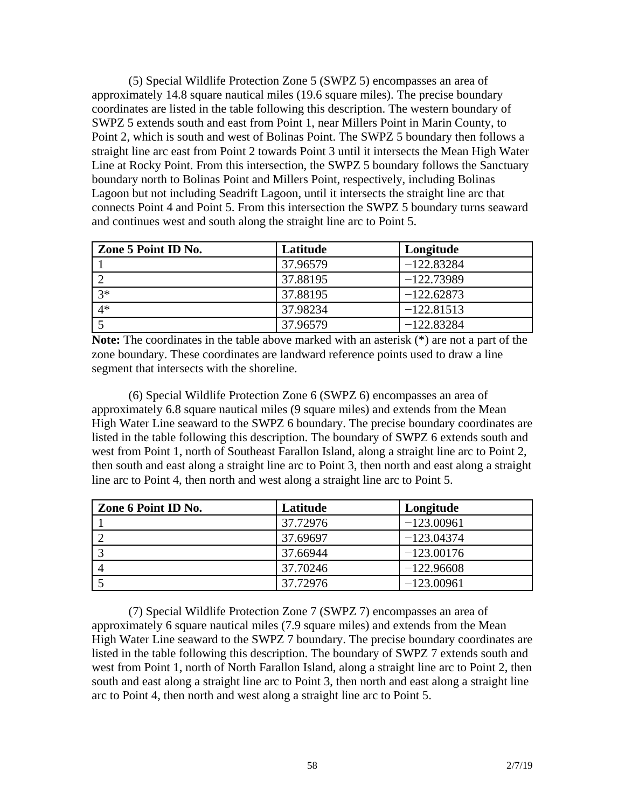(5) Special Wildlife Protection Zone 5 (SWPZ 5) encompasses an area of approximately 14.8 square nautical miles (19.6 square miles). The precise boundary coordinates are listed in the table following this description. The western boundary of SWPZ 5 extends south and east from Point 1, near Millers Point in Marin County, to Point 2, which is south and west of Bolinas Point. The SWPZ 5 boundary then follows a straight line arc east from Point 2 towards Point 3 until it intersects the Mean High Water Line at Rocky Point. From this intersection, the SWPZ 5 boundary follows the Sanctuary boundary north to Bolinas Point and Millers Point, respectively, including Bolinas Lagoon but not including Seadrift Lagoon, until it intersects the straight line arc that connects Point 4 and Point 5. From this intersection the SWPZ 5 boundary turns seaward and continues west and south along the straight line arc to Point 5.

| Zone 5 Point ID No. | Latitude | Longitude    |
|---------------------|----------|--------------|
|                     | 37.96579 | $-122.83284$ |
|                     | 37.88195 | $-122.73989$ |
| $3*$                | 37.88195 | $-122.62873$ |
| $4*$                | 37.98234 | $-122.81513$ |
|                     | 37.96579 | $-122.83284$ |

**Note:** The coordinates in the table above marked with an asterisk (\*) are not a part of the zone boundary. These coordinates are landward reference points used to draw a line segment that intersects with the shoreline.

(6) Special Wildlife Protection Zone 6 (SWPZ 6) encompasses an area of approximately 6.8 square nautical miles (9 square miles) and extends from the Mean High Water Line seaward to the SWPZ 6 boundary. The precise boundary coordinates are listed in the table following this description. The boundary of SWPZ 6 extends south and west from Point 1, north of Southeast Farallon Island, along a straight line arc to Point 2, then south and east along a straight line arc to Point 3, then north and east along a straight line arc to Point 4, then north and west along a straight line arc to Point 5.

| Zone 6 Point ID No. | Latitude | Longitude    |
|---------------------|----------|--------------|
|                     | 37.72976 | $-123.00961$ |
|                     | 37.69697 | $-123.04374$ |
|                     | 37.66944 | $-123.00176$ |
|                     | 37.70246 | $-122.96608$ |
|                     | 37.72976 | $-123.00961$ |

(7) Special Wildlife Protection Zone 7 (SWPZ 7) encompasses an area of approximately 6 square nautical miles (7.9 square miles) and extends from the Mean High Water Line seaward to the SWPZ 7 boundary. The precise boundary coordinates are listed in the table following this description. The boundary of SWPZ 7 extends south and west from Point 1, north of North Farallon Island, along a straight line arc to Point 2, then south and east along a straight line arc to Point 3, then north and east along a straight line arc to Point 4, then north and west along a straight line arc to Point 5.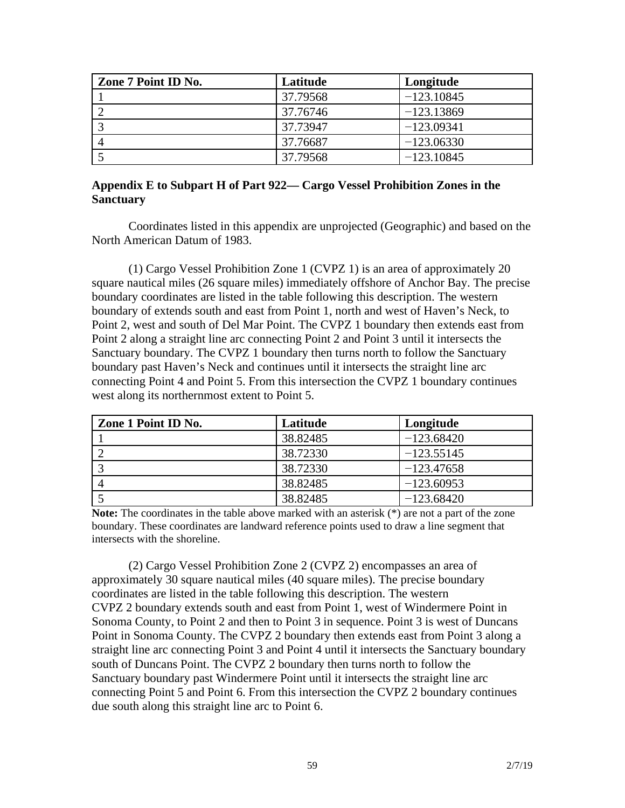| Zone 7 Point ID No. | Latitude | Longitude    |
|---------------------|----------|--------------|
|                     | 37.79568 | $-123.10845$ |
|                     | 37.76746 | $-123.13869$ |
|                     | 37.73947 | $-123.09341$ |
|                     | 37.76687 | $-123.06330$ |
|                     | 37.79568 | $-123.10845$ |

### **Appendix E to Subpart H of Part 922— Cargo Vessel Prohibition Zones in the Sanctuary**

Coordinates listed in this appendix are unprojected (Geographic) and based on the North American Datum of 1983.

(1) Cargo Vessel Prohibition Zone 1 (CVPZ 1) is an area of approximately 20 square nautical miles (26 square miles) immediately offshore of Anchor Bay. The precise boundary coordinates are listed in the table following this description. The western boundary of extends south and east from Point 1, north and west of Haven's Neck, to Point 2, west and south of Del Mar Point. The CVPZ 1 boundary then extends east from Point 2 along a straight line arc connecting Point 2 and Point 3 until it intersects the Sanctuary boundary. The CVPZ 1 boundary then turns north to follow the Sanctuary boundary past Haven's Neck and continues until it intersects the straight line arc connecting Point 4 and Point 5. From this intersection the CVPZ 1 boundary continues west along its northernmost extent to Point 5.

| Zone 1 Point ID No. | Latitude | Longitude    |
|---------------------|----------|--------------|
|                     | 38.82485 | $-123.68420$ |
|                     | 38.72330 | $-123.55145$ |
|                     | 38.72330 | $-123.47658$ |
|                     | 38.82485 | $-123.60953$ |
|                     | 38.82485 | $-123.68420$ |

**Note:** The coordinates in the table above marked with an asterisk (\*) are not a part of the zone boundary. These coordinates are landward reference points used to draw a line segment that intersects with the shoreline.

(2) Cargo Vessel Prohibition Zone 2 (CVPZ 2) encompasses an area of approximately 30 square nautical miles (40 square miles). The precise boundary coordinates are listed in the table following this description. The western CVPZ 2 boundary extends south and east from Point 1, west of Windermere Point in Sonoma County, to Point 2 and then to Point 3 in sequence. Point 3 is west of Duncans Point in Sonoma County. The CVPZ 2 boundary then extends east from Point 3 along a straight line arc connecting Point 3 and Point 4 until it intersects the Sanctuary boundary south of Duncans Point. The CVPZ 2 boundary then turns north to follow the Sanctuary boundary past Windermere Point until it intersects the straight line arc connecting Point 5 and Point 6. From this intersection the CVPZ 2 boundary continues due south along this straight line arc to Point 6.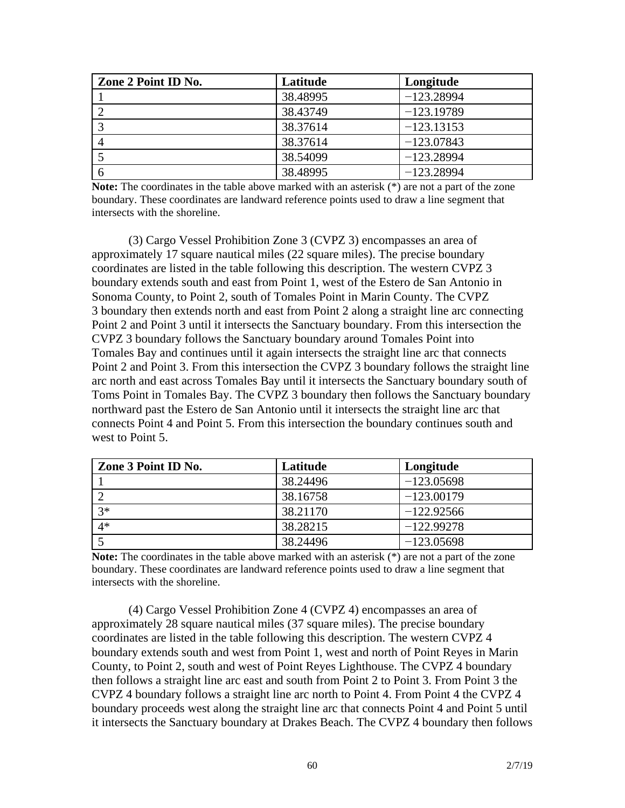| Zone 2 Point ID No. | Latitude | Longitude    |
|---------------------|----------|--------------|
|                     | 38.48995 | $-123.28994$ |
|                     | 38.43749 | $-123.19789$ |
|                     | 38.37614 | $-123.13153$ |
|                     | 38.37614 | $-123.07843$ |
|                     | 38.54099 | $-123.28994$ |
|                     | 38.48995 | $-123.28994$ |

**Note:** The coordinates in the table above marked with an asterisk (\*) are not a part of the zone boundary. These coordinates are landward reference points used to draw a line segment that intersects with the shoreline.

(3) Cargo Vessel Prohibition Zone 3 (CVPZ 3) encompasses an area of approximately 17 square nautical miles (22 square miles). The precise boundary coordinates are listed in the table following this description. The western CVPZ 3 boundary extends south and east from Point 1, west of the Estero de San Antonio in Sonoma County, to Point 2, south of Tomales Point in Marin County. The CVPZ 3 boundary then extends north and east from Point 2 along a straight line arc connecting Point 2 and Point 3 until it intersects the Sanctuary boundary. From this intersection the CVPZ 3 boundary follows the Sanctuary boundary around Tomales Point into Tomales Bay and continues until it again intersects the straight line arc that connects Point 2 and Point 3. From this intersection the CVPZ 3 boundary follows the straight line arc north and east across Tomales Bay until it intersects the Sanctuary boundary south of Toms Point in Tomales Bay. The CVPZ 3 boundary then follows the Sanctuary boundary northward past the Estero de San Antonio until it intersects the straight line arc that connects Point 4 and Point 5. From this intersection the boundary continues south and west to Point 5.

| Zone 3 Point ID No. | Latitude | Longitude    |
|---------------------|----------|--------------|
|                     | 38.24496 | $-123.05698$ |
|                     | 38.16758 | $-123.00179$ |
| $3*$                | 38.21170 | $-122.92566$ |
| $4*$                | 38.28215 | $-122.99278$ |
|                     | 38.24496 | $-123.05698$ |

**Note:** The coordinates in the table above marked with an asterisk (\*) are not a part of the zone boundary. These coordinates are landward reference points used to draw a line segment that intersects with the shoreline.

(4) Cargo Vessel Prohibition Zone 4 (CVPZ 4) encompasses an area of approximately 28 square nautical miles (37 square miles). The precise boundary coordinates are listed in the table following this description. The western CVPZ 4 boundary extends south and west from Point 1, west and north of Point Reyes in Marin County, to Point 2, south and west of Point Reyes Lighthouse. The CVPZ 4 boundary then follows a straight line arc east and south from Point 2 to Point 3. From Point 3 the CVPZ 4 boundary follows a straight line arc north to Point 4. From Point 4 the CVPZ 4 boundary proceeds west along the straight line arc that connects Point 4 and Point 5 until it intersects the Sanctuary boundary at Drakes Beach. The CVPZ 4 boundary then follows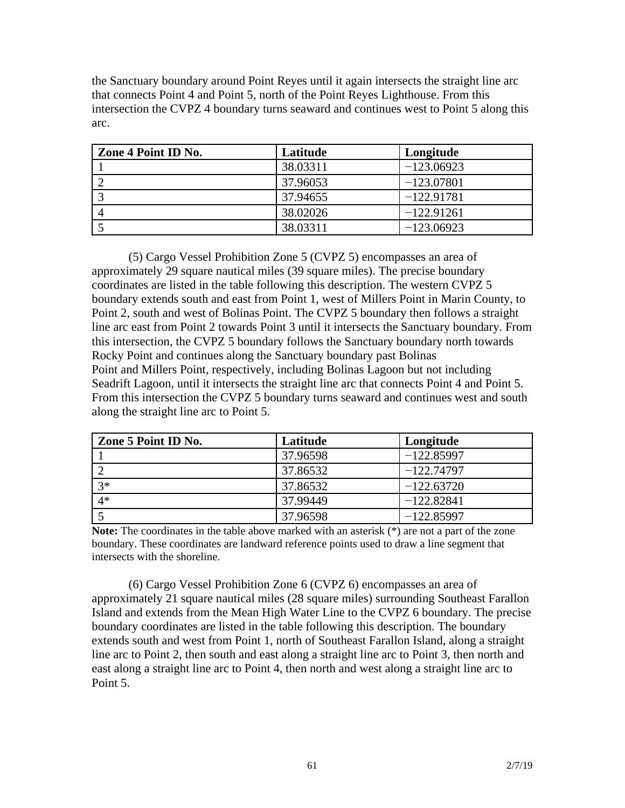the Sanctuary boundary around Point Reyes until it again intersects the straight line arc that connects Point 4 and Point 5, north of the Point Reyes Lighthouse. From this intersection the CVPZ 4 boundary turns seaward and continues west to Point 5 along this arc.

| Zone 4 Point ID No. | Latitude | Longitude    |
|---------------------|----------|--------------|
|                     | 38.03311 | $-123.06923$ |
|                     | 37.96053 | $-123.07801$ |
|                     | 37.94655 | $-122.91781$ |
|                     | 38.02026 | $-122.91261$ |
|                     | 38.03311 | $-123.06923$ |

(5) Cargo Vessel Prohibition Zone 5 (CVPZ 5) encompasses an area of approximately 29 square nautical miles (39 square miles). The precise boundary coordinates are listed in the table following this description. The western CVPZ 5 boundary extends south and east from Point 1, west of Millers Point in Marin County, to Point 2, south and west of Bolinas Point. The CVPZ 5 boundary then follows a straight line arc east from Point 2 towards Point 3 until it intersects the Sanctuary boundary. From this intersection, the CVPZ 5 boundary follows the Sanctuary boundary north towards Rocky Point and continues along the Sanctuary boundary past Bolinas Point and Millers Point, respectively, including Bolinas Lagoon but not including Seadrift Lagoon, until it intersects the straight line arc that connects Point 4 and Point 5. From this intersection the CVPZ 5 boundary turns seaward and continues west and south along the straight line arc to Point 5.

| Zone 5 Point ID No. | Latitude | Longitude    |
|---------------------|----------|--------------|
|                     | 37.96598 | $-122.85997$ |
|                     | 37.86532 | $-122.74797$ |
| $3*$                | 37.86532 | $-122.63720$ |
| $4*$                | 37.99449 | $-122.82841$ |
|                     | 37.96598 | $-122.85997$ |

**Note:** The coordinates in the table above marked with an asterisk (\*) are not a part of the zone boundary. These coordinates are landward reference points used to draw a line segment that intersects with the shoreline.

(6) Cargo Vessel Prohibition Zone 6 (CVPZ 6) encompasses an area of approximately 21 square nautical miles (28 square miles) surrounding Southeast Farallon Island and extends from the Mean High Water Line to the CVPZ 6 boundary. The precise boundary coordinates are listed in the table following this description. The boundary extends south and west from Point 1, north of Southeast Farallon Island, along a straight line arc to Point 2, then south and east along a straight line arc to Point 3, then north and east along a straight line arc to Point 4, then north and west along a straight line arc to Point 5.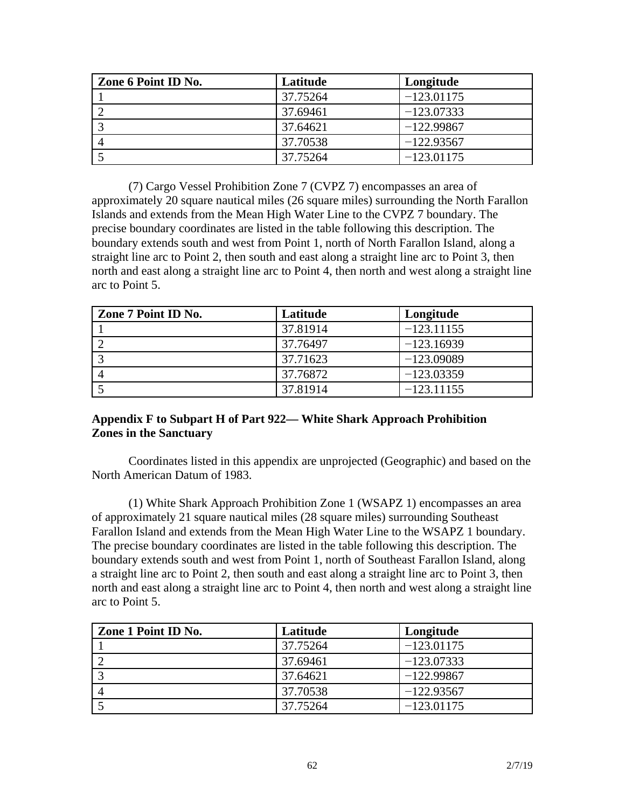| Zone 6 Point ID No. | Latitude | Longitude    |
|---------------------|----------|--------------|
|                     | 37.75264 | $-123.01175$ |
|                     | 37.69461 | $-123.07333$ |
|                     | 37.64621 | $-122.99867$ |
|                     | 37.70538 | $-122.93567$ |
|                     | 37.75264 | $-123.01175$ |

(7) Cargo Vessel Prohibition Zone 7 (CVPZ 7) encompasses an area of approximately 20 square nautical miles (26 square miles) surrounding the North Farallon Islands and extends from the Mean High Water Line to the CVPZ 7 boundary. The precise boundary coordinates are listed in the table following this description. The boundary extends south and west from Point 1, north of North Farallon Island, along a straight line arc to Point 2, then south and east along a straight line arc to Point 3, then north and east along a straight line arc to Point 4, then north and west along a straight line arc to Point 5.

| Zone 7 Point ID No. | Latitude | Longitude    |
|---------------------|----------|--------------|
|                     | 37.81914 | $-123.11155$ |
|                     | 37.76497 | $-123.16939$ |
|                     | 37.71623 | $-123.09089$ |
|                     | 37.76872 | $-123.03359$ |
|                     | 37.81914 | $-123.11155$ |

## **Appendix F to Subpart H of Part 922— White Shark Approach Prohibition Zones in the Sanctuary**

Coordinates listed in this appendix are unprojected (Geographic) and based on the North American Datum of 1983.

(1) White Shark Approach Prohibition Zone 1 (WSAPZ 1) encompasses an area of approximately 21 square nautical miles (28 square miles) surrounding Southeast Farallon Island and extends from the Mean High Water Line to the WSAPZ 1 boundary. The precise boundary coordinates are listed in the table following this description. The boundary extends south and west from Point 1, north of Southeast Farallon Island, along a straight line arc to Point 2, then south and east along a straight line arc to Point 3, then north and east along a straight line arc to Point 4, then north and west along a straight line arc to Point 5.

| Zone 1 Point ID No. | Latitude | Longitude    |
|---------------------|----------|--------------|
|                     | 37.75264 | $-123.01175$ |
|                     | 37.69461 | $-123.07333$ |
|                     | 37.64621 | $-122.99867$ |
|                     | 37.70538 | $-122.93567$ |
|                     | 37.75264 | $-123.01175$ |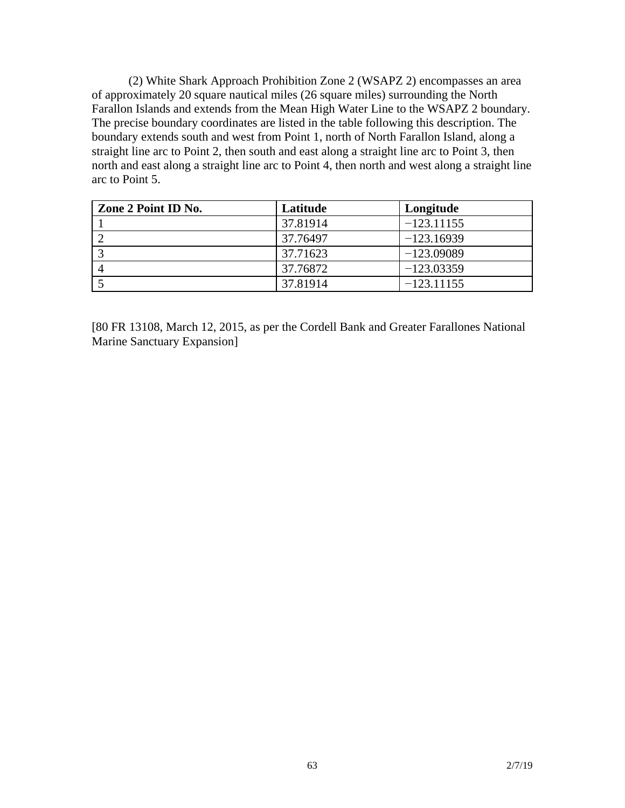(2) White Shark Approach Prohibition Zone 2 (WSAPZ 2) encompasses an area of approximately 20 square nautical miles (26 square miles) surrounding the North Farallon Islands and extends from the Mean High Water Line to the WSAPZ 2 boundary. The precise boundary coordinates are listed in the table following this description. The boundary extends south and west from Point 1, north of North Farallon Island, along a straight line arc to Point 2, then south and east along a straight line arc to Point 3, then north and east along a straight line arc to Point 4, then north and west along a straight line arc to Point 5.

| Zone 2 Point ID No. | Latitude | Longitude    |
|---------------------|----------|--------------|
|                     | 37.81914 | $-123.11155$ |
|                     | 37.76497 | $-123.16939$ |
|                     | 37.71623 | $-123.09089$ |
|                     | 37.76872 | $-123.03359$ |
|                     | 37.81914 | $-123.11155$ |

[80 FR 13108, March 12, 2015, as per the Cordell Bank and Greater Farallones National Marine Sanctuary Expansion]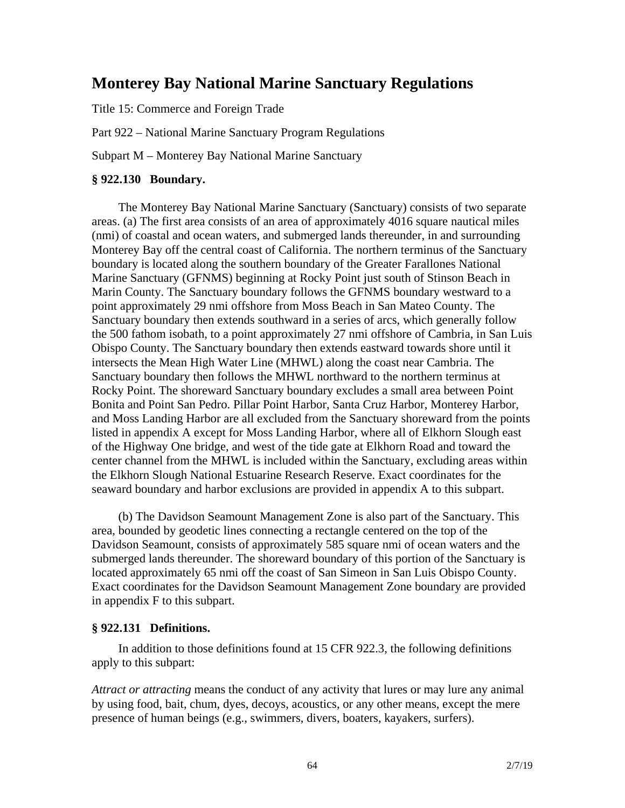# **Monterey Bay National Marine Sanctuary Regulations**

Title 15: Commerce and Foreign Trade

Part 922 – National Marine Sanctuary Program Regulations

Subpart M – Monterey Bay National Marine Sanctuary

#### **§ 922.130 Boundary.**

The Monterey Bay National Marine Sanctuary (Sanctuary) consists of two separate areas. (a) The first area consists of an area of approximately 4016 square nautical miles (nmi) of coastal and ocean waters, and submerged lands thereunder, in and surrounding Monterey Bay off the central coast of California. The northern terminus of the Sanctuary boundary is located along the southern boundary of the Greater Farallones National Marine Sanctuary (GFNMS) beginning at Rocky Point just south of Stinson Beach in Marin County. The Sanctuary boundary follows the GFNMS boundary westward to a point approximately 29 nmi offshore from Moss Beach in San Mateo County. The Sanctuary boundary then extends southward in a series of arcs, which generally follow the 500 fathom isobath, to a point approximately 27 nmi offshore of Cambria, in San Luis Obispo County. The Sanctuary boundary then extends eastward towards shore until it intersects the Mean High Water Line (MHWL) along the coast near Cambria. The Sanctuary boundary then follows the MHWL northward to the northern terminus at Rocky Point. The shoreward Sanctuary boundary excludes a small area between Point Bonita and Point San Pedro. Pillar Point Harbor, Santa Cruz Harbor, Monterey Harbor, and Moss Landing Harbor are all excluded from the Sanctuary shoreward from the points listed in appendix A except for Moss Landing Harbor, where all of Elkhorn Slough east of the Highway One bridge, and west of the tide gate at Elkhorn Road and toward the center channel from the MHWL is included within the Sanctuary, excluding areas within the Elkhorn Slough National Estuarine Research Reserve. Exact coordinates for the seaward boundary and harbor exclusions are provided in appendix A to this subpart.

(b) The Davidson Seamount Management Zone is also part of the Sanctuary. This area, bounded by geodetic lines connecting a rectangle centered on the top of the Davidson Seamount, consists of approximately 585 square nmi of ocean waters and the submerged lands thereunder. The shoreward boundary of this portion of the Sanctuary is located approximately 65 nmi off the coast of San Simeon in San Luis Obispo County. Exact coordinates for the Davidson Seamount Management Zone boundary are provided in appendix F to this subpart.

#### **§ 922.131 Definitions.**

In addition to those definitions found at 15 CFR 922.3, the following definitions apply to this subpart:

*Attract or attracting* means the conduct of any activity that lures or may lure any animal by using food, bait, chum, dyes, decoys, acoustics, or any other means, except the mere presence of human beings (e.g., swimmers, divers, boaters, kayakers, surfers).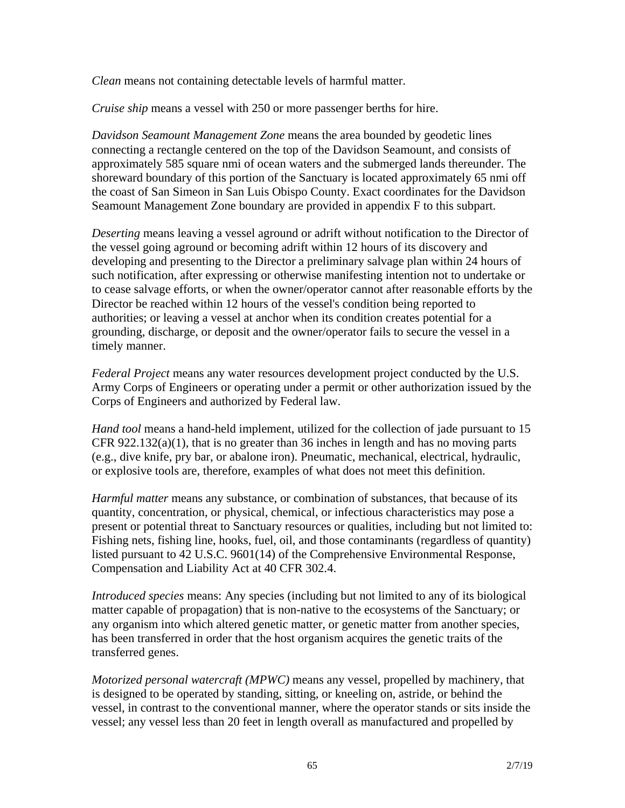*Clean* means not containing detectable levels of harmful matter.

*Cruise ship* means a vessel with 250 or more passenger berths for hire.

*Davidson Seamount Management Zone* means the area bounded by geodetic lines connecting a rectangle centered on the top of the Davidson Seamount, and consists of approximately 585 square nmi of ocean waters and the submerged lands thereunder. The shoreward boundary of this portion of the Sanctuary is located approximately 65 nmi off the coast of San Simeon in San Luis Obispo County. Exact coordinates for the Davidson Seamount Management Zone boundary are provided in appendix F to this subpart.

*Deserting* means leaving a vessel aground or adrift without notification to the Director of the vessel going aground or becoming adrift within 12 hours of its discovery and developing and presenting to the Director a preliminary salvage plan within 24 hours of such notification, after expressing or otherwise manifesting intention not to undertake or to cease salvage efforts, or when the owner/operator cannot after reasonable efforts by the Director be reached within 12 hours of the vessel's condition being reported to authorities; or leaving a vessel at anchor when its condition creates potential for a grounding, discharge, or deposit and the owner/operator fails to secure the vessel in a timely manner.

*Federal Project* means any water resources development project conducted by the U.S. Army Corps of Engineers or operating under a permit or other authorization issued by the Corps of Engineers and authorized by Federal law.

*Hand tool* means a hand-held implement, utilized for the collection of jade pursuant to 15 CFR 922.132(a)(1), that is no greater than 36 inches in length and has no moving parts (e.g., dive knife, pry bar, or abalone iron). Pneumatic, mechanical, electrical, hydraulic, or explosive tools are, therefore, examples of what does not meet this definition.

*Harmful matter* means any substance, or combination of substances, that because of its quantity, concentration, or physical, chemical, or infectious characteristics may pose a present or potential threat to Sanctuary resources or qualities, including but not limited to: Fishing nets, fishing line, hooks, fuel, oil, and those contaminants (regardless of quantity) listed pursuant to 42 U.S.C. 9601(14) of the Comprehensive Environmental Response, Compensation and Liability Act at 40 CFR 302.4.

*Introduced species* means: Any species (including but not limited to any of its biological matter capable of propagation) that is non-native to the ecosystems of the Sanctuary; or any organism into which altered genetic matter, or genetic matter from another species, has been transferred in order that the host organism acquires the genetic traits of the transferred genes.

*Motorized personal watercraft (MPWC)* means any vessel, propelled by machinery, that is designed to be operated by standing, sitting, or kneeling on, astride, or behind the vessel, in contrast to the conventional manner, where the operator stands or sits inside the vessel; any vessel less than 20 feet in length overall as manufactured and propelled by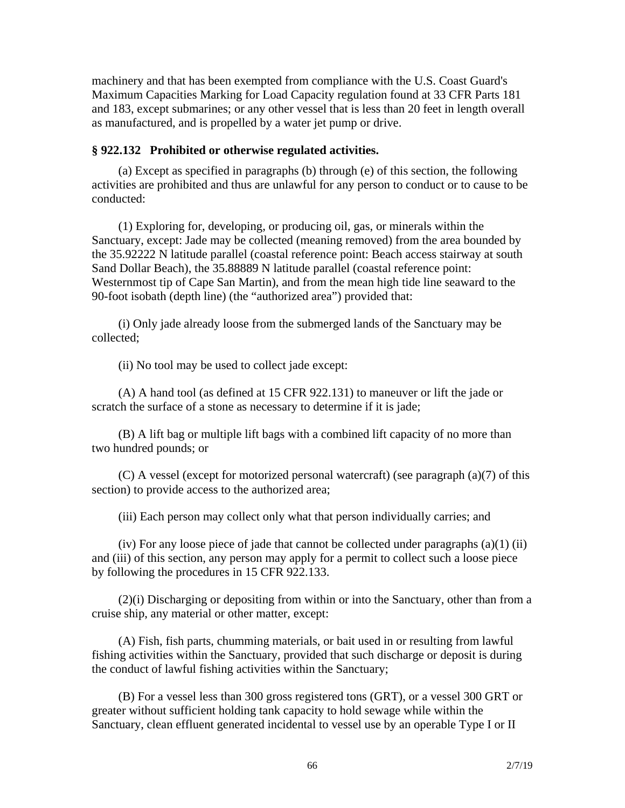machinery and that has been exempted from compliance with the U.S. Coast Guard's Maximum Capacities Marking for Load Capacity regulation found at 33 CFR Parts 181 and 183, except submarines; or any other vessel that is less than 20 feet in length overall as manufactured, and is propelled by a water jet pump or drive.

#### **§ 922.132 Prohibited or otherwise regulated activities.**

(a) Except as specified in paragraphs (b) through (e) of this section, the following activities are prohibited and thus are unlawful for any person to conduct or to cause to be conducted:

(1) Exploring for, developing, or producing oil, gas, or minerals within the Sanctuary, except: Jade may be collected (meaning removed) from the area bounded by the 35.92222 N latitude parallel (coastal reference point: Beach access stairway at south Sand Dollar Beach), the 35.88889 N latitude parallel (coastal reference point: Westernmost tip of Cape San Martin), and from the mean high tide line seaward to the 90-foot isobath (depth line) (the "authorized area") provided that:

(i) Only jade already loose from the submerged lands of the Sanctuary may be collected;

(ii) No tool may be used to collect jade except:

(A) A hand tool (as defined at 15 CFR 922.131) to maneuver or lift the jade or scratch the surface of a stone as necessary to determine if it is jade;

(B) A lift bag or multiple lift bags with a combined lift capacity of no more than two hundred pounds; or

(C) A vessel (except for motorized personal watercraft) (see paragraph (a)(7) of this section) to provide access to the authorized area;

(iii) Each person may collect only what that person individually carries; and

(iv) For any loose piece of jade that cannot be collected under paragraphs  $(a)(1)$  (ii) and (iii) of this section, any person may apply for a permit to collect such a loose piece by following the procedures in 15 CFR 922.133.

(2)(i) Discharging or depositing from within or into the Sanctuary, other than from a cruise ship, any material or other matter, except:

(A) Fish, fish parts, chumming materials, or bait used in or resulting from lawful fishing activities within the Sanctuary, provided that such discharge or deposit is during the conduct of lawful fishing activities within the Sanctuary;

(B) For a vessel less than 300 gross registered tons (GRT), or a vessel 300 GRT or greater without sufficient holding tank capacity to hold sewage while within the Sanctuary, clean effluent generated incidental to vessel use by an operable Type I or II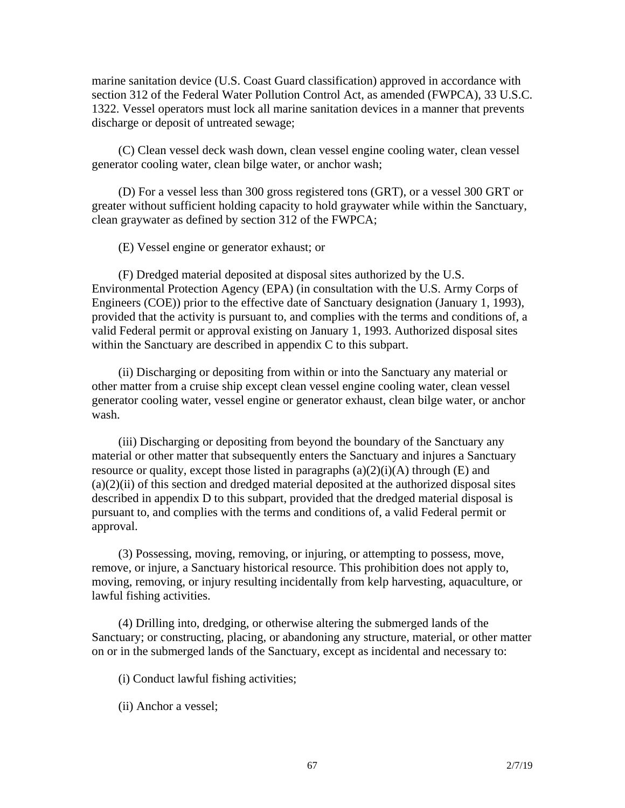marine sanitation device (U.S. Coast Guard classification) approved in accordance with section 312 of the Federal Water Pollution Control Act, as amended (FWPCA), 33 U.S.C. 1322. Vessel operators must lock all marine sanitation devices in a manner that prevents discharge or deposit of untreated sewage;

(C) Clean vessel deck wash down, clean vessel engine cooling water, clean vessel generator cooling water, clean bilge water, or anchor wash;

(D) For a vessel less than 300 gross registered tons (GRT), or a vessel 300 GRT or greater without sufficient holding capacity to hold graywater while within the Sanctuary, clean graywater as defined by section 312 of the FWPCA;

(E) Vessel engine or generator exhaust; or

(F) Dredged material deposited at disposal sites authorized by the U.S. Environmental Protection Agency (EPA) (in consultation with the U.S. Army Corps of Engineers (COE)) prior to the effective date of Sanctuary designation (January 1, 1993), provided that the activity is pursuant to, and complies with the terms and conditions of, a valid Federal permit or approval existing on January 1, 1993. Authorized disposal sites within the Sanctuary are described in appendix C to this subpart.

(ii) Discharging or depositing from within or into the Sanctuary any material or other matter from a cruise ship except clean vessel engine cooling water, clean vessel generator cooling water, vessel engine or generator exhaust, clean bilge water, or anchor wash.

(iii) Discharging or depositing from beyond the boundary of the Sanctuary any material or other matter that subsequently enters the Sanctuary and injures a Sanctuary resource or quality, except those listed in paragraphs  $(a)(2)(i)(A)$  through  $(E)$  and  $(a)(2)(ii)$  of this section and dredged material deposited at the authorized disposal sites described in appendix D to this subpart, provided that the dredged material disposal is pursuant to, and complies with the terms and conditions of, a valid Federal permit or approval.

(3) Possessing, moving, removing, or injuring, or attempting to possess, move, remove, or injure, a Sanctuary historical resource. This prohibition does not apply to, moving, removing, or injury resulting incidentally from kelp harvesting, aquaculture, or lawful fishing activities.

(4) Drilling into, dredging, or otherwise altering the submerged lands of the Sanctuary; or constructing, placing, or abandoning any structure, material, or other matter on or in the submerged lands of the Sanctuary, except as incidental and necessary to:

(i) Conduct lawful fishing activities;

(ii) Anchor a vessel;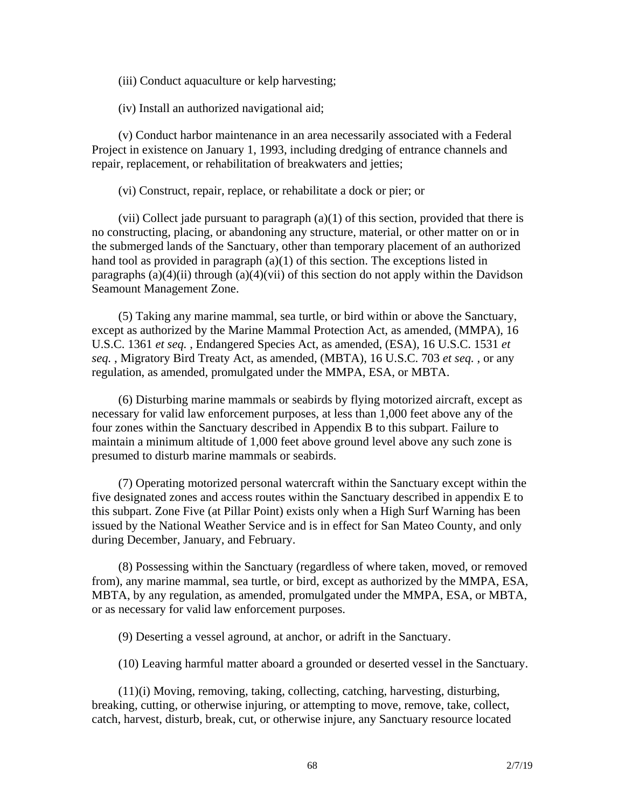(iii) Conduct aquaculture or kelp harvesting;

(iv) Install an authorized navigational aid;

(v) Conduct harbor maintenance in an area necessarily associated with a Federal Project in existence on January 1, 1993, including dredging of entrance channels and repair, replacement, or rehabilitation of breakwaters and jetties;

(vi) Construct, repair, replace, or rehabilitate a dock or pier; or

(vii) Collect jade pursuant to paragraph  $(a)(1)$  of this section, provided that there is no constructing, placing, or abandoning any structure, material, or other matter on or in the submerged lands of the Sanctuary, other than temporary placement of an authorized hand tool as provided in paragraph (a)(1) of this section. The exceptions listed in paragraphs  $(a)(4)(ii)$  through  $(a)(4)(vii)$  of this section do not apply within the Davidson Seamount Management Zone.

(5) Taking any marine mammal, sea turtle, or bird within or above the Sanctuary, except as authorized by the Marine Mammal Protection Act, as amended, (MMPA), 16 U.S.C. 1361 *et seq.* , Endangered Species Act, as amended, (ESA), 16 U.S.C. 1531 *et seq.* , Migratory Bird Treaty Act, as amended, (MBTA), 16 U.S.C. 703 *et seq.* , or any regulation, as amended, promulgated under the MMPA, ESA, or MBTA.

(6) Disturbing marine mammals or seabirds by flying motorized aircraft, except as necessary for valid law enforcement purposes, at less than 1,000 feet above any of the four zones within the Sanctuary described in Appendix B to this subpart. Failure to maintain a minimum altitude of 1,000 feet above ground level above any such zone is presumed to disturb marine mammals or seabirds.

(7) Operating motorized personal watercraft within the Sanctuary except within the five designated zones and access routes within the Sanctuary described in appendix E to this subpart. Zone Five (at Pillar Point) exists only when a High Surf Warning has been issued by the National Weather Service and is in effect for San Mateo County, and only during December, January, and February.

(8) Possessing within the Sanctuary (regardless of where taken, moved, or removed from), any marine mammal, sea turtle, or bird, except as authorized by the MMPA, ESA, MBTA, by any regulation, as amended, promulgated under the MMPA, ESA, or MBTA, or as necessary for valid law enforcement purposes.

(9) Deserting a vessel aground, at anchor, or adrift in the Sanctuary.

(10) Leaving harmful matter aboard a grounded or deserted vessel in the Sanctuary.

(11)(i) Moving, removing, taking, collecting, catching, harvesting, disturbing, breaking, cutting, or otherwise injuring, or attempting to move, remove, take, collect, catch, harvest, disturb, break, cut, or otherwise injure, any Sanctuary resource located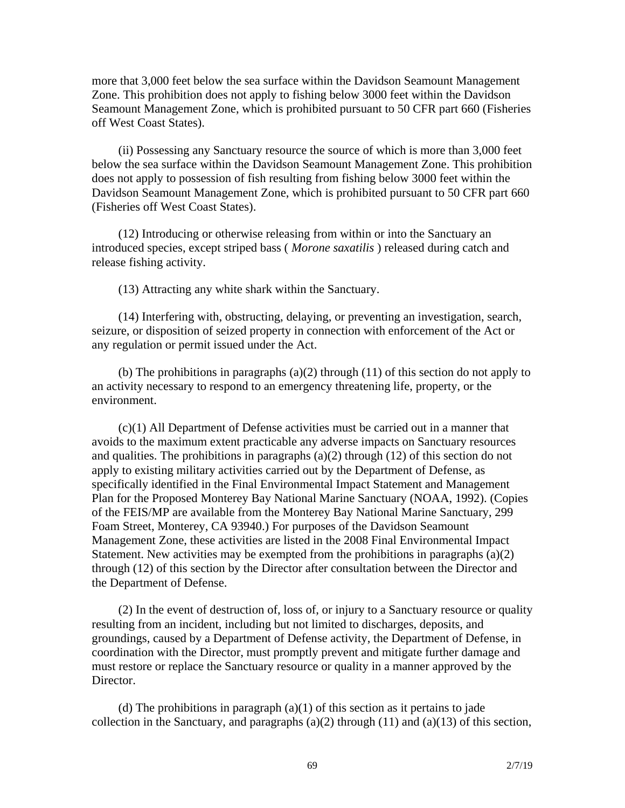more that 3,000 feet below the sea surface within the Davidson Seamount Management Zone. This prohibition does not apply to fishing below 3000 feet within the Davidson Seamount Management Zone, which is prohibited pursuant to 50 CFR part 660 (Fisheries off West Coast States).

(ii) Possessing any Sanctuary resource the source of which is more than 3,000 feet below the sea surface within the Davidson Seamount Management Zone. This prohibition does not apply to possession of fish resulting from fishing below 3000 feet within the Davidson Seamount Management Zone, which is prohibited pursuant to 50 CFR part 660 (Fisheries off West Coast States).

(12) Introducing or otherwise releasing from within or into the Sanctuary an introduced species, except striped bass ( *Morone saxatilis* ) released during catch and release fishing activity.

(13) Attracting any white shark within the Sanctuary.

(14) Interfering with, obstructing, delaying, or preventing an investigation, search, seizure, or disposition of seized property in connection with enforcement of the Act or any regulation or permit issued under the Act.

(b) The prohibitions in paragraphs (a)(2) through (11) of this section do not apply to an activity necessary to respond to an emergency threatening life, property, or the environment.

(c)(1) All Department of Defense activities must be carried out in a manner that avoids to the maximum extent practicable any adverse impacts on Sanctuary resources and qualities. The prohibitions in paragraphs  $(a)(2)$  through  $(12)$  of this section do not apply to existing military activities carried out by the Department of Defense, as specifically identified in the Final Environmental Impact Statement and Management Plan for the Proposed Monterey Bay National Marine Sanctuary (NOAA, 1992). (Copies of the FEIS/MP are available from the Monterey Bay National Marine Sanctuary, 299 Foam Street, Monterey, CA 93940.) For purposes of the Davidson Seamount Management Zone, these activities are listed in the 2008 Final Environmental Impact Statement. New activities may be exempted from the prohibitions in paragraphs  $(a)(2)$ through (12) of this section by the Director after consultation between the Director and the Department of Defense.

(2) In the event of destruction of, loss of, or injury to a Sanctuary resource or quality resulting from an incident, including but not limited to discharges, deposits, and groundings, caused by a Department of Defense activity, the Department of Defense, in coordination with the Director, must promptly prevent and mitigate further damage and must restore or replace the Sanctuary resource or quality in a manner approved by the Director.

(d) The prohibitions in paragraph  $(a)(1)$  of this section as it pertains to jade collection in the Sanctuary, and paragraphs (a)(2) through (11) and (a)(13) of this section,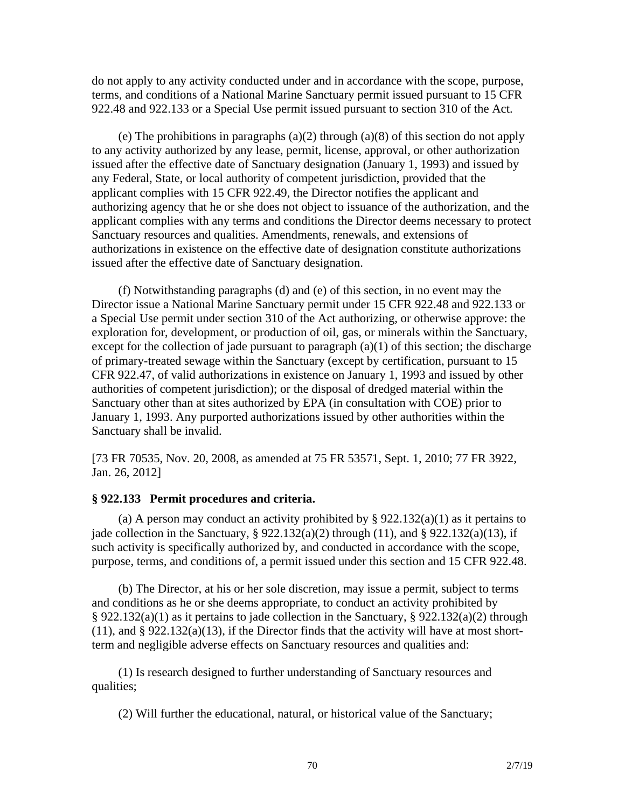do not apply to any activity conducted under and in accordance with the scope, purpose, terms, and conditions of a National Marine Sanctuary permit issued pursuant to 15 CFR 922.48 and 922.133 or a Special Use permit issued pursuant to section 310 of the Act.

(e) The prohibitions in paragraphs  $(a)(2)$  through  $(a)(8)$  of this section do not apply to any activity authorized by any lease, permit, license, approval, or other authorization issued after the effective date of Sanctuary designation (January 1, 1993) and issued by any Federal, State, or local authority of competent jurisdiction, provided that the applicant complies with 15 CFR 922.49, the Director notifies the applicant and authorizing agency that he or she does not object to issuance of the authorization, and the applicant complies with any terms and conditions the Director deems necessary to protect Sanctuary resources and qualities. Amendments, renewals, and extensions of authorizations in existence on the effective date of designation constitute authorizations issued after the effective date of Sanctuary designation.

(f) Notwithstanding paragraphs (d) and (e) of this section, in no event may the Director issue a National Marine Sanctuary permit under 15 CFR 922.48 and 922.133 or a Special Use permit under section 310 of the Act authorizing, or otherwise approve: the exploration for, development, or production of oil, gas, or minerals within the Sanctuary, except for the collection of jade pursuant to paragraph  $(a)(1)$  of this section; the discharge of primary-treated sewage within the Sanctuary (except by certification, pursuant to 15 CFR 922.47, of valid authorizations in existence on January 1, 1993 and issued by other authorities of competent jurisdiction); or the disposal of dredged material within the Sanctuary other than at sites authorized by EPA (in consultation with COE) prior to January 1, 1993. Any purported authorizations issued by other authorities within the Sanctuary shall be invalid.

[73 FR 70535, Nov. 20, 2008, as amended at 75 FR 53571, Sept. 1, 2010; 77 FR 3922, Jan. 26, 2012]

#### **§ 922.133 Permit procedures and criteria.**

(a) A person may conduct an activity prohibited by §  $922.132(a)(1)$  as it pertains to jade collection in the Sanctuary,  $\S 922.132(a)(2)$  through (11), and  $\S 922.132(a)(13)$ , if such activity is specifically authorized by, and conducted in accordance with the scope, purpose, terms, and conditions of, a permit issued under this section and 15 CFR 922.48.

(b) The Director, at his or her sole discretion, may issue a permit, subject to terms and conditions as he or she deems appropriate, to conduct an activity prohibited by § 922.132(a)(1) as it pertains to jade collection in the Sanctuary, § 922.132(a)(2) through  $(11)$ , and § 922.132 $(a)(13)$ , if the Director finds that the activity will have at most shortterm and negligible adverse effects on Sanctuary resources and qualities and:

(1) Is research designed to further understanding of Sanctuary resources and qualities;

(2) Will further the educational, natural, or historical value of the Sanctuary;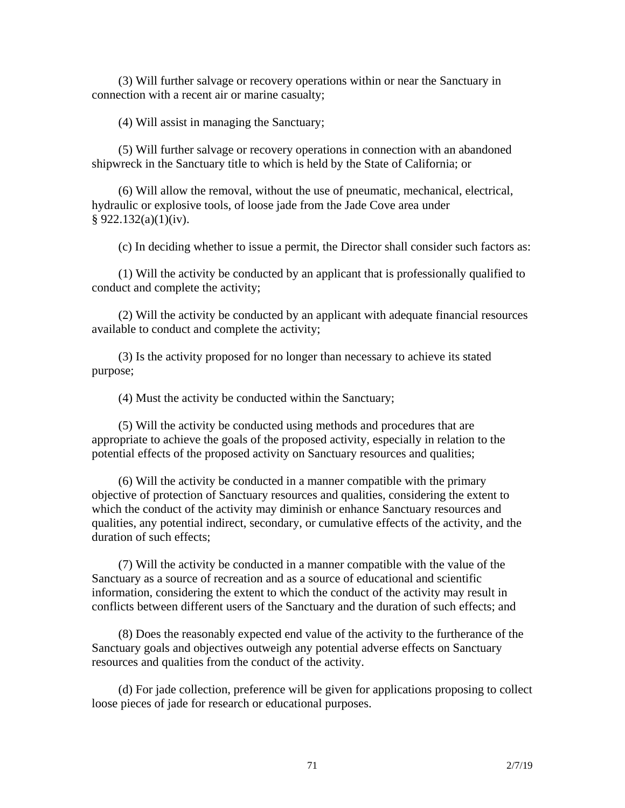(3) Will further salvage or recovery operations within or near the Sanctuary in connection with a recent air or marine casualty;

(4) Will assist in managing the Sanctuary;

(5) Will further salvage or recovery operations in connection with an abandoned shipwreck in the Sanctuary title to which is held by the State of California; or

(6) Will allow the removal, without the use of pneumatic, mechanical, electrical, hydraulic or explosive tools, of loose jade from the Jade Cove area under § 922.132(a)(1)(iv).

(c) In deciding whether to issue a permit, the Director shall consider such factors as:

(1) Will the activity be conducted by an applicant that is professionally qualified to conduct and complete the activity;

(2) Will the activity be conducted by an applicant with adequate financial resources available to conduct and complete the activity;

(3) Is the activity proposed for no longer than necessary to achieve its stated purpose;

(4) Must the activity be conducted within the Sanctuary;

(5) Will the activity be conducted using methods and procedures that are appropriate to achieve the goals of the proposed activity, especially in relation to the potential effects of the proposed activity on Sanctuary resources and qualities;

(6) Will the activity be conducted in a manner compatible with the primary objective of protection of Sanctuary resources and qualities, considering the extent to which the conduct of the activity may diminish or enhance Sanctuary resources and qualities, any potential indirect, secondary, or cumulative effects of the activity, and the duration of such effects:

(7) Will the activity be conducted in a manner compatible with the value of the Sanctuary as a source of recreation and as a source of educational and scientific information, considering the extent to which the conduct of the activity may result in conflicts between different users of the Sanctuary and the duration of such effects; and

(8) Does the reasonably expected end value of the activity to the furtherance of the Sanctuary goals and objectives outweigh any potential adverse effects on Sanctuary resources and qualities from the conduct of the activity.

(d) For jade collection, preference will be given for applications proposing to collect loose pieces of jade for research or educational purposes.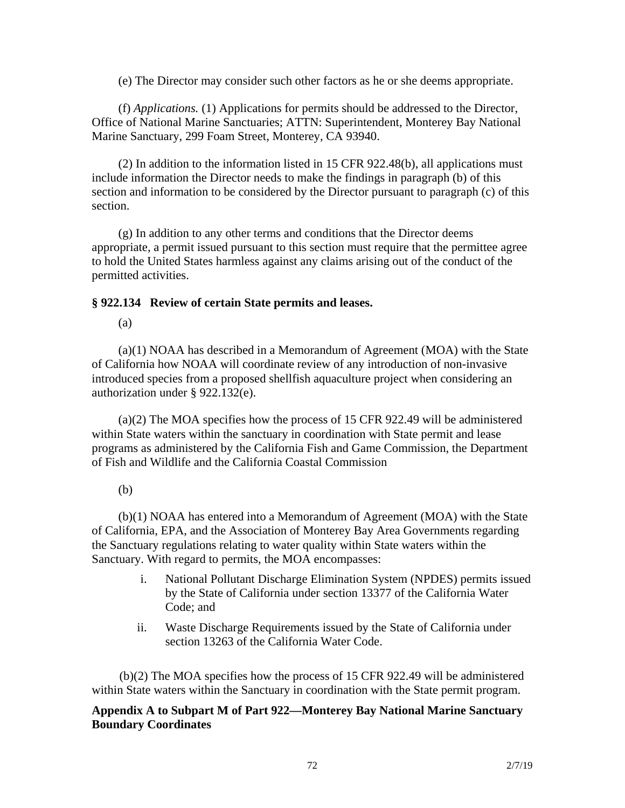(e) The Director may consider such other factors as he or she deems appropriate.

(f) *Applications.* (1) Applications for permits should be addressed to the Director, Office of National Marine Sanctuaries; ATTN: Superintendent, Monterey Bay National Marine Sanctuary, 299 Foam Street, Monterey, CA 93940.

(2) In addition to the information listed in 15 CFR 922.48(b), all applications must include information the Director needs to make the findings in paragraph (b) of this section and information to be considered by the Director pursuant to paragraph (c) of this section.

(g) In addition to any other terms and conditions that the Director deems appropriate, a permit issued pursuant to this section must require that the permittee agree to hold the United States harmless against any claims arising out of the conduct of the permitted activities.

#### **§ 922.134 Review of certain State permits and leases.**

(a)

(a)(1) NOAA has described in a Memorandum of Agreement (MOA) with the State of California how NOAA will coordinate review of any introduction of non-invasive introduced species from a proposed shellfish aquaculture project when considering an authorization under § 922.132(e).

(a)(2) The MOA specifies how the process of 15 CFR 922.49 will be administered within State waters within the sanctuary in coordination with State permit and lease programs as administered by the California Fish and Game Commission, the Department of Fish and Wildlife and the California Coastal Commission

#### (b)

(b)(1) NOAA has entered into a Memorandum of Agreement (MOA) with the State of California, EPA, and the Association of Monterey Bay Area Governments regarding the Sanctuary regulations relating to water quality within State waters within the Sanctuary. With regard to permits, the MOA encompasses:

- i. National Pollutant Discharge Elimination System (NPDES) permits issued by the State of California under section 13377 of the California Water Code; and
- ii. Waste Discharge Requirements issued by the State of California under section 13263 of the California Water Code.

(b)(2) The MOA specifies how the process of 15 CFR 922.49 will be administered within State waters within the Sanctuary in coordination with the State permit program.

#### **Appendix A to Subpart M of Part 922—Monterey Bay National Marine Sanctuary Boundary Coordinates**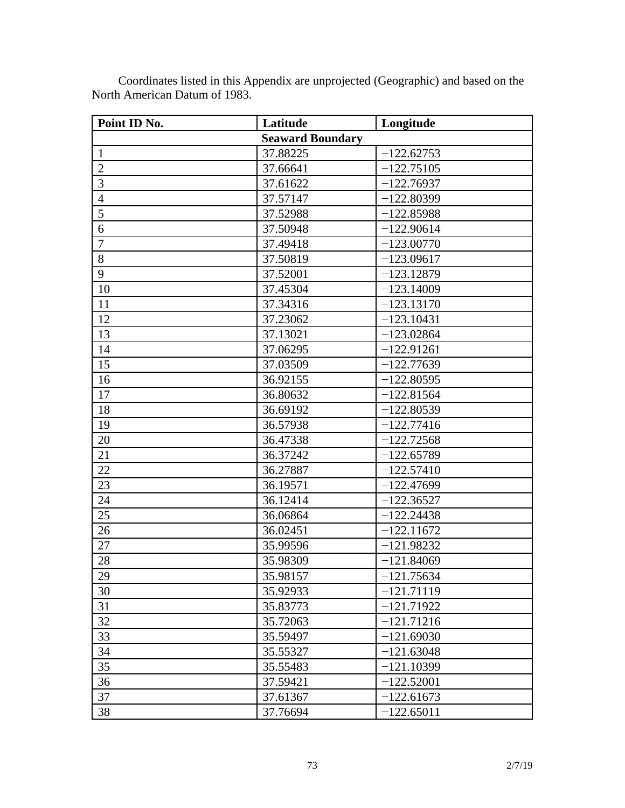| Point ID No.            | Latitude | Longitude    |  |
|-------------------------|----------|--------------|--|
| <b>Seaward Boundary</b> |          |              |  |
| $\mathbf{1}$            | 37.88225 | $-122.62753$ |  |
| $\overline{2}$          | 37.66641 | $-122.75105$ |  |
| 3                       | 37.61622 | $-122.76937$ |  |
| $\overline{4}$          | 37.57147 | $-122.80399$ |  |
| 5                       | 37.52988 | $-122.85988$ |  |
| 6                       | 37.50948 | $-122.90614$ |  |
| $\overline{7}$          | 37.49418 | $-123.00770$ |  |
| 8                       | 37.50819 | $-123.09617$ |  |
| 9                       | 37.52001 | $-123.12879$ |  |
| 10                      | 37.45304 | $-123.14009$ |  |
| 11                      | 37.34316 | $-123.13170$ |  |
| 12                      | 37.23062 | $-123.10431$ |  |
| 13                      | 37.13021 | $-123.02864$ |  |
| 14                      | 37.06295 | $-122.91261$ |  |
| 15                      | 37.03509 | $-122.77639$ |  |
| 16                      | 36.92155 | $-122.80595$ |  |
| 17                      | 36.80632 | $-122.81564$ |  |
| 18                      | 36.69192 | $-122.80539$ |  |
| 19                      | 36.57938 | $-122.77416$ |  |
| 20                      | 36.47338 | $-122.72568$ |  |
| 21                      | 36.37242 | $-122.65789$ |  |
| 22                      | 36.27887 | $-122.57410$ |  |
| 23                      | 36.19571 | $-122.47699$ |  |
| 24                      | 36.12414 | $-122.36527$ |  |
| 25                      | 36.06864 | $-122.24438$ |  |
| 26                      | 36.02451 | $-122.11672$ |  |
| 27                      | 35.99596 | $-121.98232$ |  |
| 28                      | 35.98309 | $-121.84069$ |  |
| 29                      | 35.98157 | $-121.75634$ |  |
| 30                      | 35.92933 | $-121.71119$ |  |
| 31                      | 35.83773 | $-121.71922$ |  |
| 32                      | 35.72063 | $-121.71216$ |  |
| 33                      | 35.59497 | $-121.69030$ |  |
| 34                      | 35.55327 | $-121.63048$ |  |
| 35                      | 35.55483 | $-121.10399$ |  |
| 36                      | 37.59421 | $-122.52001$ |  |
| 37                      | 37.61367 | $-122.61673$ |  |
| 38                      | 37.76694 | $-122.65011$ |  |

Coordinates listed in this Appendix are unprojected (Geographic) and based on the North American Datum of 1983.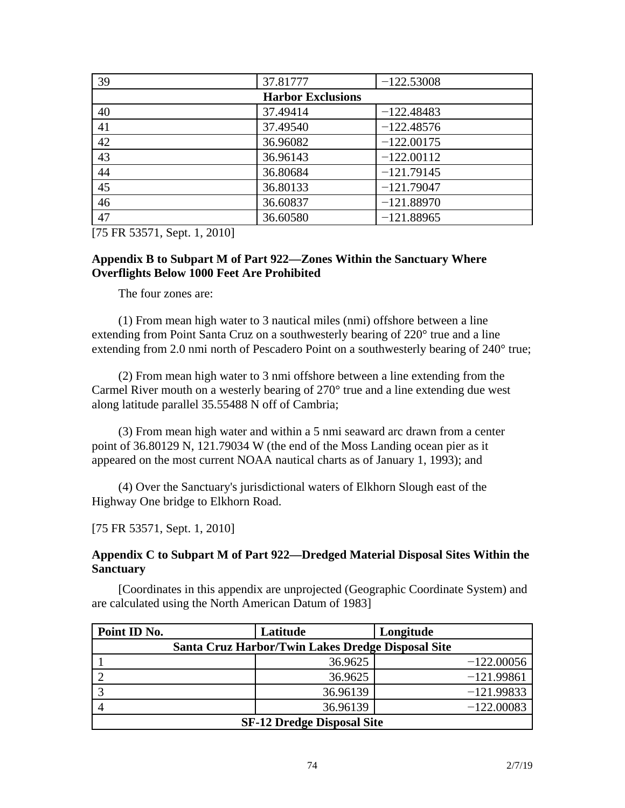| 39                       | 37.81777 | $-122.53008$ |  |
|--------------------------|----------|--------------|--|
| <b>Harbor Exclusions</b> |          |              |  |
| 40                       | 37.49414 | $-122.48483$ |  |
| 41                       | 37.49540 | $-122.48576$ |  |
| 42                       | 36.96082 | $-122.00175$ |  |
| 43                       | 36.96143 | $-122.00112$ |  |
| 44                       | 36.80684 | $-121.79145$ |  |
| 45                       | 36.80133 | $-121.79047$ |  |
| 46                       | 36.60837 | $-121.88970$ |  |
| 47                       | 36.60580 | $-121.88965$ |  |

[75 FR 53571, Sept. 1, 2010]

#### **Appendix B to Subpart M of Part 922—Zones Within the Sanctuary Where Overflights Below 1000 Feet Are Prohibited**

The four zones are:

(1) From mean high water to 3 nautical miles (nmi) offshore between a line extending from Point Santa Cruz on a southwesterly bearing of 220° true and a line extending from 2.0 nmi north of Pescadero Point on a southwesterly bearing of 240° true;

(2) From mean high water to 3 nmi offshore between a line extending from the Carmel River mouth on a westerly bearing of 270° true and a line extending due west along latitude parallel 35.55488 N off of Cambria;

(3) From mean high water and within a 5 nmi seaward arc drawn from a center point of 36.80129 N, 121.79034 W (the end of the Moss Landing ocean pier as it appeared on the most current NOAA nautical charts as of January 1, 1993); and

(4) Over the Sanctuary's jurisdictional waters of Elkhorn Slough east of the Highway One bridge to Elkhorn Road.

[75 FR 53571, Sept. 1, 2010]

**Appendix C to Subpart M of Part 922—Dredged Material Disposal Sites Within the Sanctuary**

[Coordinates in this appendix are unprojected (Geographic Coordinate System) and are calculated using the North American Datum of 1983]

| Point ID No.                      |  | Latitude                                          | Longitude    |
|-----------------------------------|--|---------------------------------------------------|--------------|
|                                   |  | Santa Cruz Harbor/Twin Lakes Dredge Disposal Site |              |
|                                   |  | 36.9625                                           | $-122.00056$ |
|                                   |  | 36.9625                                           | $-121.99861$ |
|                                   |  | 36.96139                                          | $-121.99833$ |
|                                   |  | 36.96139                                          | $-122.00083$ |
| <b>SF-12 Dredge Disposal Site</b> |  |                                                   |              |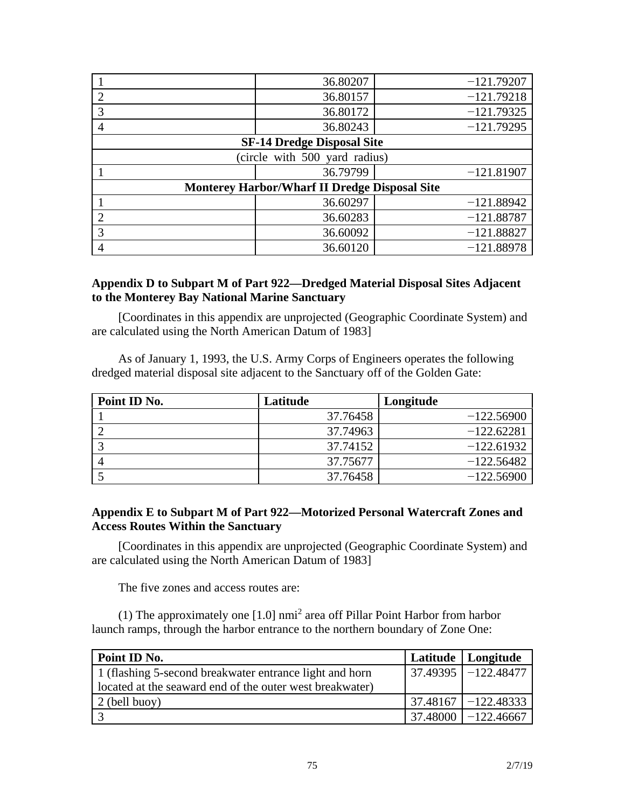|                                                      | 36.80207                          | $-121.79207$ |  |
|------------------------------------------------------|-----------------------------------|--------------|--|
|                                                      | 36.80157                          | $-121.79218$ |  |
| 3                                                    | 36.80172                          | $-121.79325$ |  |
|                                                      | 36.80243                          | $-121.79295$ |  |
|                                                      | <b>SF-14 Dredge Disposal Site</b> |              |  |
|                                                      | (circle with 500 yard radius)     |              |  |
|                                                      | 36.79799                          | $-121.81907$ |  |
| <b>Monterey Harbor/Wharf II Dredge Disposal Site</b> |                                   |              |  |
|                                                      | 36.60297                          | $-121.88942$ |  |
| ∍                                                    | 36.60283                          | $-121.88787$ |  |
| 3                                                    | 36.60092                          | $-121.88827$ |  |
|                                                      | 36.60120                          | $-121.88978$ |  |

#### **Appendix D to Subpart M of Part 922—Dredged Material Disposal Sites Adjacent to the Monterey Bay National Marine Sanctuary**

[Coordinates in this appendix are unprojected (Geographic Coordinate System) and are calculated using the North American Datum of 1983]

As of January 1, 1993, the U.S. Army Corps of Engineers operates the following dredged material disposal site adjacent to the Sanctuary off of the Golden Gate:

| Point ID No. | Latitude | Longitude    |
|--------------|----------|--------------|
|              | 37.76458 | $-122.56900$ |
|              | 37.74963 | $-122.62281$ |
|              | 37.74152 | $-122.61932$ |
|              | 37.75677 | $-122.56482$ |
|              | 37.76458 | $-122.56900$ |

#### **Appendix E to Subpart M of Part 922—Motorized Personal Watercraft Zones and Access Routes Within the Sanctuary**

[Coordinates in this appendix are unprojected (Geographic Coordinate System) and are calculated using the North American Datum of 1983]

The five zones and access routes are:

(1) The approximately one [1.0] nmi<sup>2</sup> area off Pillar Point Harbor from harbor launch ramps, through the harbor entrance to the northern boundary of Zone One:

| Point ID No.                                             | Latitude   Longitude      |
|----------------------------------------------------------|---------------------------|
| 1 (flashing 5-second breakwater entrance light and horn  | $37.49395$ -122.48477     |
| located at the seaward end of the outer west breakwater) |                           |
| 2 (bell buoy)                                            | $37.48167$   $-122.48333$ |
|                                                          | $37.48000$   $-122.46667$ |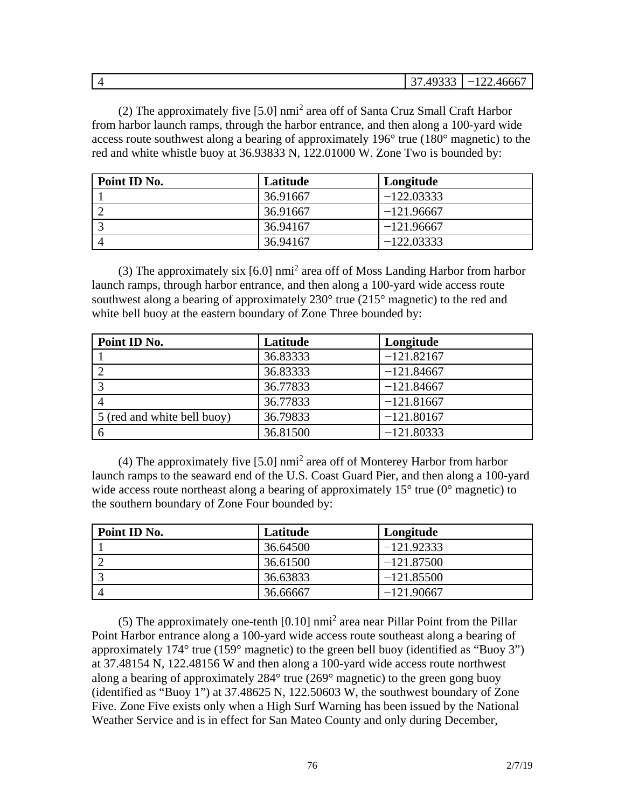| $\overline{\phantom{a}}$ | 10222<br>$\sim$<br>. JJJ<br>$\tilde{\phantom{a}}$ | ---<br>4666<br>$\overline{\phantom{a}}$<br>$\cdots$ |
|--------------------------|---------------------------------------------------|-----------------------------------------------------|

(2) The approximately five [5.0] nmi<sup>2</sup> area off of Santa Cruz Small Craft Harbor from harbor launch ramps, through the harbor entrance, and then along a 100-yard wide access route southwest along a bearing of approximately 196° true (180° magnetic) to the red and white whistle buoy at 36.93833 N, 122.01000 W. Zone Two is bounded by:

| Point ID No. | Latitude | Longitude    |
|--------------|----------|--------------|
|              | 36.91667 | $-122.03333$ |
|              | 36.91667 | $-121.96667$ |
|              | 36.94167 | $-121.96667$ |
|              | 36.94167 | $-122.03333$ |

(3) The approximately six [6.0] nmi<sup>2</sup> area off of Moss Landing Harbor from harbor launch ramps, through harbor entrance, and then along a 100-yard wide access route southwest along a bearing of approximately  $230^{\circ}$  true ( $215^{\circ}$  magnetic) to the red and white bell buoy at the eastern boundary of Zone Three bounded by:

| Point ID No.                | Latitude | Longitude    |
|-----------------------------|----------|--------------|
|                             | 36.83333 | $-121.82167$ |
|                             | 36.83333 | $-121.84667$ |
|                             | 36.77833 | $-121.84667$ |
|                             | 36.77833 | $-121.81667$ |
| 5 (red and white bell buoy) | 36.79833 | $-121.80167$ |
|                             | 36.81500 | $-121.80333$ |

(4) The approximately five [5.0] nmi<sup>2</sup> area off of Monterey Harbor from harbor launch ramps to the seaward end of the U.S. Coast Guard Pier, and then along a 100-yard wide access route northeast along a bearing of approximately  $15^{\circ}$  true (0 $^{\circ}$  magnetic) to the southern boundary of Zone Four bounded by:

| Point ID No. | Latitude | Longitude    |
|--------------|----------|--------------|
|              | 36.64500 | $-121.92333$ |
|              | 36.61500 | $-121.87500$ |
|              | 36.63833 | $-121.85500$ |
|              | 36.66667 | $-121.90667$ |

(5) The approximately one-tenth  $[0.10]$  nmi<sup>2</sup> area near Pillar Point from the Pillar Point Harbor entrance along a 100-yard wide access route southeast along a bearing of approximately 174° true (159° magnetic) to the green bell buoy (identified as "Buoy 3") at 37.48154 N, 122.48156 W and then along a 100-yard wide access route northwest along a bearing of approximately 284° true (269° magnetic) to the green gong buoy (identified as "Buoy 1") at 37.48625 N, 122.50603 W, the southwest boundary of Zone Five. Zone Five exists only when a High Surf Warning has been issued by the National Weather Service and is in effect for San Mateo County and only during December,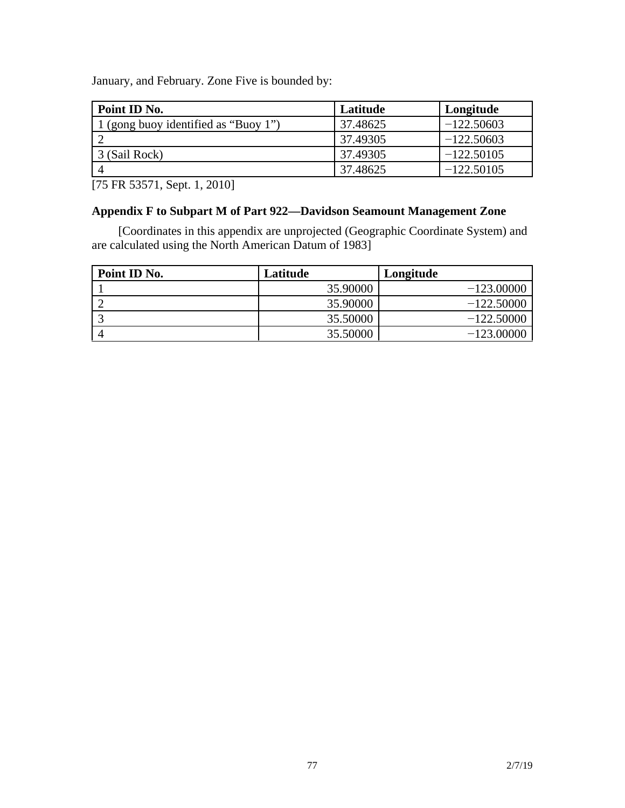January, and February. Zone Five is bounded by:

| Point ID No.                       | Latitude | Longitude    |
|------------------------------------|----------|--------------|
| (gong buoy identified as "Buoy 1") | 37.48625 | $-122.50603$ |
|                                    | 37.49305 | $-122.50603$ |
| 3 (Sail Rock)                      | 37.49305 | $-122.50105$ |
|                                    | 37.48625 | $-122.50105$ |

[75 FR 53571, Sept. 1, 2010]

### **Appendix F to Subpart M of Part 922—Davidson Seamount Management Zone**

[Coordinates in this appendix are unprojected (Geographic Coordinate System) and are calculated using the North American Datum of 1983]

| Point ID No. | Latitude | Longitude    |
|--------------|----------|--------------|
|              | 35.90000 | $-123,00000$ |
|              | 35.90000 | $-122.50000$ |
|              | 35.50000 | $-122.50000$ |
|              | 35.50000 | $-123.00000$ |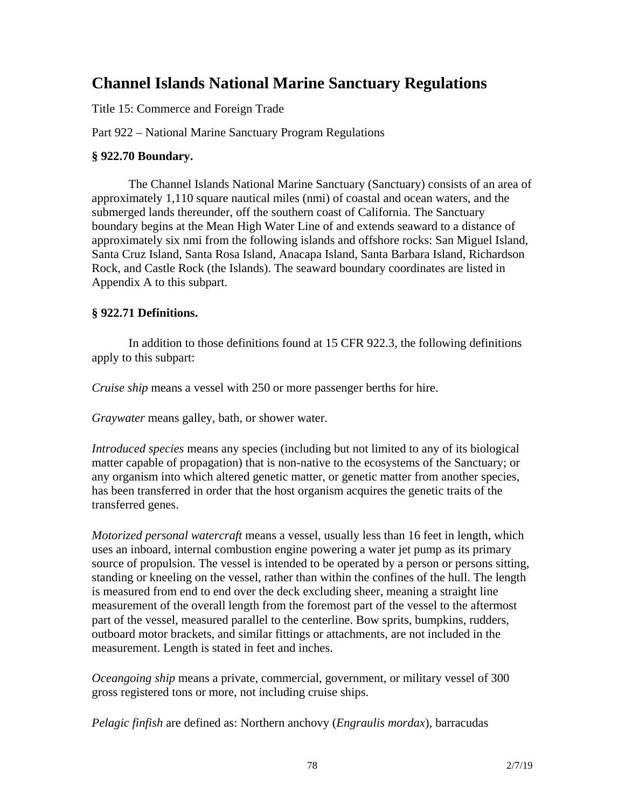# **Channel Islands National Marine Sanctuary Regulations**

Title 15: Commerce and Foreign Trade

Part 922 – National Marine Sanctuary Program Regulations

#### **§ 922.70 Boundary.**

The Channel Islands National Marine Sanctuary (Sanctuary) consists of an area of approximately 1,110 square nautical miles (nmi) of coastal and ocean waters, and the submerged lands thereunder, off the southern coast of California. The Sanctuary boundary begins at the Mean High Water Line of and extends seaward to a distance of approximately six nmi from the following islands and offshore rocks: San Miguel Island, Santa Cruz Island, Santa Rosa Island, Anacapa Island, Santa Barbara Island, Richardson Rock, and Castle Rock (the Islands). The seaward boundary coordinates are listed in Appendix A to this subpart.

#### **§ 922.71 Definitions.**

In addition to those definitions found at 15 CFR 922.3, the following definitions apply to this subpart:

*Cruise ship* means a vessel with 250 or more passenger berths for hire.

*Graywater* means galley, bath, or shower water.

*Introduced species* means any species (including but not limited to any of its biological matter capable of propagation) that is non-native to the ecosystems of the Sanctuary; or any organism into which altered genetic matter, or genetic matter from another species, has been transferred in order that the host organism acquires the genetic traits of the transferred genes.

*Motorized personal watercraft* means a vessel, usually less than 16 feet in length, which uses an inboard, internal combustion engine powering a water jet pump as its primary source of propulsion. The vessel is intended to be operated by a person or persons sitting, standing or kneeling on the vessel, rather than within the confines of the hull. The length is measured from end to end over the deck excluding sheer, meaning a straight line measurement of the overall length from the foremost part of the vessel to the aftermost part of the vessel, measured parallel to the centerline. Bow sprits, bumpkins, rudders, outboard motor brackets, and similar fittings or attachments, are not included in the measurement. Length is stated in feet and inches.

*Oceangoing ship* means a private, commercial, government, or military vessel of 300 gross registered tons or more, not including cruise ships.

*Pelagic finfish* are defined as: Northern anchovy (*Engraulis mordax*), barracudas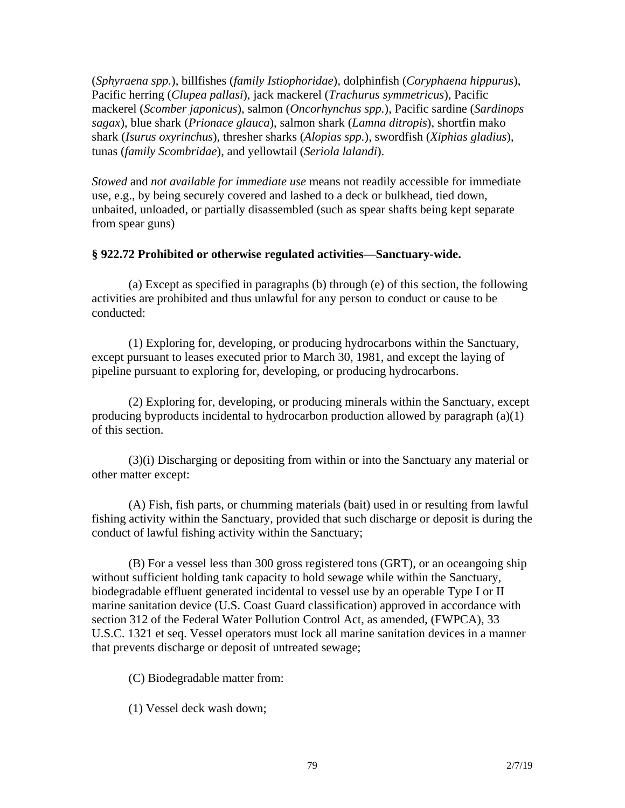(*Sphyraena spp.*), billfishes (*family Istiophoridae*), dolphinfish (*Coryphaena hippurus*), Pacific herring (*Clupea pallasi*), jack mackerel (*Trachurus symmetricus*), Pacific mackerel (*Scomber japonicus*), salmon (*Oncorhynchus spp.*), Pacific sardine (*Sardinops sagax*), blue shark (*Prionace glauca*), salmon shark (*Lamna ditropis*), shortfin mako shark (*Isurus oxyrinchus*), thresher sharks (*Alopias spp.*), swordfish (*Xiphias gladius*), tunas (*family Scombridae*), and yellowtail (*Seriola lalandi*).

*Stowed* and *not available for immediate use* means not readily accessible for immediate use, e.g., by being securely covered and lashed to a deck or bulkhead, tied down, unbaited, unloaded, or partially disassembled (such as spear shafts being kept separate from spear guns)

#### **§ 922.72 Prohibited or otherwise regulated activities—Sanctuary-wide.**

(a) Except as specified in paragraphs (b) through (e) of this section, the following activities are prohibited and thus unlawful for any person to conduct or cause to be conducted:

(1) Exploring for, developing, or producing hydrocarbons within the Sanctuary, except pursuant to leases executed prior to March 30, 1981, and except the laying of pipeline pursuant to exploring for, developing, or producing hydrocarbons.

(2) Exploring for, developing, or producing minerals within the Sanctuary, except producing byproducts incidental to hydrocarbon production allowed by paragraph (a)(1) of this section.

(3)(i) Discharging or depositing from within or into the Sanctuary any material or other matter except:

(A) Fish, fish parts, or chumming materials (bait) used in or resulting from lawful fishing activity within the Sanctuary, provided that such discharge or deposit is during the conduct of lawful fishing activity within the Sanctuary;

(B) For a vessel less than 300 gross registered tons (GRT), or an oceangoing ship without sufficient holding tank capacity to hold sewage while within the Sanctuary, biodegradable effluent generated incidental to vessel use by an operable Type I or II marine sanitation device (U.S. Coast Guard classification) approved in accordance with section 312 of the Federal Water Pollution Control Act, as amended, (FWPCA), 33 U.S.C. 1321 et seq. Vessel operators must lock all marine sanitation devices in a manner that prevents discharge or deposit of untreated sewage;

(C) Biodegradable matter from:

(1) Vessel deck wash down;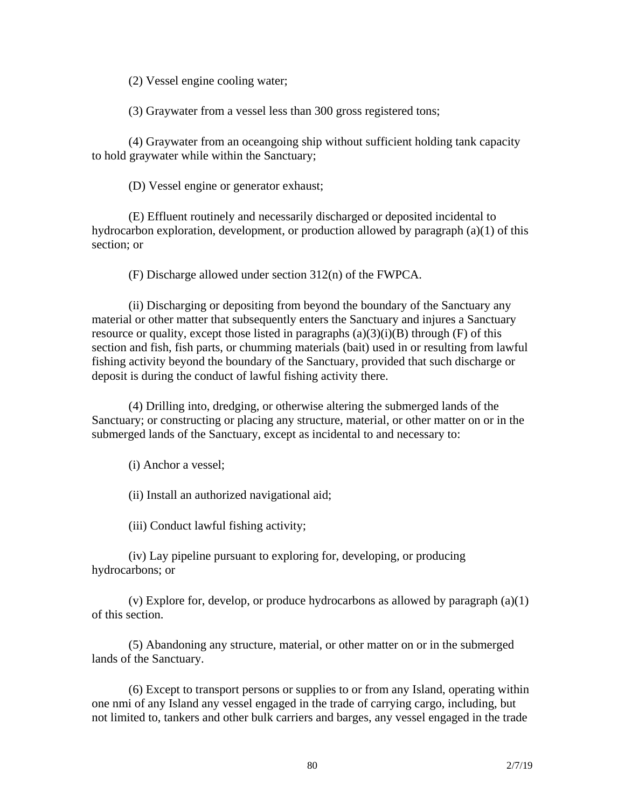(2) Vessel engine cooling water;

(3) Graywater from a vessel less than 300 gross registered tons;

(4) Graywater from an oceangoing ship without sufficient holding tank capacity to hold graywater while within the Sanctuary;

(D) Vessel engine or generator exhaust;

(E) Effluent routinely and necessarily discharged or deposited incidental to hydrocarbon exploration, development, or production allowed by paragraph (a)(1) of this section; or

(F) Discharge allowed under section 312(n) of the FWPCA.

(ii) Discharging or depositing from beyond the boundary of the Sanctuary any material or other matter that subsequently enters the Sanctuary and injures a Sanctuary resource or quality, except those listed in paragraphs  $(a)(3)(i)(B)$  through  $(F)$  of this section and fish, fish parts, or chumming materials (bait) used in or resulting from lawful fishing activity beyond the boundary of the Sanctuary, provided that such discharge or deposit is during the conduct of lawful fishing activity there.

(4) Drilling into, dredging, or otherwise altering the submerged lands of the Sanctuary; or constructing or placing any structure, material, or other matter on or in the submerged lands of the Sanctuary, except as incidental to and necessary to:

(i) Anchor a vessel;

(ii) Install an authorized navigational aid;

(iii) Conduct lawful fishing activity;

(iv) Lay pipeline pursuant to exploring for, developing, or producing hydrocarbons; or

(v) Explore for, develop, or produce hydrocarbons as allowed by paragraph (a)(1) of this section.

(5) Abandoning any structure, material, or other matter on or in the submerged lands of the Sanctuary.

(6) Except to transport persons or supplies to or from any Island, operating within one nmi of any Island any vessel engaged in the trade of carrying cargo, including, but not limited to, tankers and other bulk carriers and barges, any vessel engaged in the trade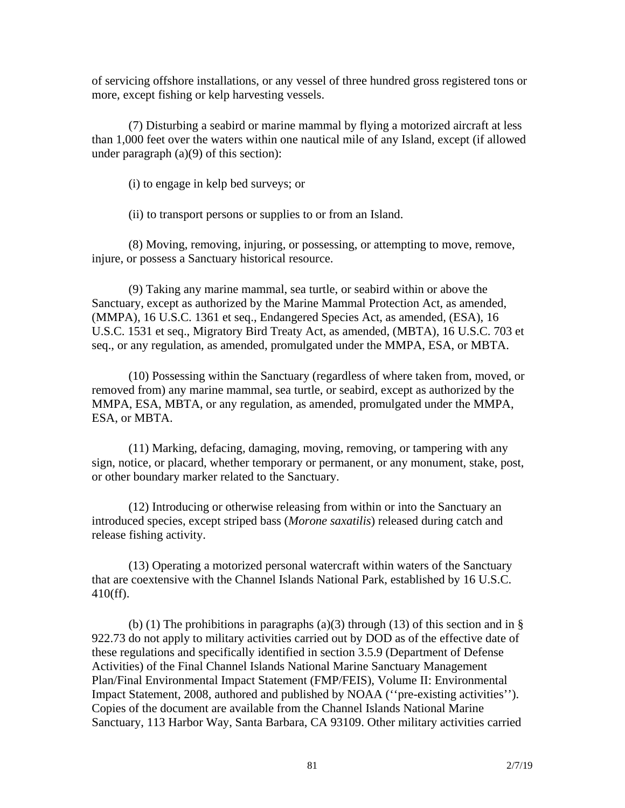of servicing offshore installations, or any vessel of three hundred gross registered tons or more, except fishing or kelp harvesting vessels.

(7) Disturbing a seabird or marine mammal by flying a motorized aircraft at less than 1,000 feet over the waters within one nautical mile of any Island, except (if allowed under paragraph (a)(9) of this section):

(i) to engage in kelp bed surveys; or

(ii) to transport persons or supplies to or from an Island.

(8) Moving, removing, injuring, or possessing, or attempting to move, remove, injure, or possess a Sanctuary historical resource.

(9) Taking any marine mammal, sea turtle, or seabird within or above the Sanctuary, except as authorized by the Marine Mammal Protection Act, as amended, (MMPA), 16 U.S.C. 1361 et seq., Endangered Species Act, as amended, (ESA), 16 U.S.C. 1531 et seq., Migratory Bird Treaty Act, as amended, (MBTA), 16 U.S.C. 703 et seq., or any regulation, as amended, promulgated under the MMPA, ESA, or MBTA.

(10) Possessing within the Sanctuary (regardless of where taken from, moved, or removed from) any marine mammal, sea turtle, or seabird, except as authorized by the MMPA, ESA, MBTA, or any regulation, as amended, promulgated under the MMPA, ESA, or MBTA.

(11) Marking, defacing, damaging, moving, removing, or tampering with any sign, notice, or placard, whether temporary or permanent, or any monument, stake, post, or other boundary marker related to the Sanctuary.

(12) Introducing or otherwise releasing from within or into the Sanctuary an introduced species, except striped bass (*Morone saxatilis*) released during catch and release fishing activity.

(13) Operating a motorized personal watercraft within waters of the Sanctuary that are coextensive with the Channel Islands National Park, established by 16 U.S.C. 410(ff).

(b) (1) The prohibitions in paragraphs (a)(3) through (13) of this section and in  $\S$ 922.73 do not apply to military activities carried out by DOD as of the effective date of these regulations and specifically identified in section 3.5.9 (Department of Defense Activities) of the Final Channel Islands National Marine Sanctuary Management Plan/Final Environmental Impact Statement (FMP/FEIS), Volume II: Environmental Impact Statement, 2008, authored and published by NOAA (''pre-existing activities''). Copies of the document are available from the Channel Islands National Marine Sanctuary, 113 Harbor Way, Santa Barbara, CA 93109. Other military activities carried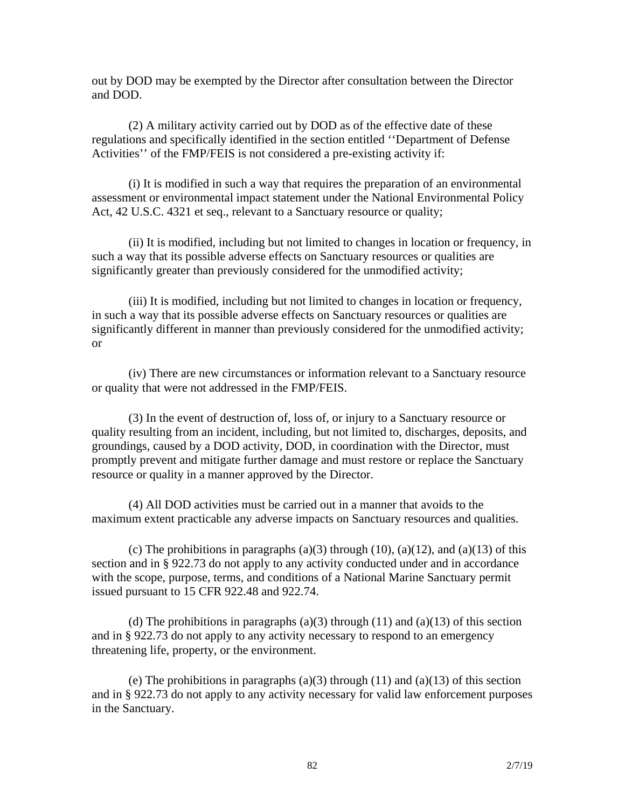out by DOD may be exempted by the Director after consultation between the Director and DOD.

(2) A military activity carried out by DOD as of the effective date of these regulations and specifically identified in the section entitled ''Department of Defense Activities'' of the FMP/FEIS is not considered a pre-existing activity if:

(i) It is modified in such a way that requires the preparation of an environmental assessment or environmental impact statement under the National Environmental Policy Act, 42 U.S.C. 4321 et seq., relevant to a Sanctuary resource or quality;

(ii) It is modified, including but not limited to changes in location or frequency, in such a way that its possible adverse effects on Sanctuary resources or qualities are significantly greater than previously considered for the unmodified activity;

(iii) It is modified, including but not limited to changes in location or frequency, in such a way that its possible adverse effects on Sanctuary resources or qualities are significantly different in manner than previously considered for the unmodified activity; or

(iv) There are new circumstances or information relevant to a Sanctuary resource or quality that were not addressed in the FMP/FEIS.

(3) In the event of destruction of, loss of, or injury to a Sanctuary resource or quality resulting from an incident, including, but not limited to, discharges, deposits, and groundings, caused by a DOD activity, DOD, in coordination with the Director, must promptly prevent and mitigate further damage and must restore or replace the Sanctuary resource or quality in a manner approved by the Director.

(4) All DOD activities must be carried out in a manner that avoids to the maximum extent practicable any adverse impacts on Sanctuary resources and qualities.

(c) The prohibitions in paragraphs (a)(3) through (10), (a)(12), and (a)(13) of this section and in § 922.73 do not apply to any activity conducted under and in accordance with the scope, purpose, terms, and conditions of a National Marine Sanctuary permit issued pursuant to 15 CFR 922.48 and 922.74.

(d) The prohibitions in paragraphs (a)(3) through (11) and (a)(13) of this section and in § 922.73 do not apply to any activity necessary to respond to an emergency threatening life, property, or the environment.

(e) The prohibitions in paragraphs (a)(3) through (11) and (a)(13) of this section and in § 922.73 do not apply to any activity necessary for valid law enforcement purposes in the Sanctuary.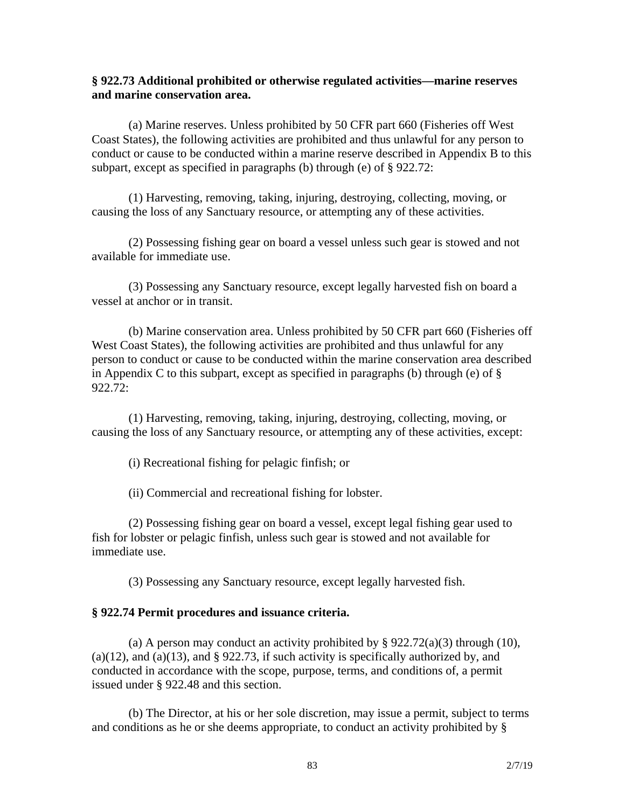#### **§ 922.73 Additional prohibited or otherwise regulated activities—marine reserves and marine conservation area.**

(a) Marine reserves. Unless prohibited by 50 CFR part 660 (Fisheries off West Coast States), the following activities are prohibited and thus unlawful for any person to conduct or cause to be conducted within a marine reserve described in Appendix B to this subpart, except as specified in paragraphs (b) through (e) of § 922.72:

(1) Harvesting, removing, taking, injuring, destroying, collecting, moving, or causing the loss of any Sanctuary resource, or attempting any of these activities.

(2) Possessing fishing gear on board a vessel unless such gear is stowed and not available for immediate use.

(3) Possessing any Sanctuary resource, except legally harvested fish on board a vessel at anchor or in transit.

(b) Marine conservation area. Unless prohibited by 50 CFR part 660 (Fisheries off West Coast States), the following activities are prohibited and thus unlawful for any person to conduct or cause to be conducted within the marine conservation area described in Appendix C to this subpart, except as specified in paragraphs (b) through (e) of  $\S$ 922.72:

(1) Harvesting, removing, taking, injuring, destroying, collecting, moving, or causing the loss of any Sanctuary resource, or attempting any of these activities, except:

(i) Recreational fishing for pelagic finfish; or

(ii) Commercial and recreational fishing for lobster.

(2) Possessing fishing gear on board a vessel, except legal fishing gear used to fish for lobster or pelagic finfish, unless such gear is stowed and not available for immediate use.

(3) Possessing any Sanctuary resource, except legally harvested fish.

#### **§ 922.74 Permit procedures and issuance criteria.**

(a) A person may conduct an activity prohibited by  $\S 922.72(a)(3)$  through (10),  $(a)(12)$ , and  $(a)(13)$ , and § 922.73, if such activity is specifically authorized by, and conducted in accordance with the scope, purpose, terms, and conditions of, a permit issued under § 922.48 and this section.

(b) The Director, at his or her sole discretion, may issue a permit, subject to terms and conditions as he or she deems appropriate, to conduct an activity prohibited by §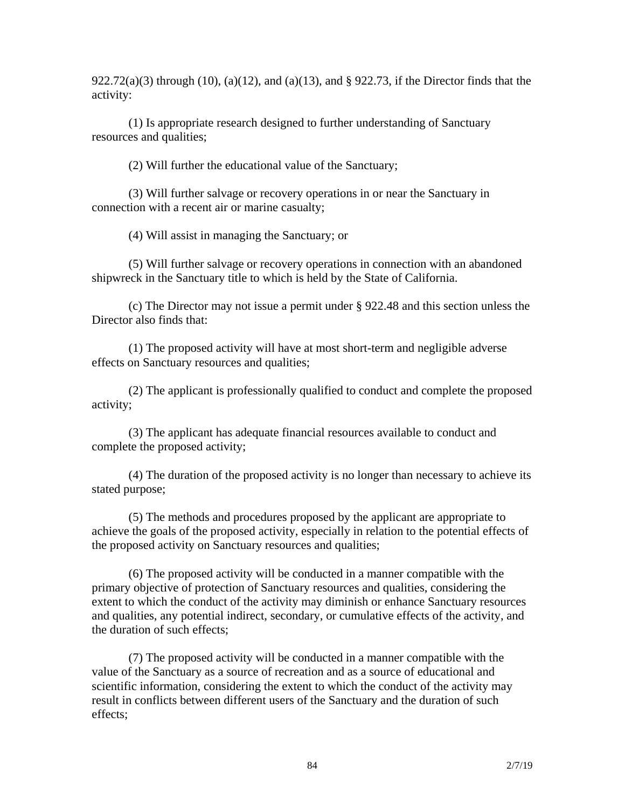922.72(a)(3) through (10), (a)(12), and (a)(13), and § 922.73, if the Director finds that the activity:

(1) Is appropriate research designed to further understanding of Sanctuary resources and qualities;

(2) Will further the educational value of the Sanctuary;

(3) Will further salvage or recovery operations in or near the Sanctuary in connection with a recent air or marine casualty;

(4) Will assist in managing the Sanctuary; or

(5) Will further salvage or recovery operations in connection with an abandoned shipwreck in the Sanctuary title to which is held by the State of California.

(c) The Director may not issue a permit under § 922.48 and this section unless the Director also finds that:

(1) The proposed activity will have at most short-term and negligible adverse effects on Sanctuary resources and qualities;

(2) The applicant is professionally qualified to conduct and complete the proposed activity;

(3) The applicant has adequate financial resources available to conduct and complete the proposed activity;

(4) The duration of the proposed activity is no longer than necessary to achieve its stated purpose;

(5) The methods and procedures proposed by the applicant are appropriate to achieve the goals of the proposed activity, especially in relation to the potential effects of the proposed activity on Sanctuary resources and qualities;

(6) The proposed activity will be conducted in a manner compatible with the primary objective of protection of Sanctuary resources and qualities, considering the extent to which the conduct of the activity may diminish or enhance Sanctuary resources and qualities, any potential indirect, secondary, or cumulative effects of the activity, and the duration of such effects;

(7) The proposed activity will be conducted in a manner compatible with the value of the Sanctuary as a source of recreation and as a source of educational and scientific information, considering the extent to which the conduct of the activity may result in conflicts between different users of the Sanctuary and the duration of such effects;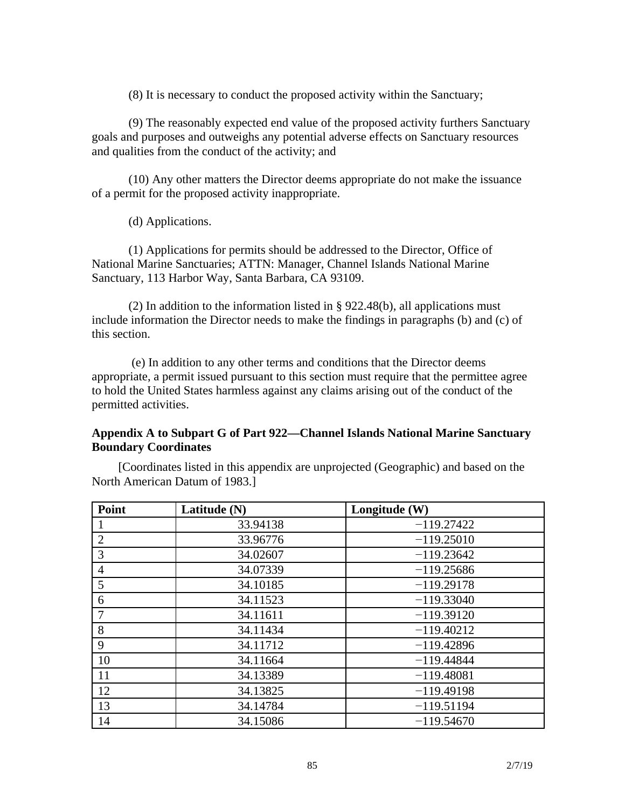(8) It is necessary to conduct the proposed activity within the Sanctuary;

(9) The reasonably expected end value of the proposed activity furthers Sanctuary goals and purposes and outweighs any potential adverse effects on Sanctuary resources and qualities from the conduct of the activity; and

(10) Any other matters the Director deems appropriate do not make the issuance of a permit for the proposed activity inappropriate.

(d) Applications.

(1) Applications for permits should be addressed to the Director, Office of National Marine Sanctuaries; ATTN: Manager, Channel Islands National Marine Sanctuary, 113 Harbor Way, Santa Barbara, CA 93109.

(2) In addition to the information listed in § 922.48(b), all applications must include information the Director needs to make the findings in paragraphs (b) and (c) of this section.

(e) In addition to any other terms and conditions that the Director deems appropriate, a permit issued pursuant to this section must require that the permittee agree to hold the United States harmless against any claims arising out of the conduct of the permitted activities.

#### **Appendix A to Subpart G of Part 922—Channel Islands National Marine Sanctuary Boundary Coordinates**

[Coordinates listed in this appendix are unprojected (Geographic) and based on the North American Datum of 1983.]

| Point          | Latitude (N) | Longitude (W) |
|----------------|--------------|---------------|
|                | 33.94138     | $-119.27422$  |
| $\overline{2}$ | 33.96776     | $-119.25010$  |
| 3              | 34.02607     | $-119.23642$  |
| $\overline{4}$ | 34.07339     | $-119.25686$  |
| 5              | 34.10185     | $-119.29178$  |
| 6              | 34.11523     | $-119.33040$  |
|                | 34.11611     | $-119.39120$  |
| 8              | 34.11434     | $-119.40212$  |
| 9              | 34.11712     | $-119.42896$  |
| 10             | 34.11664     | $-119.44844$  |
| 11             | 34.13389     | $-119.48081$  |
| 12             | 34.13825     | $-119.49198$  |
| 13             | 34.14784     | $-119.51194$  |
| 14             | 34.15086     | $-119.54670$  |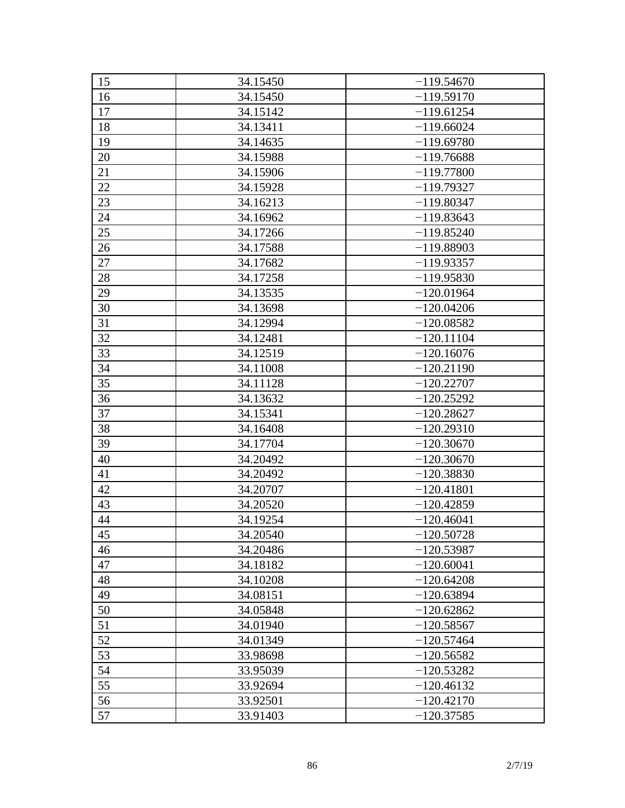| 15 | 34.15450 | $-119.54670$ |
|----|----------|--------------|
| 16 | 34.15450 | $-119.59170$ |
| 17 | 34.15142 | $-119.61254$ |
| 18 | 34.13411 | $-119.66024$ |
| 19 | 34.14635 | $-119.69780$ |
| 20 | 34.15988 | $-119.76688$ |
| 21 | 34.15906 | $-119.77800$ |
| 22 | 34.15928 | $-119.79327$ |
| 23 | 34.16213 | $-119.80347$ |
| 24 | 34.16962 | $-119.83643$ |
| 25 | 34.17266 | $-119.85240$ |
| 26 | 34.17588 | $-119.88903$ |
| 27 | 34.17682 | $-119.93357$ |
| 28 | 34.17258 | $-119.95830$ |
| 29 | 34.13535 | $-120.01964$ |
| 30 | 34.13698 | $-120.04206$ |
| 31 | 34.12994 | $-120.08582$ |
| 32 | 34.12481 | $-120.11104$ |
| 33 | 34.12519 | $-120.16076$ |
| 34 | 34.11008 | $-120.21190$ |
| 35 | 34.11128 | $-120.22707$ |
| 36 | 34.13632 | $-120.25292$ |
| 37 | 34.15341 | $-120.28627$ |
| 38 | 34.16408 | $-120.29310$ |
| 39 | 34.17704 | $-120.30670$ |
| 40 | 34.20492 | $-120.30670$ |
| 41 | 34.20492 | $-120.38830$ |
| 42 | 34.20707 | $-120.41801$ |
| 43 | 34.20520 | $-120.42859$ |
| 44 | 34.19254 | $-120.46041$ |
| 45 | 34.20540 | $-120.50728$ |
| 46 | 34.20486 | $-120.53987$ |
| 47 | 34.18182 | $-120.60041$ |
| 48 | 34.10208 | $-120.64208$ |
| 49 | 34.08151 | $-120.63894$ |
| 50 | 34.05848 | $-120.62862$ |
| 51 | 34.01940 | $-120.58567$ |
| 52 | 34.01349 | $-120.57464$ |
| 53 | 33.98698 | $-120.56582$ |
| 54 | 33.95039 | $-120.53282$ |
| 55 | 33.92694 | $-120.46132$ |
| 56 | 33.92501 | $-120.42170$ |
| 57 | 33.91403 | $-120.37585$ |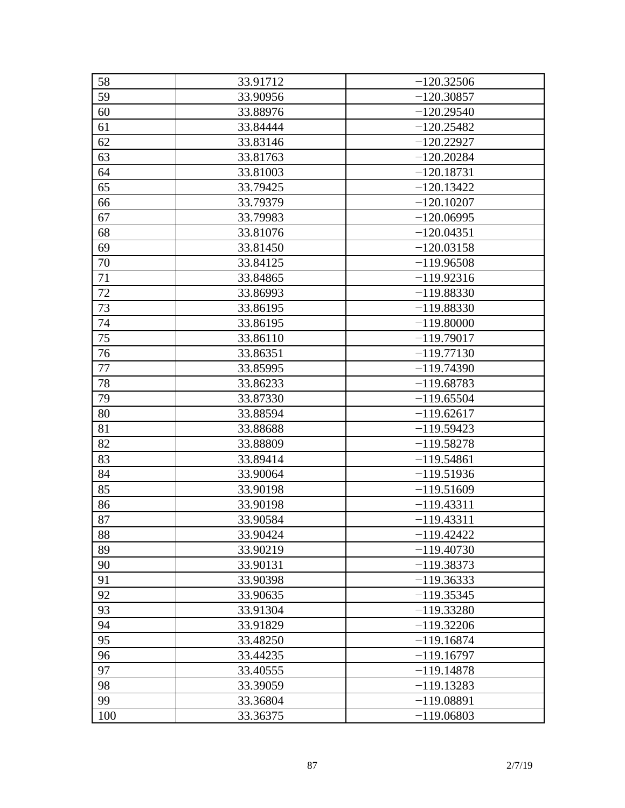| 58  | 33.91712 | $-120.32506$ |
|-----|----------|--------------|
| 59  | 33.90956 | $-120.30857$ |
| 60  | 33.88976 | $-120.29540$ |
| 61  | 33.84444 | $-120.25482$ |
| 62  | 33.83146 | $-120.22927$ |
| 63  | 33.81763 | $-120.20284$ |
| 64  | 33.81003 | $-120.18731$ |
| 65  | 33.79425 | $-120.13422$ |
| 66  | 33.79379 | $-120.10207$ |
| 67  | 33.79983 | $-120.06995$ |
| 68  | 33.81076 | $-120.04351$ |
| 69  | 33.81450 | $-120.03158$ |
| 70  | 33.84125 | $-119.96508$ |
| 71  | 33.84865 | $-119.92316$ |
| 72  | 33.86993 | $-119.88330$ |
| 73  | 33.86195 | $-119.88330$ |
| 74  | 33.86195 | $-119.80000$ |
| 75  | 33.86110 | $-119.79017$ |
| 76  | 33.86351 | $-119.77130$ |
| 77  | 33.85995 | $-119.74390$ |
| 78  | 33.86233 | $-119.68783$ |
| 79  | 33.87330 | $-119.65504$ |
| 80  | 33.88594 | $-119.62617$ |
| 81  | 33.88688 | $-119.59423$ |
| 82  | 33.88809 | $-119.58278$ |
| 83  | 33.89414 | $-119.54861$ |
| 84  | 33.90064 | $-119.51936$ |
| 85  | 33.90198 | $-119.51609$ |
| 86  | 33.90198 | $-119.43311$ |
| 87  | 33.90584 | $-119.43311$ |
| 88  | 33.90424 | $-119.42422$ |
| 89  | 33.90219 | $-119.40730$ |
| 90  | 33.90131 | $-119.38373$ |
| 91  | 33.90398 | $-119.36333$ |
| 92  | 33.90635 | $-119.35345$ |
| 93  | 33.91304 | $-119.33280$ |
| 94  | 33.91829 | $-119.32206$ |
| 95  | 33.48250 | $-119.16874$ |
| 96  | 33.44235 | $-119.16797$ |
| 97  | 33.40555 | $-119.14878$ |
| 98  | 33.39059 | $-119.13283$ |
| 99  | 33.36804 | $-119.08891$ |
| 100 | 33.36375 | $-119.06803$ |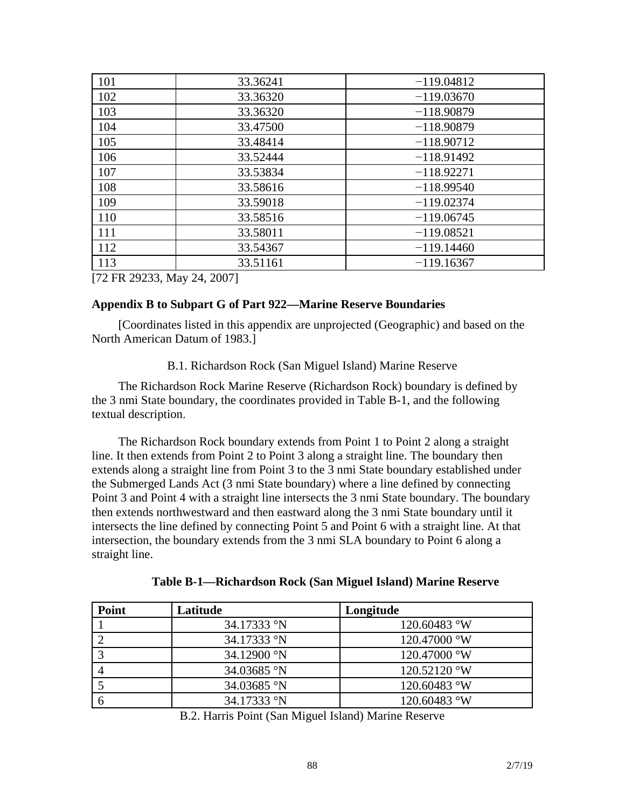| 101 | 33.36241 | $-119.04812$ |
|-----|----------|--------------|
| 102 | 33.36320 | $-119.03670$ |
| 103 | 33.36320 | $-118.90879$ |
| 104 | 33.47500 | $-118.90879$ |
| 105 | 33.48414 | $-118.90712$ |
| 106 | 33.52444 | $-118.91492$ |
| 107 | 33.53834 | $-118.92271$ |
| 108 | 33.58616 | $-118.99540$ |
| 109 | 33.59018 | $-119.02374$ |
| 110 | 33.58516 | $-119.06745$ |
| 111 | 33.58011 | $-119.08521$ |
| 112 | 33.54367 | $-119.14460$ |
| 113 | 33.51161 | $-119.16367$ |

[72 FR 29233, May 24, 2007]

#### **Appendix B to Subpart G of Part 922—Marine Reserve Boundaries**

[Coordinates listed in this appendix are unprojected (Geographic) and based on the North American Datum of 1983.]

B.1. Richardson Rock (San Miguel Island) Marine Reserve

The Richardson Rock Marine Reserve (Richardson Rock) boundary is defined by the 3 nmi State boundary, the coordinates provided in Table B-1, and the following textual description.

The Richardson Rock boundary extends from Point 1 to Point 2 along a straight line. It then extends from Point 2 to Point 3 along a straight line. The boundary then extends along a straight line from Point 3 to the 3 nmi State boundary established under the Submerged Lands Act (3 nmi State boundary) where a line defined by connecting Point 3 and Point 4 with a straight line intersects the 3 nmi State boundary. The boundary then extends northwestward and then eastward along the 3 nmi State boundary until it intersects the line defined by connecting Point 5 and Point 6 with a straight line. At that intersection, the boundary extends from the 3 nmi SLA boundary to Point 6 along a straight line.

| Table B-1—Richardson Rock (San Miguel Island) Marine Reserve |  |  |  |  |  |
|--------------------------------------------------------------|--|--|--|--|--|
|--------------------------------------------------------------|--|--|--|--|--|

| Point | Latitude    | Longitude             |
|-------|-------------|-----------------------|
|       | 34.17333 °N | 120.60483 °W          |
|       | 34.17333 °N | $120.47000 \text{°W}$ |
|       | 34.12900 °N | $120.47000 \text{°W}$ |
|       | 34.03685 °N | $120.52120$ °W        |
|       | 34.03685 °N | $120.60483$ °W        |
|       | 34.17333 °N | 120.60483 °W          |

B.2. Harris Point (San Miguel Island) Marine Reserve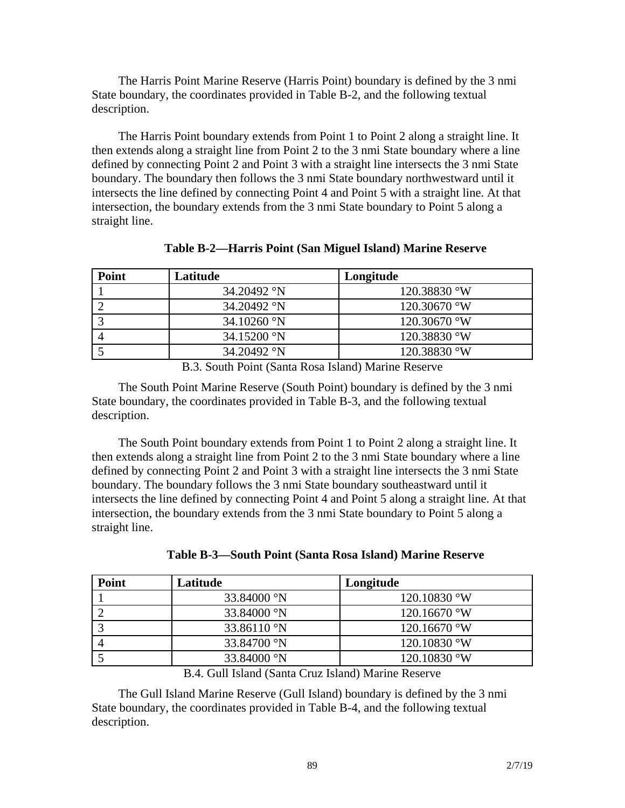The Harris Point Marine Reserve (Harris Point) boundary is defined by the 3 nmi State boundary, the coordinates provided in Table B-2, and the following textual description.

The Harris Point boundary extends from Point 1 to Point 2 along a straight line. It then extends along a straight line from Point 2 to the 3 nmi State boundary where a line defined by connecting Point 2 and Point 3 with a straight line intersects the 3 nmi State boundary. The boundary then follows the 3 nmi State boundary northwestward until it intersects the line defined by connecting Point 4 and Point 5 with a straight line. At that intersection, the boundary extends from the 3 nmi State boundary to Point 5 along a straight line.

| Point | Latitude                     | Longitude      |
|-------|------------------------------|----------------|
|       | 34.20492 °N                  | $120.38830$ °W |
|       | 34.20492 °N                  | $120.30670$ °W |
|       | $34.10260$ °N                | $120.30670$ °W |
|       | $34.15200 \text{ }^{\circ}N$ | $120.38830$ °W |
|       | 34.20492 °N                  | 120.38830 °W   |

**Table B-2—Harris Point (San Miguel Island) Marine Reserve**

B.3. South Point (Santa Rosa Island) Marine Reserve

The South Point Marine Reserve (South Point) boundary is defined by the 3 nmi State boundary, the coordinates provided in Table B-3, and the following textual description.

The South Point boundary extends from Point 1 to Point 2 along a straight line. It then extends along a straight line from Point 2 to the 3 nmi State boundary where a line defined by connecting Point 2 and Point 3 with a straight line intersects the 3 nmi State boundary. The boundary follows the 3 nmi State boundary southeastward until it intersects the line defined by connecting Point 4 and Point 5 along a straight line. At that intersection, the boundary extends from the 3 nmi State boundary to Point 5 along a straight line.

| <b>Point</b> | Latitude                | Longitude      |
|--------------|-------------------------|----------------|
|              | 33.84000 °N             | 120.10830 °W   |
|              | 33.84000 °N             | 120.16670 °W   |
|              | 33.86110 $\,^{\circ}$ N | $120.16670$ °W |
|              | 33.84700 °N             | 120.10830 °W   |
|              | 33.84000 °N             | 120.10830 °W   |

B.4. Gull Island (Santa Cruz Island) Marine Reserve

The Gull Island Marine Reserve (Gull Island) boundary is defined by the 3 nmi State boundary, the coordinates provided in Table B-4, and the following textual description.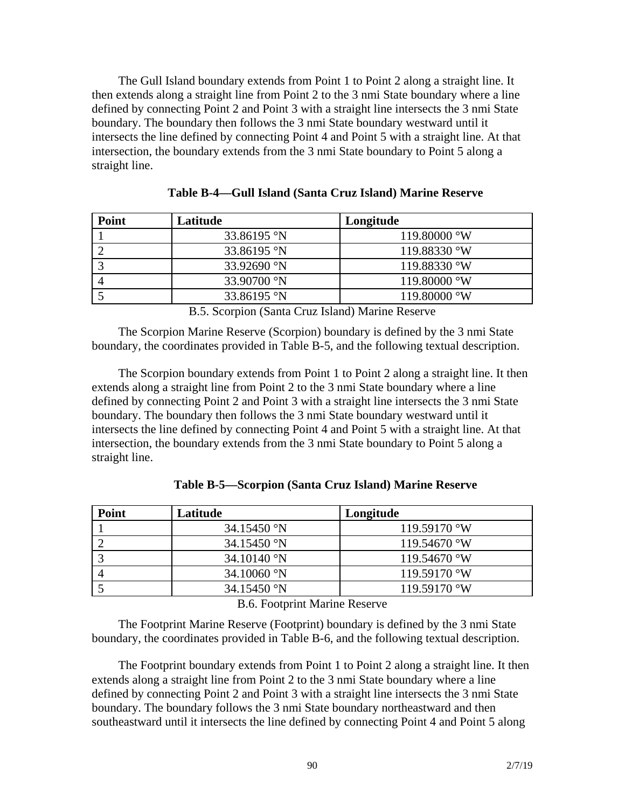The Gull Island boundary extends from Point 1 to Point 2 along a straight line. It then extends along a straight line from Point 2 to the 3 nmi State boundary where a line defined by connecting Point 2 and Point 3 with a straight line intersects the 3 nmi State boundary. The boundary then follows the 3 nmi State boundary westward until it intersects the line defined by connecting Point 4 and Point 5 with a straight line. At that intersection, the boundary extends from the 3 nmi State boundary to Point 5 along a straight line.

| <b>Point</b> | Latitude               | Longitude             |
|--------------|------------------------|-----------------------|
|              | 33.86195 °N            | $119.80000 \text{°W}$ |
|              | 33.86195 °N            | 119.88330 °W          |
|              | 33.92690 °N            | $119.88330$ °W        |
|              | 33.90700 $\rmdegree N$ | $119.80000 \text{°W}$ |
|              | 33.86195 °N            | $119.80000 \text{°W}$ |

**Table B-4—Gull Island (Santa Cruz Island) Marine Reserve**

B.5. Scorpion (Santa Cruz Island) Marine Reserve

The Scorpion Marine Reserve (Scorpion) boundary is defined by the 3 nmi State boundary, the coordinates provided in Table B-5, and the following textual description.

The Scorpion boundary extends from Point 1 to Point 2 along a straight line. It then extends along a straight line from Point 2 to the 3 nmi State boundary where a line defined by connecting Point 2 and Point 3 with a straight line intersects the 3 nmi State boundary. The boundary then follows the 3 nmi State boundary westward until it intersects the line defined by connecting Point 4 and Point 5 with a straight line. At that intersection, the boundary extends from the 3 nmi State boundary to Point 5 along a straight line.

| <b>Point</b> | Latitude             | Longitude      |
|--------------|----------------------|----------------|
|              | $34.15450$ °N        | $119.59170$ °W |
|              | $34.15450$ °N        | $119.54670$ °W |
|              | 34.10140 $\degree$ N | $119.54670$ °W |
|              | $34.10060$ °N        | $119.59170$ °W |
|              | $34.15450$ °N        | $119.59170$ °W |

**Table B-5—Scorpion (Santa Cruz Island) Marine Reserve**

B.6. Footprint Marine Reserve

The Footprint Marine Reserve (Footprint) boundary is defined by the 3 nmi State boundary, the coordinates provided in Table B-6, and the following textual description.

The Footprint boundary extends from Point 1 to Point 2 along a straight line. It then extends along a straight line from Point 2 to the 3 nmi State boundary where a line defined by connecting Point 2 and Point 3 with a straight line intersects the 3 nmi State boundary. The boundary follows the 3 nmi State boundary northeastward and then southeastward until it intersects the line defined by connecting Point 4 and Point 5 along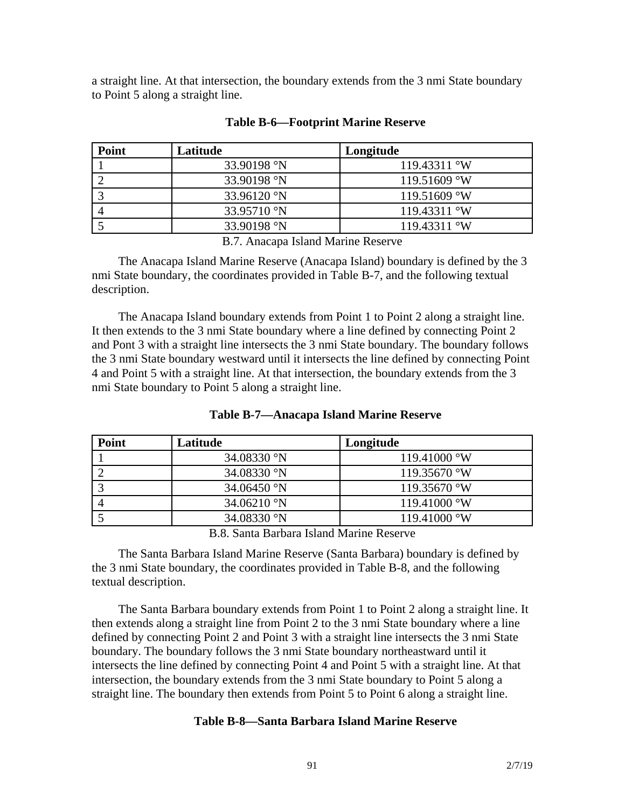a straight line. At that intersection, the boundary extends from the 3 nmi State boundary to Point 5 along a straight line.

| <b>Point</b> | Latitude                | Longitude      |
|--------------|-------------------------|----------------|
|              | 33.90198 <sup>o</sup> N | $119.43311$ °W |
|              | 33.90198 <sup>o</sup> N | $119.51609$ °W |
|              | $33.96120$ °N           | $119.51609$ °W |
|              | 33.95710 °N             | $119.43311$ °W |
|              | 33.90198 °N             | $119.43311$ °W |

#### **Table B-6—Footprint Marine Reserve**

B.7. Anacapa Island Marine Reserve

The Anacapa Island Marine Reserve (Anacapa Island) boundary is defined by the 3 nmi State boundary, the coordinates provided in Table B-7, and the following textual description.

The Anacapa Island boundary extends from Point 1 to Point 2 along a straight line. It then extends to the 3 nmi State boundary where a line defined by connecting Point 2 and Pont 3 with a straight line intersects the 3 nmi State boundary. The boundary follows the 3 nmi State boundary westward until it intersects the line defined by connecting Point 4 and Point 5 with a straight line. At that intersection, the boundary extends from the 3 nmi State boundary to Point 5 along a straight line.

| <b>Point</b> | Latitude             | Longitude             |
|--------------|----------------------|-----------------------|
|              | 34.08330 °N          | $119.41000 \text{°W}$ |
|              | 34.08330 °N          | $119.35670$ °W        |
|              | 34.06450 $\degree$ N | $119.35670$ °W        |
|              | $34.06210$ °N        | $119.41000 \text{°W}$ |
|              | 34.08330 °N          | $119.41000 \text{°W}$ |

#### **Table B-7—Anacapa Island Marine Reserve**

B.8. Santa Barbara Island Marine Reserve

The Santa Barbara Island Marine Reserve (Santa Barbara) boundary is defined by the 3 nmi State boundary, the coordinates provided in Table B-8, and the following textual description.

The Santa Barbara boundary extends from Point 1 to Point 2 along a straight line. It then extends along a straight line from Point 2 to the 3 nmi State boundary where a line defined by connecting Point 2 and Point 3 with a straight line intersects the 3 nmi State boundary. The boundary follows the 3 nmi State boundary northeastward until it intersects the line defined by connecting Point 4 and Point 5 with a straight line. At that intersection, the boundary extends from the 3 nmi State boundary to Point 5 along a straight line. The boundary then extends from Point 5 to Point 6 along a straight line.

#### **Table B-8—Santa Barbara Island Marine Reserve**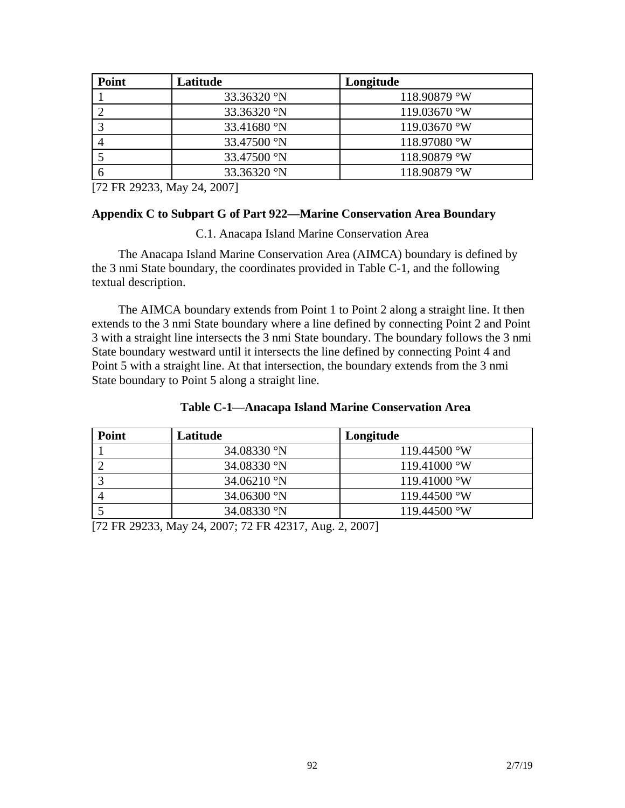| Point | Latitude    | Longitude             |
|-------|-------------|-----------------------|
|       | 33.36320 °N | $118.90879$ °W        |
|       | 33.36320 °N | $119.03670$ °W        |
|       | 33.41680 °N | 119.03670 $\degree$ W |
|       | 33.47500 °N | $118.97080$ °W        |
|       | 33.47500 °N | 118.90879 °W          |
|       | 33.36320 °N | 118.90879 °W          |

[72 FR 29233, May 24, 2007]

#### **Appendix C to Subpart G of Part 922—Marine Conservation Area Boundary**

C.1. Anacapa Island Marine Conservation Area

The Anacapa Island Marine Conservation Area (AIMCA) boundary is defined by the 3 nmi State boundary, the coordinates provided in Table C-1, and the following textual description.

The AIMCA boundary extends from Point 1 to Point 2 along a straight line. It then extends to the 3 nmi State boundary where a line defined by connecting Point 2 and Point 3 with a straight line intersects the 3 nmi State boundary. The boundary follows the 3 nmi State boundary westward until it intersects the line defined by connecting Point 4 and Point 5 with a straight line. At that intersection, the boundary extends from the 3 nmi State boundary to Point 5 along a straight line.

| <b>Point</b> | Latitude             | Longitude             |
|--------------|----------------------|-----------------------|
|              | 34.08330 °N          | $119.44500 \text{°W}$ |
|              | 34.08330 °N          | $119.41000 \text{°W}$ |
|              | $34.06210$ °N        | $119.41000 \text{°W}$ |
|              | 34.06300 $\degree N$ | $119.44500 \text{°W}$ |
|              | 34.08330 °N          | $119.44500 \text{°W}$ |

[72 FR 29233, May 24, 2007; 72 FR 42317, Aug. 2, 2007]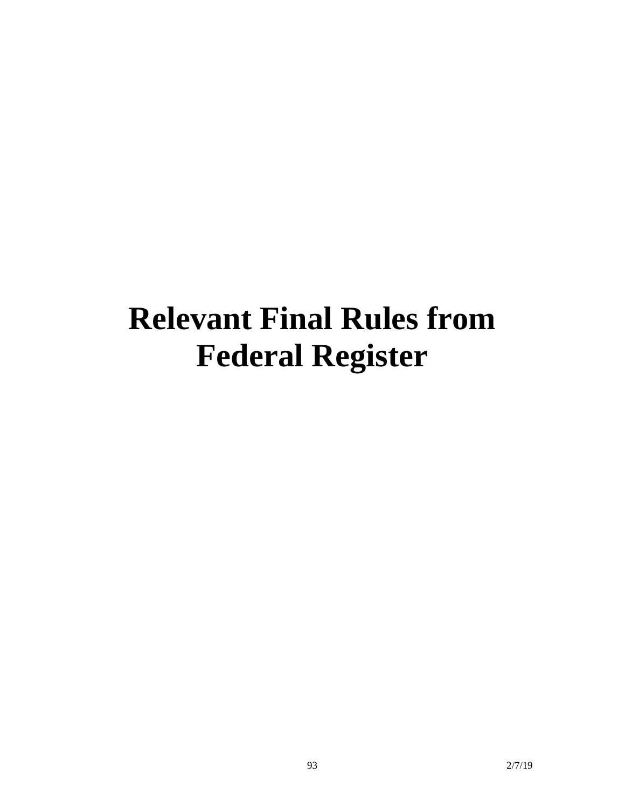# **Relevant Final Rules from Federal Register**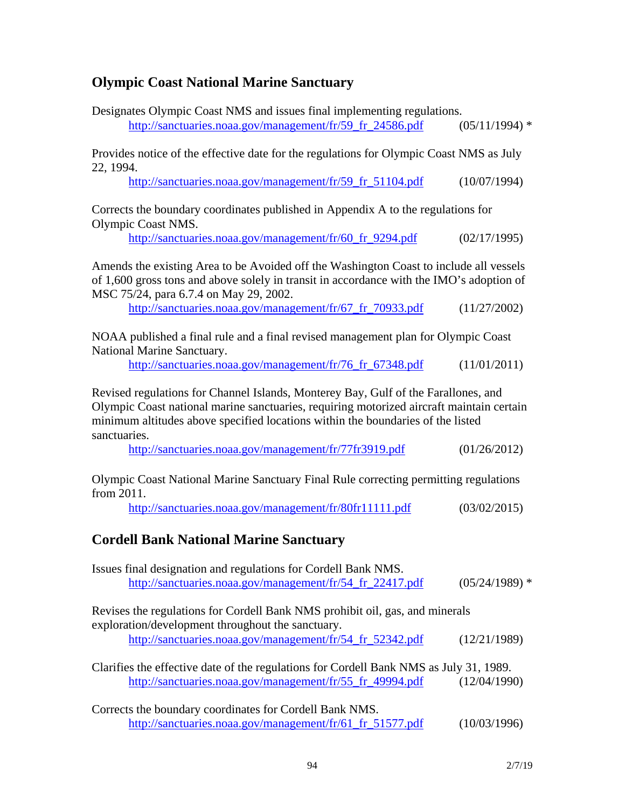# **Olympic Coast National Marine Sanctuary**

| Designates Olympic Coast NMS and issues final implementing regulations.<br>http://sanctuaries.noaa.gov/management/fr/59_fr_24586.pdf                                                                                                                                              | $(05/11/1994)$ * |  |
|-----------------------------------------------------------------------------------------------------------------------------------------------------------------------------------------------------------------------------------------------------------------------------------|------------------|--|
| Provides notice of the effective date for the regulations for Olympic Coast NMS as July<br>22, 1994.                                                                                                                                                                              |                  |  |
| http://sanctuaries.noaa.gov/management/fr/59_fr_51104.pdf                                                                                                                                                                                                                         | (10/07/1994)     |  |
| Corrects the boundary coordinates published in Appendix A to the regulations for<br>Olympic Coast NMS.                                                                                                                                                                            |                  |  |
| http://sanctuaries.noaa.gov/management/fr/60_fr_9294.pdf                                                                                                                                                                                                                          | (02/17/1995)     |  |
| Amends the existing Area to be Avoided off the Washington Coast to include all vessels<br>of 1,600 gross tons and above solely in transit in accordance with the IMO's adoption of<br>MSC 75/24, para 6.7.4 on May 29, 2002.                                                      |                  |  |
| http://sanctuaries.noaa.gov/management/fr/67_fr_70933.pdf                                                                                                                                                                                                                         | (11/27/2002)     |  |
| NOAA published a final rule and a final revised management plan for Olympic Coast<br>National Marine Sanctuary.                                                                                                                                                                   |                  |  |
| http://sanctuaries.noaa.gov/management/fr/76_fr_67348.pdf                                                                                                                                                                                                                         | (11/01/2011)     |  |
| Revised regulations for Channel Islands, Monterey Bay, Gulf of the Farallones, and<br>Olympic Coast national marine sanctuaries, requiring motorized aircraft maintain certain<br>minimum altitudes above specified locations within the boundaries of the listed<br>sanctuaries. |                  |  |
| http://sanctuaries.noaa.gov/management/fr/77fr3919.pdf                                                                                                                                                                                                                            | (01/26/2012)     |  |
| Olympic Coast National Marine Sanctuary Final Rule correcting permitting regulations<br>from 2011.                                                                                                                                                                                |                  |  |
| http://sanctuaries.noaa.gov/management/fr/80fr11111.pdf                                                                                                                                                                                                                           | (03/02/2015)     |  |
| <b>Cordell Bank National Marine Sanctuary</b>                                                                                                                                                                                                                                     |                  |  |
| Issues final designation and regulations for Cordell Bank NMS.<br>http://sanctuaries.noaa.gov/management/fr/54_fr_22417.pdf                                                                                                                                                       | $(05/24/1989)$ * |  |
| Revises the regulations for Cordell Bank NMS prohibit oil, gas, and minerals                                                                                                                                                                                                      |                  |  |
| exploration/development throughout the sanctuary.<br>http://sanctuaries.noaa.gov/management/fr/54_fr_52342.pdf                                                                                                                                                                    | (12/21/1989)     |  |
| Clarifies the effective date of the regulations for Cordell Bank NMS as July 31, 1989.<br>http://sanctuaries.noaa.gov/management/fr/55_fr_49994.pdf                                                                                                                               | (12/04/1990)     |  |
| Corrects the boundary coordinates for Cordell Bank NMS.<br>http://sanctuaries.noaa.gov/management/fr/61_fr_51577.pdf                                                                                                                                                              | (10/03/1996)     |  |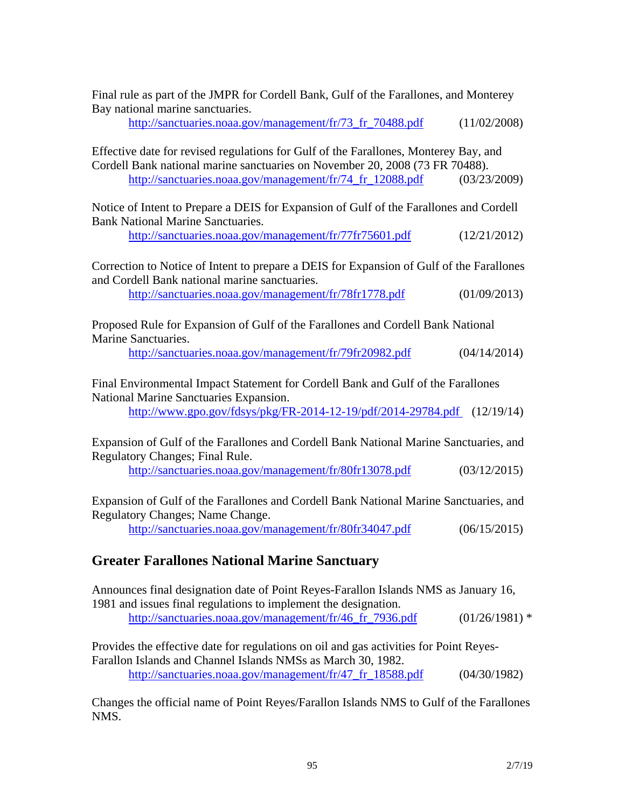Final rule as part of the JMPR for Cordell Bank, Gulf of the Farallones, and Monterey Bay national marine sanctuaries.

http://sanctuaries.noaa.gov/management/fr/73 fr 70488.pdf (11/02/2008)

Effective date for revised regulations for Gulf of the Farallones, Monterey Bay, and Cordell Bank national marine sanctuaries on November 20, 2008 (73 FR 70488). http://sanctuaries.noaa.gov/management/fr/74\_fr\_12088.pdf (03/23/2009)

Notice of Intent to Prepare a DEIS for Expansion of Gulf of the Farallones and Cordell Bank National Marine Sanctuaries.

http://sanctuaries.noaa.gov/management/fr/77fr75601.pdf (12/21/2012)

Correction to Notice of Intent to prepare a DEIS for Expansion of Gulf of the Farallones and Cordell Bank national marine sanctuaries.

http://sanctuaries.noaa.gov/management/fr/78fr1778.pdf (01/09/2013)

Proposed Rule for Expansion of Gulf of the Farallones and Cordell Bank National Marine Sanctuaries.

http://sanctuaries.noaa.gov/management/fr/79fr20982.pdf (04/14/2014)

Final Environmental Impact Statement for Cordell Bank and Gulf of the Farallones National Marine Sanctuaries Expansion.

http://www.gpo.gov/fdsys/pkg/FR-2014-12-19/pdf/2014-29784.pdf (12/19/14)

Expansion of Gulf of the Farallones and Cordell Bank National Marine Sanctuaries, and Regulatory Changes; Final Rule.

http://sanctuaries.noaa.gov/management/fr/80fr13078.pdf (03/12/2015)

Expansion of Gulf of the Farallones and Cordell Bank National Marine Sanctuaries, and Regulatory Changes; Name Change.

http://sanctuaries.noaa.gov/management/fr/80fr34047.pdf (06/15/2015)

## **Greater Farallones National Marine Sanctuary**

Announces final designation date of Point Reyes-Farallon Islands NMS as January 16, 1981 and issues final regulations to implement the designation. http://sanctuaries.noaa.gov/management/fr/46 fr 7936.pdf  $(01/26/1981)$  \*

Provides the effective date for regulations on oil and gas activities for Point Reyes-Farallon Islands and Channel Islands NMSs as March 30, 1982. http://sanctuaries.noaa.gov/management/fr/47\_fr\_18588.pdf (04/30/1982)

Changes the official name of Point Reyes/Farallon Islands NMS to Gulf of the Farallones NMS.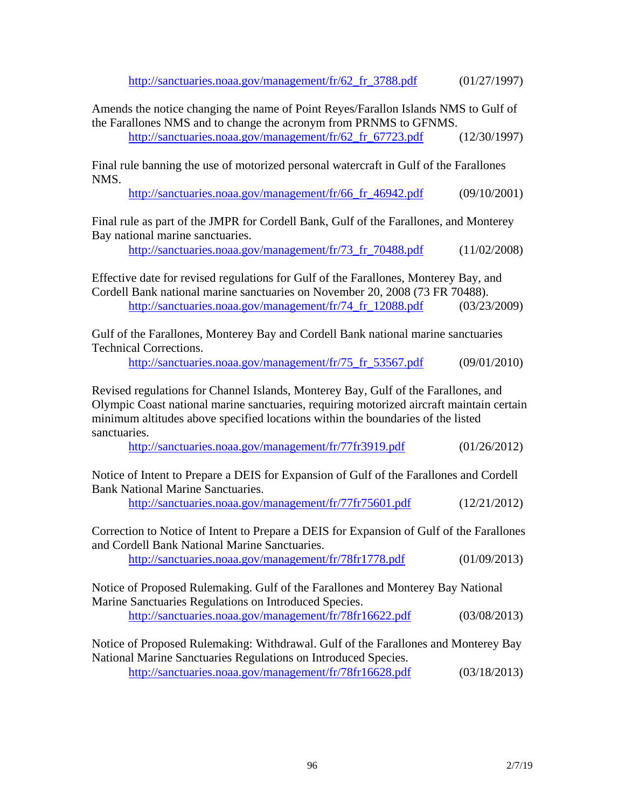http://sanctuaries.noaa.gov/management/fr/62\_fr\_3788.pdf (01/27/1997)

Amends the notice changing the name of Point Reyes/Farallon Islands NMS to Gulf of the Farallones NMS and to change the acronym from PRNMS to GFNMS. http://sanctuaries.noaa.gov/management/fr/62 fr 67723.pdf  $(12/30/1997)$ 

Final rule banning the use of motorized personal watercraft in Gulf of the Farallones NMS.

http://sanctuaries.noaa.gov/management/fr/66\_fr\_46942.pdf (09/10/2001)

Final rule as part of the JMPR for Cordell Bank, Gulf of the Farallones, and Monterey Bay national marine sanctuaries.

http://sanctuaries.noaa.gov/management/fr/73\_fr\_70488.pdf (11/02/2008)

Effective date for revised regulations for Gulf of the Farallones, Monterey Bay, and Cordell Bank national marine sanctuaries on November 20, 2008 (73 FR 70488). http://sanctuaries.noaa.gov/management/fr/74 fr\_12088.pdf (03/23/2009)

Gulf of the Farallones, Monterey Bay and Cordell Bank national marine sanctuaries Technical Corrections.

http://sanctuaries.noaa.gov/management/fr/75\_fr\_53567.pdf (09/01/2010)

Revised regulations for Channel Islands, Monterey Bay, Gulf of the Farallones, and Olympic Coast national marine sanctuaries, requiring motorized aircraft maintain certain minimum altitudes above specified locations within the boundaries of the listed sanctuaries.

http://sanctuaries.noaa.gov/management/fr/77fr3919.pdf (01/26/2012)

Notice of Intent to Prepare a DEIS for Expansion of Gulf of the Farallones and Cordell Bank National Marine Sanctuaries.

http://sanctuaries.noaa.gov/management/fr/77fr75601.pdf (12/21/2012)

Correction to Notice of Intent to Prepare a DEIS for Expansion of Gulf of the Farallones and Cordell Bank National Marine Sanctuaries.

http://sanctuaries.noaa.gov/management/fr/78fr1778.pdf (01/09/2013)

Notice of Proposed Rulemaking. Gulf of the Farallones and Monterey Bay National Marine Sanctuaries Regulations on Introduced Species. http://sanctuaries.noaa.gov/management/fr/78fr16622.pdf (03/08/2013)

Notice of Proposed Rulemaking: Withdrawal. Gulf of the Farallones and Monterey Bay National Marine Sanctuaries Regulations on Introduced Species. http://sanctuaries.noaa.gov/management/fr/78fr16628.pdf (03/18/2013)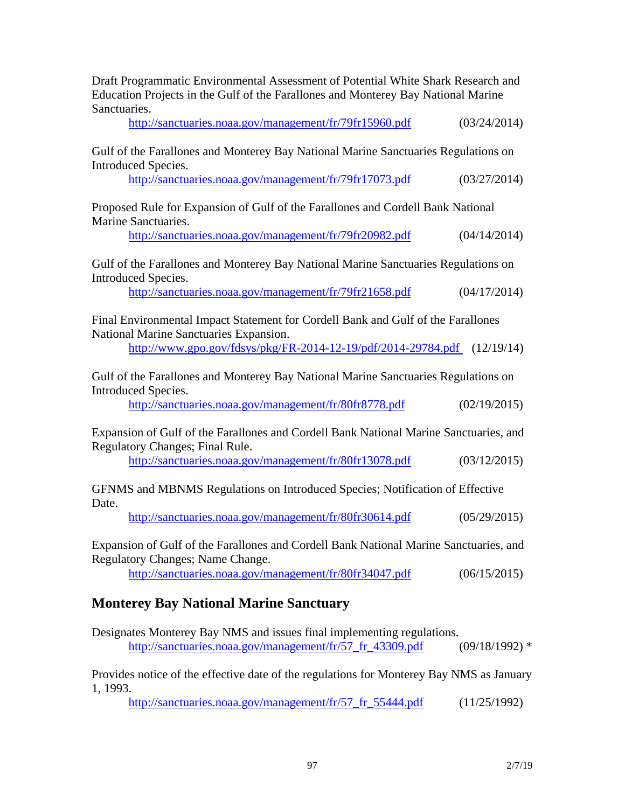| Education Projects in the Gulf of the Farallones and Monterey Bay National Marine<br>Sanctuaries.                                                                                                      |                 |
|--------------------------------------------------------------------------------------------------------------------------------------------------------------------------------------------------------|-----------------|
| http://sanctuaries.noaa.gov/management/fr/79fr15960.pdf                                                                                                                                                | (03/24/2014)    |
| Gulf of the Farallones and Monterey Bay National Marine Sanctuaries Regulations on<br>Introduced Species.                                                                                              |                 |
| http://sanctuaries.noaa.gov/management/fr/79fr17073.pdf                                                                                                                                                | (03/27/2014)    |
| Proposed Rule for Expansion of Gulf of the Farallones and Cordell Bank National<br>Marine Sanctuaries.                                                                                                 |                 |
| http://sanctuaries.noaa.gov/management/fr/79fr20982.pdf                                                                                                                                                | (04/14/2014)    |
| Gulf of the Farallones and Monterey Bay National Marine Sanctuaries Regulations on<br>Introduced Species.                                                                                              |                 |
| http://sanctuaries.noaa.gov/management/fr/79fr21658.pdf                                                                                                                                                | (04/17/2014)    |
| Final Environmental Impact Statement for Cordell Bank and Gulf of the Farallones<br>National Marine Sanctuaries Expansion.<br>http://www.gpo.gov/fdsys/pkg/FR-2014-12-19/pdf/2014-29784.pdf (12/19/14) |                 |
| Gulf of the Farallones and Monterey Bay National Marine Sanctuaries Regulations on<br>Introduced Species.<br>http://sanctuaries.noaa.gov/management/fr/80fr8778.pdf                                    | (02/19/2015)    |
| Expansion of Gulf of the Farallones and Cordell Bank National Marine Sanctuaries, and<br>Regulatory Changes; Final Rule.                                                                               |                 |
| http://sanctuaries.noaa.gov/management/fr/80fr13078.pdf                                                                                                                                                | (03/12/2015)    |
| GFNMS and MBNMS Regulations on Introduced Species; Notification of Effective<br>Date.                                                                                                                  |                 |
| http://sanctuaries.noaa.gov/management/fr/80fr30614.pdf                                                                                                                                                | (05/29/2015)    |
| Expansion of Gulf of the Farallones and Cordell Bank National Marine Sanctuaries, and<br>Regulatory Changes; Name Change.                                                                              |                 |
| http://sanctuaries.noaa.gov/management/fr/80fr34047.pdf                                                                                                                                                | (06/15/2015)    |
| <b>Monterey Bay National Marine Sanctuary</b>                                                                                                                                                          |                 |
| Designates Monterey Bay NMS and issues final implementing regulations.<br>http://sanctuaries.noaa.gov/management/fr/57_fr_43309.pdf                                                                    | $(09/18/1992)*$ |
| Provides notice of the effective date of the regulations for Monterey Bay NMS as January<br>1, 1993.                                                                                                   |                 |
| http://sanctuaries.noaa.gov/management/fr/57_fr_55444.pdf                                                                                                                                              | (11/25/1992)    |

Draft Programmatic Environmental Assessment of Potential White Shark Research and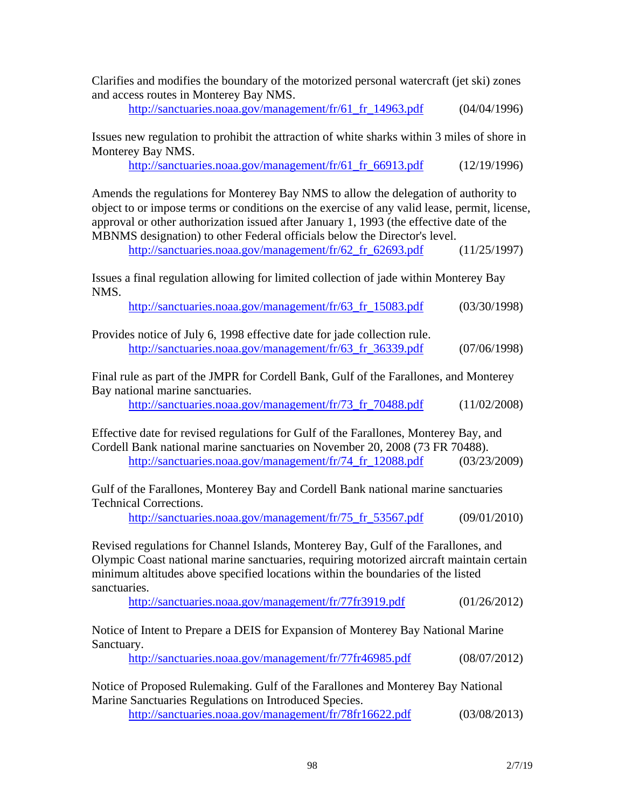Clarifies and modifies the boundary of the motorized personal watercraft (jet ski) zones and access routes in Monterey Bay NMS.

http://sanctuaries.noaa.gov/management/fr/61\_fr\_14963.pdf (04/04/1996)

Issues new regulation to prohibit the attraction of white sharks within 3 miles of shore in Monterey Bay NMS.

http://sanctuaries.noaa.gov/management/fr/61\_fr\_66913.pdf (12/19/1996)

Amends the regulations for Monterey Bay NMS to allow the delegation of authority to object to or impose terms or conditions on the exercise of any valid lease, permit, license, approval or other authorization issued after January 1, 1993 (the effective date of the MBNMS designation) to other Federal officials below the Director's level.

http://sanctuaries.noaa.gov/management/fr/62 fr 62693.pdf (11/25/1997)

Issues a final regulation allowing for limited collection of jade within Monterey Bay NMS.

http://sanctuaries.noaa.gov/management/fr/63\_fr\_15083.pdf (03/30/1998)

| Provides notice of July 6, 1998 effective date for jade collection rule. |              |
|--------------------------------------------------------------------------|--------------|
| http://sanctuaries.noaa.gov/management/fr/63_fr_36339.pdf                | (07/06/1998) |

Final rule as part of the JMPR for Cordell Bank, Gulf of the Farallones, and Monterey Bay national marine sanctuaries.

http://sanctuaries.noaa.gov/management/fr/73 fr 70488.pdf (11/02/2008)

Effective date for revised regulations for Gulf of the Farallones, Monterey Bay, and Cordell Bank national marine sanctuaries on November 20, 2008 (73 FR 70488). http://sanctuaries.noaa.gov/management/fr/74\_fr\_12088.pdf (03/23/2009)

Gulf of the Farallones, Monterey Bay and Cordell Bank national marine sanctuaries Technical Corrections.

http://sanctuaries.noaa.gov/management/fr/75\_fr\_53567.pdf (09/01/2010)

Revised regulations for Channel Islands, Monterey Bay, Gulf of the Farallones, and Olympic Coast national marine sanctuaries, requiring motorized aircraft maintain certain minimum altitudes above specified locations within the boundaries of the listed sanctuaries.

http://sanctuaries.noaa.gov/management/fr/77fr3919.pdf (01/26/2012)

Notice of Intent to Prepare a DEIS for Expansion of Monterey Bay National Marine Sanctuary.

http://sanctuaries.noaa.gov/management/fr/77fr46985.pdf (08/07/2012)

Notice of Proposed Rulemaking. Gulf of the Farallones and Monterey Bay National Marine Sanctuaries Regulations on Introduced Species.

http://sanctuaries.noaa.gov/management/fr/78fr16622.pdf (03/08/2013)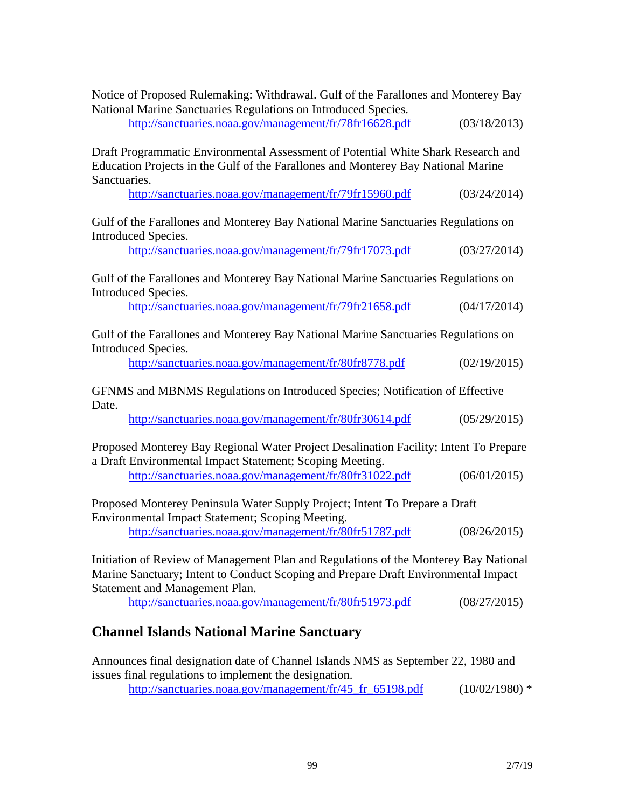| Notice of Proposed Rulemaking: Withdrawal. Gulf of the Farallones and Monterey Bay                                                                                                                           |              |  |
|--------------------------------------------------------------------------------------------------------------------------------------------------------------------------------------------------------------|--------------|--|
| National Marine Sanctuaries Regulations on Introduced Species.<br>http://sanctuaries.noaa.gov/management/fr/78fr16628.pdf                                                                                    | (03/18/2013) |  |
| Draft Programmatic Environmental Assessment of Potential White Shark Research and<br>Education Projects in the Gulf of the Farallones and Monterey Bay National Marine<br>Sanctuaries.                       |              |  |
| http://sanctuaries.noaa.gov/management/fr/79fr15960.pdf                                                                                                                                                      | (03/24/2014) |  |
| Gulf of the Farallones and Monterey Bay National Marine Sanctuaries Regulations on<br>Introduced Species.                                                                                                    |              |  |
| http://sanctuaries.noaa.gov/management/fr/79fr17073.pdf                                                                                                                                                      | (03/27/2014) |  |
| Gulf of the Farallones and Monterey Bay National Marine Sanctuaries Regulations on<br><b>Introduced Species.</b>                                                                                             |              |  |
| http://sanctuaries.noaa.gov/management/fr/79fr21658.pdf                                                                                                                                                      | (04/17/2014) |  |
| Gulf of the Farallones and Monterey Bay National Marine Sanctuaries Regulations on<br>Introduced Species.                                                                                                    |              |  |
| http://sanctuaries.noaa.gov/management/fr/80fr8778.pdf                                                                                                                                                       | (02/19/2015) |  |
| GFNMS and MBNMS Regulations on Introduced Species; Notification of Effective<br>Date.                                                                                                                        |              |  |
| http://sanctuaries.noaa.gov/management/fr/80fr30614.pdf                                                                                                                                                      | (05/29/2015) |  |
| Proposed Monterey Bay Regional Water Project Desalination Facility; Intent To Prepare<br>a Draft Environmental Impact Statement; Scoping Meeting.                                                            |              |  |
| http://sanctuaries.noaa.gov/management/fr/80fr31022.pdf                                                                                                                                                      | (06/01/2015) |  |
| Proposed Monterey Peninsula Water Supply Project; Intent To Prepare a Draft<br>Environmental Impact Statement; Scoping Meeting.                                                                              |              |  |
| http://sanctuaries.noaa.gov/management/fr/80fr51787.pdf                                                                                                                                                      | (08/26/2015) |  |
| Initiation of Review of Management Plan and Regulations of the Monterey Bay National<br>Marine Sanctuary; Intent to Conduct Scoping and Prepare Draft Environmental Impact<br>Statement and Management Plan. |              |  |
| http://sanctuaries.noaa.gov/management/fr/80fr51973.pdf                                                                                                                                                      | (08/27/2015) |  |

## **Channel Islands National Marine Sanctuary**

Announces final designation date of Channel Islands NMS as September 22, 1980 and issues final regulations to implement the designation.

http://sanctuaries.noaa.gov/management/fr/45\_fr\_65198.pdf (10/02/1980) \*